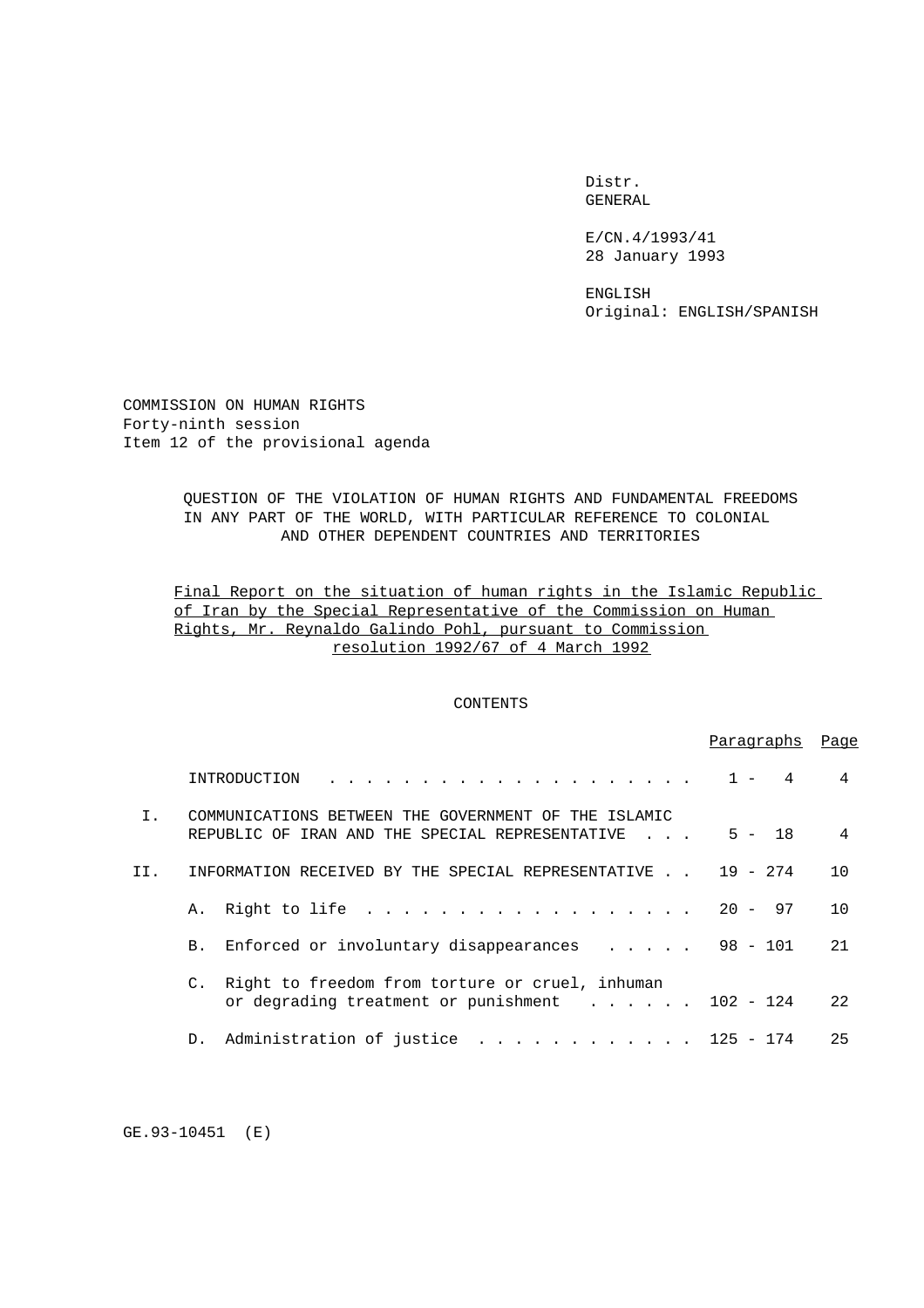Distr. GENERAL

E/CN.4/1993/41 28 January 1993

ENGLISH Original: ENGLISH/SPANISH

COMMISSION ON HUMAN RIGHTS Forty-ninth session Item 12 of the provisional agenda

# QUESTION OF THE VIOLATION OF HUMAN RIGHTS AND FUNDAMENTAL FREEDOMS IN ANY PART OF THE WORLD, WITH PARTICULAR REFERENCE TO COLONIAL AND OTHER DEPENDENT COUNTRIES AND TERRITORIES

# Final Report on the situation of human rights in the Islamic Republic of Iran by the Special Representative of the Commission on Human Rights, Mr. Reynaldo Galindo Pohl, pursuant to Commission resolution 1992/67 of 4 March 1992

# CONTENTS

|              |                                                                                                                     | Paraqraphs | Page           |
|--------------|---------------------------------------------------------------------------------------------------------------------|------------|----------------|
|              | INTRODUCTION                                                                                                        |            | 4              |
| $T_{\rm{L}}$ | COMMUNICATIONS BETWEEN THE GOVERNMENT OF THE ISLAMIC<br>REPUBLIC OF IRAN AND THE SPECIAL REPRESENTATIVE             | $5 - 18$   | $\overline{4}$ |
| II.          | INFORMATION RECEIVED BY THE SPECIAL REPRESENTATIVE<br><b>Contract Contract Contract</b>                             | $19 - 274$ | 10             |
|              | A. Right to life                                                                                                    | $20 - 97$  | 10             |
|              | Enforced or involuntary disappearances $\ldots$<br><b>B.</b>                                                        | $98 - 101$ | 21             |
|              | Right to freedom from torture or cruel, inhuman<br>C.<br>or degrading treatment or punishment $\ldots$ ,  102 - 124 |            | 2.2.           |
|              | Administration of justice<br>. 125 - 174<br>D.                                                                      |            | 25             |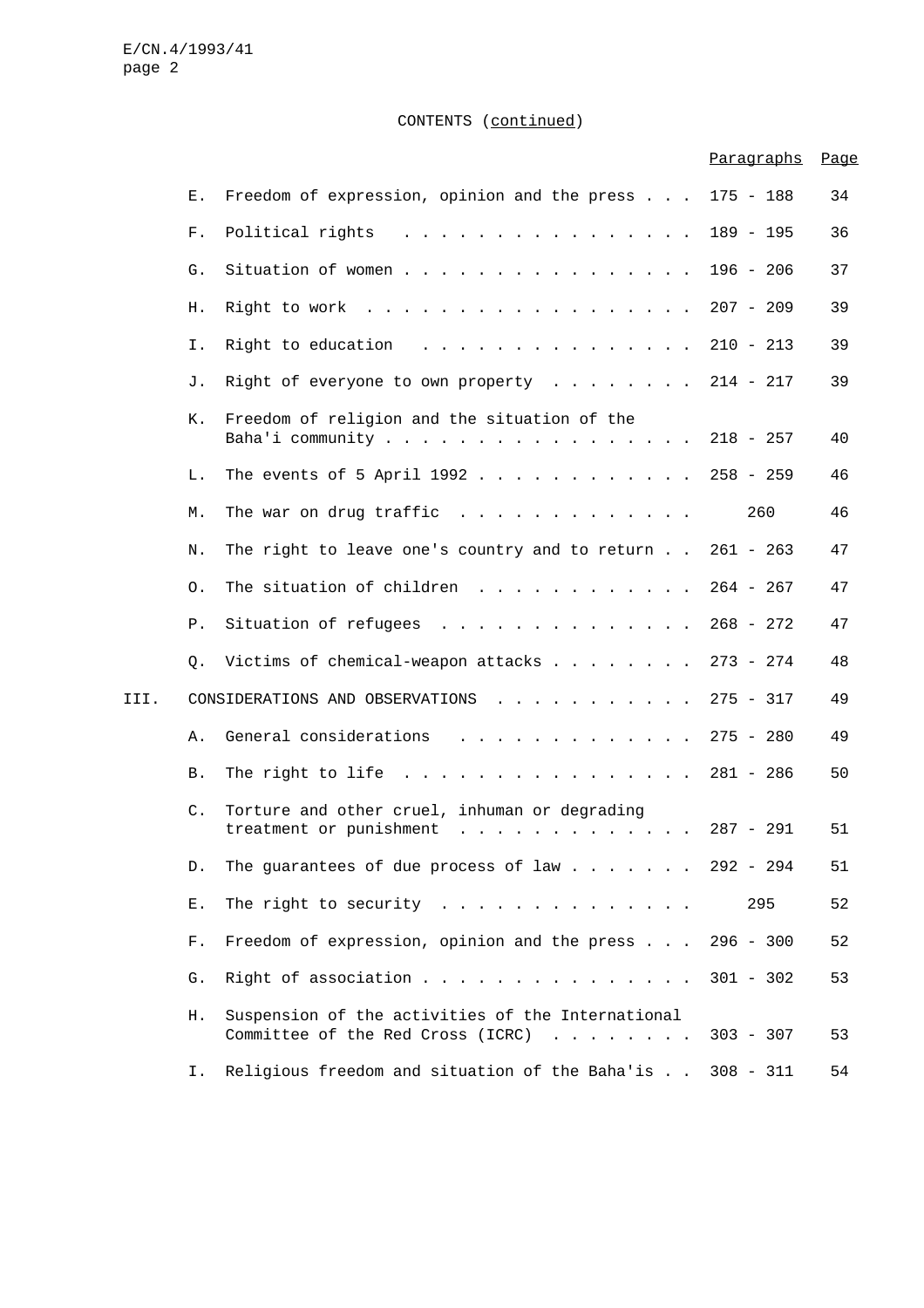# CONTENTS (continued)

|      |                |                                                                                        | Paragraphs  | Page |
|------|----------------|----------------------------------------------------------------------------------------|-------------|------|
|      | Ε.             | Freedom of expression, opinion and the press 175 - 188                                 |             | 34   |
|      | F.             | Political rights                                                                       | $189 - 195$ | 36   |
|      | G.             | Situation of women                                                                     | $196 - 206$ | 37   |
|      | Η.             | Right to work                                                                          | $207 - 209$ | 39   |
|      | Ι.             | Right to education                                                                     | $210 - 213$ | 39   |
|      | J.             | Right of everyone to own property $\ldots$                                             | $214 - 217$ | 39   |
|      | К.             | Freedom of religion and the situation of the<br>Baha'i community 218 - 257             |             | 40   |
|      | L.             | The events of 5 April 1992                                                             | $258 - 259$ | 46   |
|      | М.             | The war on drug traffic $\cdots$                                                       | 260         | 46   |
|      | Ν.             | The right to leave one's country and to return $261 - 263$                             |             | 47   |
|      | 0.             | The situation of children                                                              | $264 - 267$ | 47   |
|      | Ρ.             | Situation of refugees                                                                  | $268 - 272$ | 47   |
|      | Q.             | Victims of chemical-weapon attacks                                                     | $273 - 274$ | 48   |
| III. |                | CONSIDERATIONS AND OBSERVATIONS                                                        | $275 - 317$ | 49   |
|      | Α.             | General considerations                                                                 | $275 - 280$ | 49   |
|      | Β.             | The right to life $\ldots$                                                             | $281 - 286$ | 50   |
|      | $\mathsf{C}$ . | Torture and other cruel, inhuman or degrading<br>treatment or punishment               | 287 - 291   | 51   |
|      | D.             | The guarantees of due process of law 292 - 294                                         |             | 51   |
|      | Ε.             | The right to security $\ldots$                                                         | 295         | 52   |
|      | F.             | Freedom of expression, opinion and the press                                           | $296 - 300$ | 52   |
|      | G.             | Right of association                                                                   | $301 - 302$ | 53   |
|      | Η.             | Suspension of the activities of the International<br>Committee of the Red Cross (ICRC) | $303 - 307$ | 53   |
|      | Ι.             | Religious freedom and situation of the Baha'is                                         | $308 - 311$ | 54   |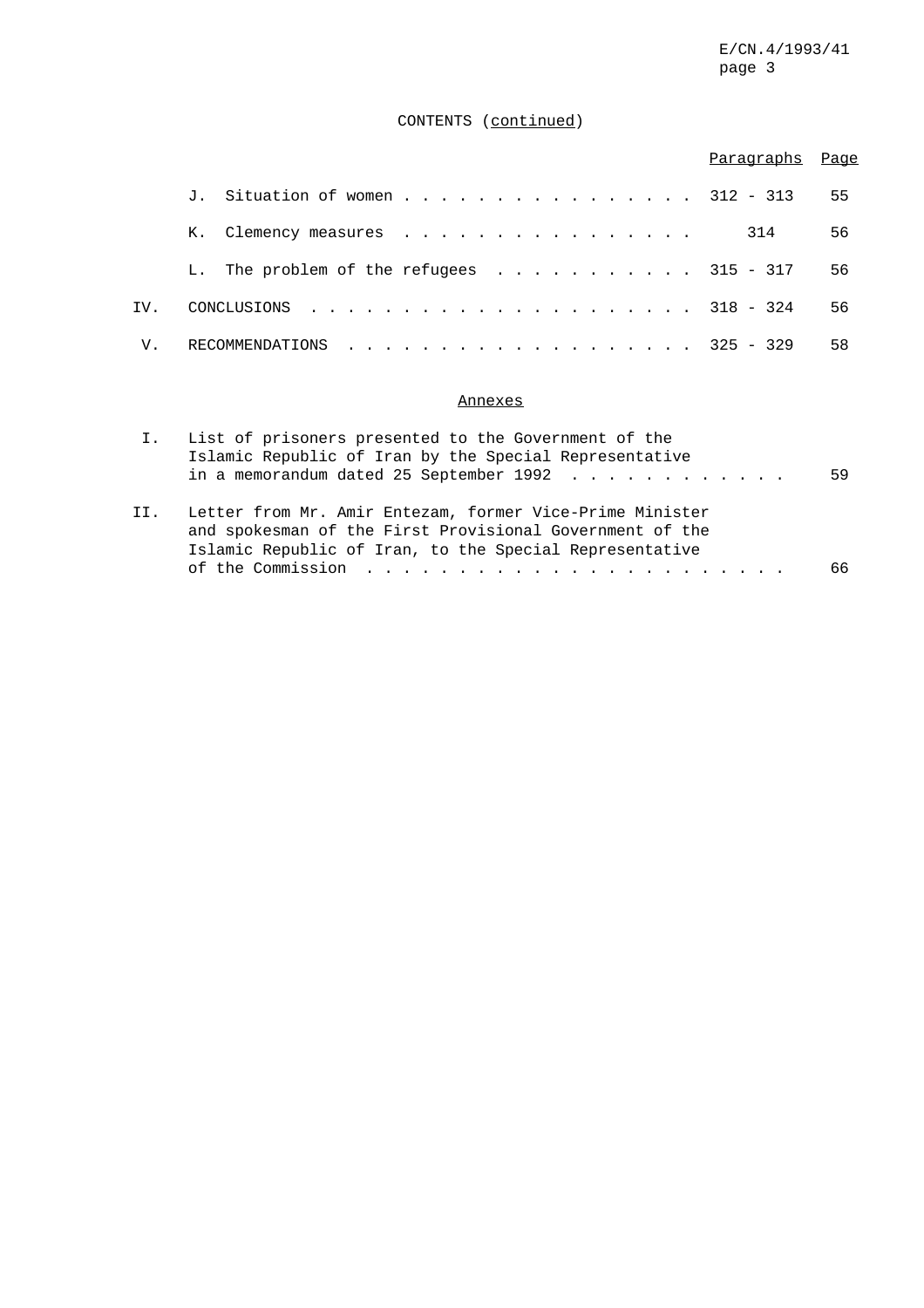# CONTENTS (continued)

|     |                                          | Paragraphs Page |    |
|-----|------------------------------------------|-----------------|----|
|     | J. Situation of women 312 - 313          |                 | 55 |
|     | K. Clemency measures                     | 314             | 56 |
|     | L. The problem of the refugees 315 - 317 |                 | 56 |
| IV. |                                          |                 | 56 |
| V.  | RECOMMENDATIONS 325 - 329                |                 | 58 |

# Annexes

|     | List of prisoners presented to the Government of the                                                    |    |
|-----|---------------------------------------------------------------------------------------------------------|----|
|     | Islamic Republic of Iran by the Special Representative                                                  |    |
|     | in a memorandum dated 25 September 1992 $\ldots$                                                        | 59 |
|     |                                                                                                         |    |
| II. | Letter from Mr. Amir Entezam, former Vice-Prime Minister                                                |    |
|     | and spokesman of the First Provisional Government of the                                                |    |
|     | Islamic Republic of Iran, to the Special Representative                                                 |    |
|     | of the Commission $\cdots$ , $\cdots$ , $\cdots$ , $\cdots$ , $\cdots$ , $\cdots$ , $\cdots$ , $\cdots$ | 66 |
|     |                                                                                                         |    |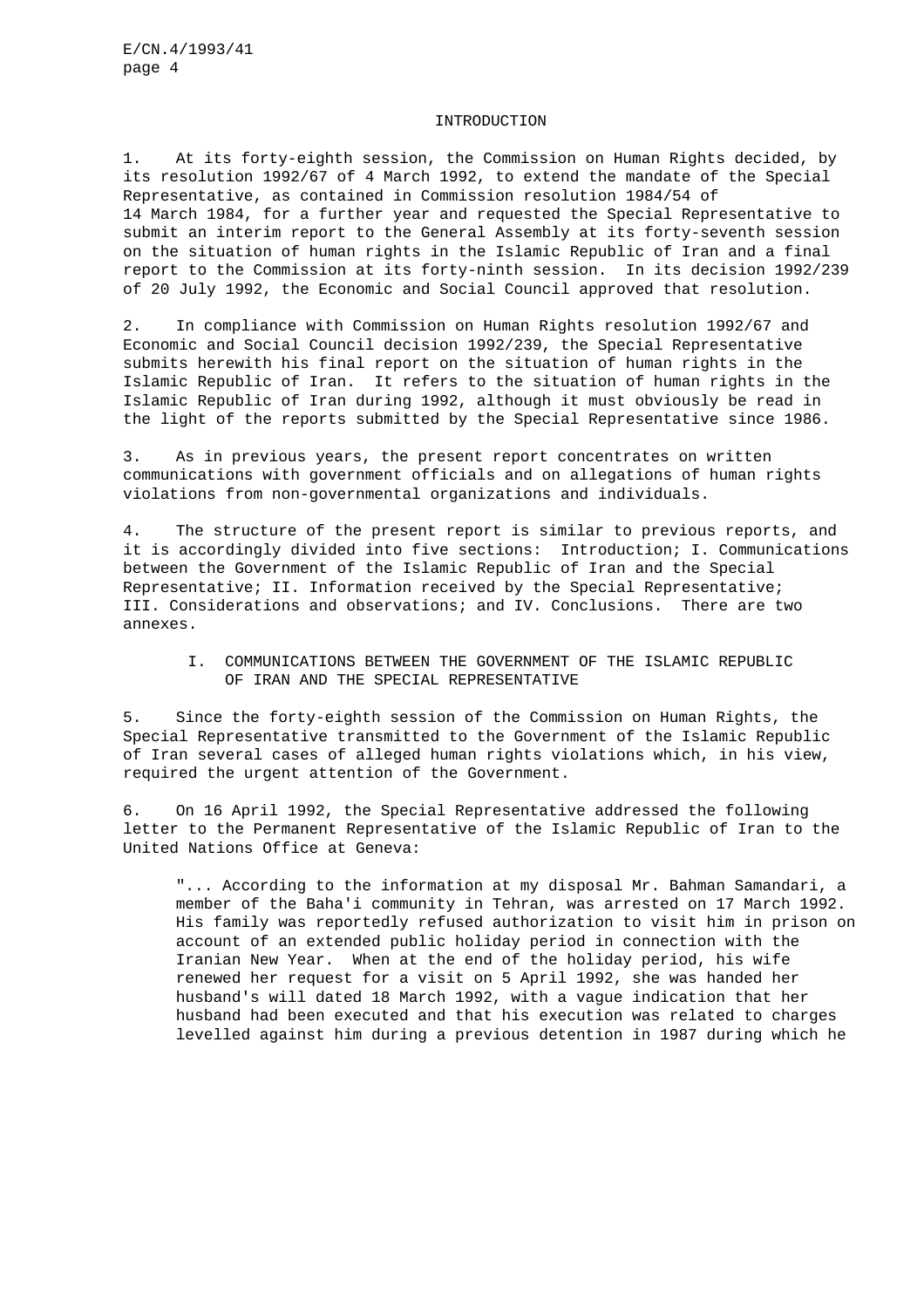#### INTRODUCTION

1. At its forty-eighth session, the Commission on Human Rights decided, by its resolution 1992/67 of 4 March 1992, to extend the mandate of the Special Representative, as contained in Commission resolution 1984/54 of 14 March 1984, for a further year and requested the Special Representative to submit an interim report to the General Assembly at its forty-seventh session on the situation of human rights in the Islamic Republic of Iran and a final report to the Commission at its forty-ninth session. In its decision 1992/239 of 20 July 1992, the Economic and Social Council approved that resolution.

2. In compliance with Commission on Human Rights resolution 1992/67 and Economic and Social Council decision 1992/239, the Special Representative submits herewith his final report on the situation of human rights in the Islamic Republic of Iran. It refers to the situation of human rights in the Islamic Republic of Iran during 1992, although it must obviously be read in the light of the reports submitted by the Special Representative since 1986.

3. As in previous years, the present report concentrates on written communications with government officials and on allegations of human rights violations from non-governmental organizations and individuals.

4. The structure of the present report is similar to previous reports, and it is accordingly divided into five sections: Introduction; I. Communications between the Government of the Islamic Republic of Iran and the Special Representative; II. Information received by the Special Representative; III. Considerations and observations; and IV. Conclusions. There are two annexes.

I. COMMUNICATIONS BETWEEN THE GOVERNMENT OF THE ISLAMIC REPUBLIC OF IRAN AND THE SPECIAL REPRESENTATIVE

5. Since the forty-eighth session of the Commission on Human Rights, the Special Representative transmitted to the Government of the Islamic Republic of Iran several cases of alleged human rights violations which, in his view, required the urgent attention of the Government.

6. On 16 April 1992, the Special Representative addressed the following letter to the Permanent Representative of the Islamic Republic of Iran to the United Nations Office at Geneva:

"... According to the information at my disposal Mr. Bahman Samandari, a member of the Baha'i community in Tehran, was arrested on 17 March 1992. His family was reportedly refused authorization to visit him in prison on account of an extended public holiday period in connection with the Iranian New Year. When at the end of the holiday period, his wife renewed her request for a visit on 5 April 1992, she was handed her husband's will dated 18 March 1992, with a vague indication that her husband had been executed and that his execution was related to charges levelled against him during a previous detention in 1987 during which he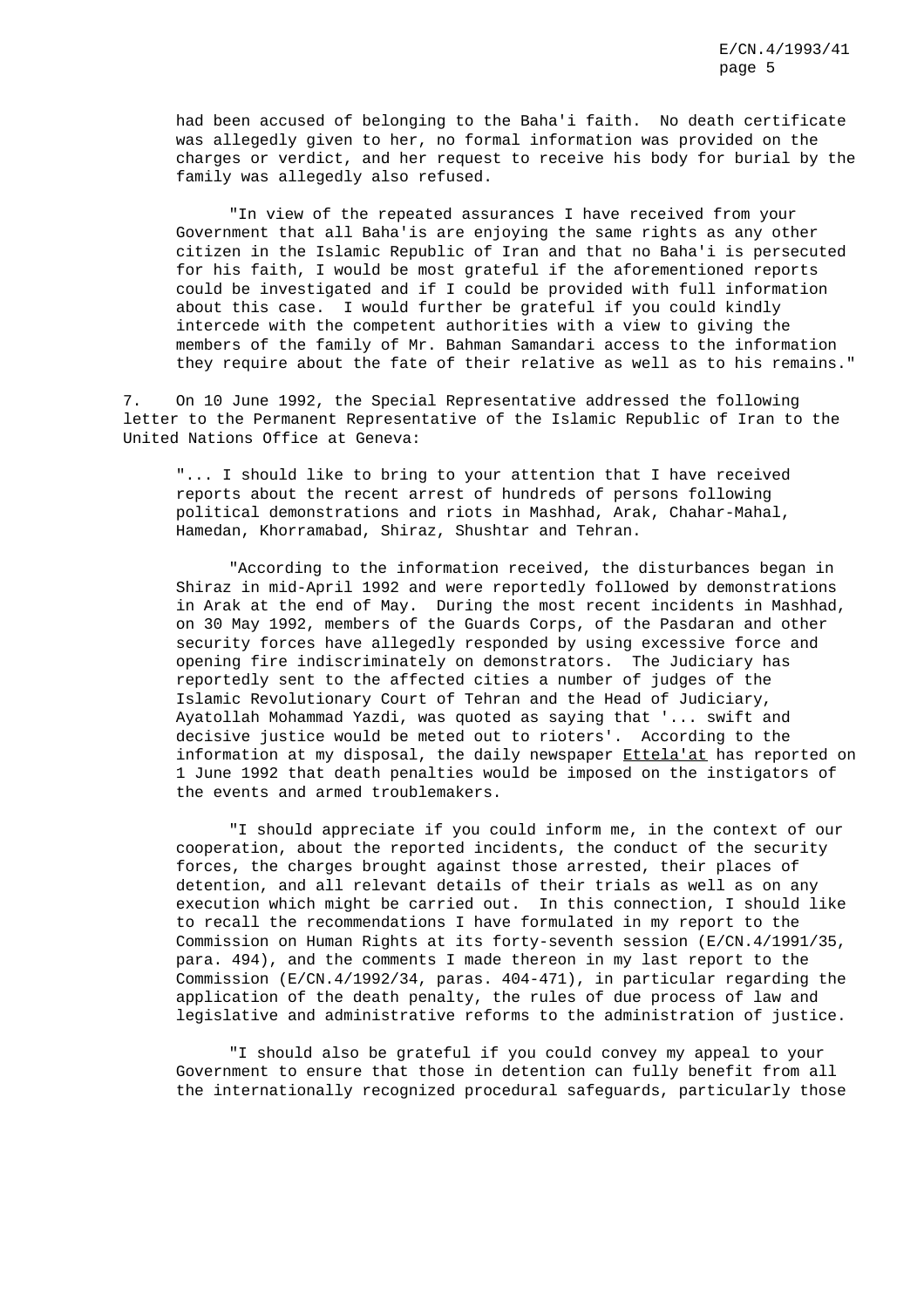had been accused of belonging to the Baha'i faith. No death certificate was allegedly given to her, no formal information was provided on the charges or verdict, and her request to receive his body for burial by the family was allegedly also refused.

"In view of the repeated assurances I have received from your Government that all Baha'is are enjoying the same rights as any other citizen in the Islamic Republic of Iran and that no Baha'i is persecuted for his faith, I would be most grateful if the aforementioned reports could be investigated and if I could be provided with full information about this case. I would further be grateful if you could kindly intercede with the competent authorities with a view to giving the members of the family of Mr. Bahman Samandari access to the information they require about the fate of their relative as well as to his remains."

7. On 10 June 1992, the Special Representative addressed the following letter to the Permanent Representative of the Islamic Republic of Iran to the United Nations Office at Geneva:

"... I should like to bring to your attention that I have received reports about the recent arrest of hundreds of persons following political demonstrations and riots in Mashhad, Arak, Chahar-Mahal, Hamedan, Khorramabad, Shiraz, Shushtar and Tehran.

"According to the information received, the disturbances began in Shiraz in mid-April 1992 and were reportedly followed by demonstrations in Arak at the end of May. During the most recent incidents in Mashhad, on 30 May 1992, members of the Guards Corps, of the Pasdaran and other security forces have allegedly responded by using excessive force and opening fire indiscriminately on demonstrators. The Judiciary has reportedly sent to the affected cities a number of judges of the Islamic Revolutionary Court of Tehran and the Head of Judiciary, Ayatollah Mohammad Yazdi, was quoted as saying that '... swift and decisive justice would be meted out to rioters'. According to the information at my disposal, the daily newspaper Ettela'at has reported on 1 June 1992 that death penalties would be imposed on the instigators of the events and armed troublemakers.

"I should appreciate if you could inform me, in the context of our cooperation, about the reported incidents, the conduct of the security forces, the charges brought against those arrested, their places of detention, and all relevant details of their trials as well as on any execution which might be carried out. In this connection, I should like to recall the recommendations I have formulated in my report to the Commission on Human Rights at its forty-seventh session (E/CN.4/1991/35, para. 494), and the comments I made thereon in my last report to the Commission (E/CN.4/1992/34, paras. 404-471), in particular regarding the application of the death penalty, the rules of due process of law and legislative and administrative reforms to the administration of justice.

"I should also be grateful if you could convey my appeal to your Government to ensure that those in detention can fully benefit from all the internationally recognized procedural safeguards, particularly those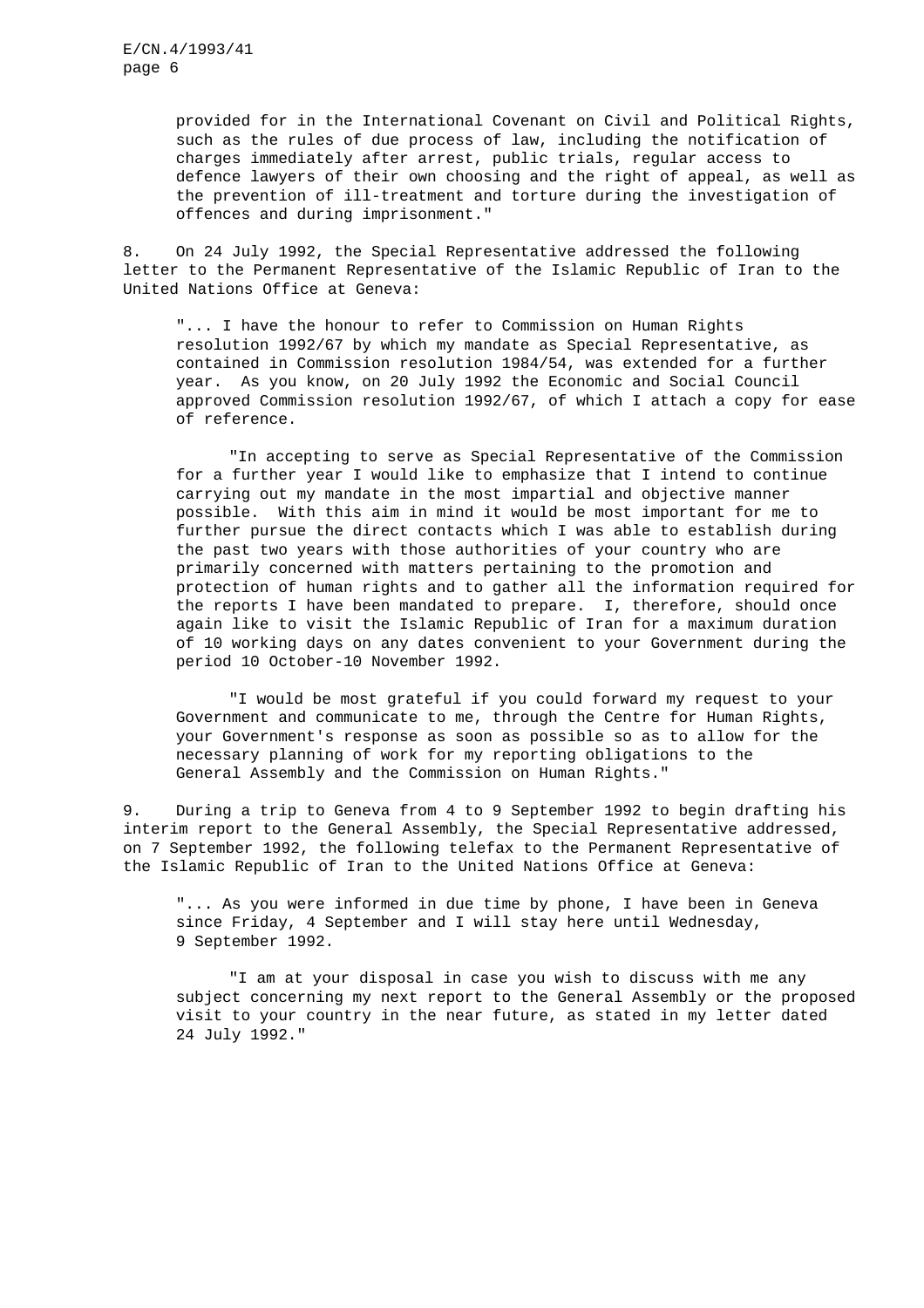provided for in the International Covenant on Civil and Political Rights, such as the rules of due process of law, including the notification of charges immediately after arrest, public trials, regular access to defence lawyers of their own choosing and the right of appeal, as well as the prevention of ill-treatment and torture during the investigation of offences and during imprisonment."

8. On 24 July 1992, the Special Representative addressed the following letter to the Permanent Representative of the Islamic Republic of Iran to the United Nations Office at Geneva:

"... I have the honour to refer to Commission on Human Rights resolution 1992/67 by which my mandate as Special Representative, as contained in Commission resolution 1984/54, was extended for a further year. As you know, on 20 July 1992 the Economic and Social Council approved Commission resolution 1992/67, of which I attach a copy for ease of reference.

"In accepting to serve as Special Representative of the Commission for a further year I would like to emphasize that I intend to continue carrying out my mandate in the most impartial and objective manner possible. With this aim in mind it would be most important for me to further pursue the direct contacts which I was able to establish during the past two years with those authorities of your country who are primarily concerned with matters pertaining to the promotion and protection of human rights and to gather all the information required for the reports I have been mandated to prepare. I, therefore, should once again like to visit the Islamic Republic of Iran for a maximum duration of 10 working days on any dates convenient to your Government during the period 10 October-10 November 1992.

"I would be most grateful if you could forward my request to your Government and communicate to me, through the Centre for Human Rights, your Government's response as soon as possible so as to allow for the necessary planning of work for my reporting obligations to the General Assembly and the Commission on Human Rights."

9. During a trip to Geneva from 4 to 9 September 1992 to begin drafting his interim report to the General Assembly, the Special Representative addressed, on 7 September 1992, the following telefax to the Permanent Representative of the Islamic Republic of Iran to the United Nations Office at Geneva:

"... As you were informed in due time by phone, I have been in Geneva since Friday, 4 September and I will stay here until Wednesday, 9 September 1992.

"I am at your disposal in case you wish to discuss with me any subject concerning my next report to the General Assembly or the proposed visit to your country in the near future, as stated in my letter dated 24 July 1992."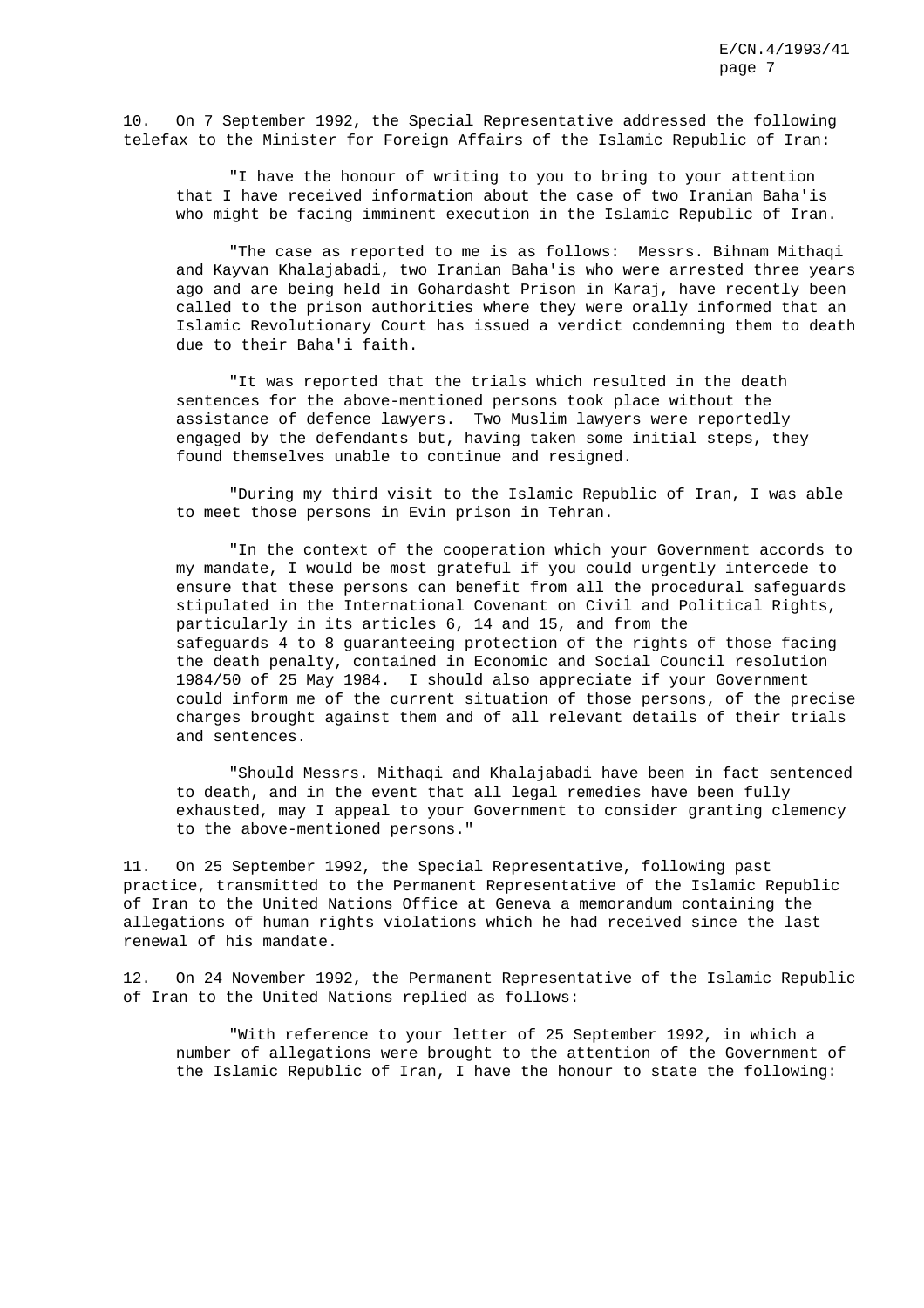10. On 7 September 1992, the Special Representative addressed the following telefax to the Minister for Foreign Affairs of the Islamic Republic of Iran:

"I have the honour of writing to you to bring to your attention that I have received information about the case of two Iranian Baha'is who might be facing imminent execution in the Islamic Republic of Iran.

"The case as reported to me is as follows: Messrs. Bihnam Mithaqi and Kayvan Khalajabadi, two Iranian Baha'is who were arrested three years ago and are being held in Gohardasht Prison in Karaj, have recently been called to the prison authorities where they were orally informed that an Islamic Revolutionary Court has issued a verdict condemning them to death due to their Baha'i faith.

"It was reported that the trials which resulted in the death sentences for the above-mentioned persons took place without the assistance of defence lawyers. Two Muslim lawyers were reportedly engaged by the defendants but, having taken some initial steps, they found themselves unable to continue and resigned.

"During my third visit to the Islamic Republic of Iran, I was able to meet those persons in Evin prison in Tehran.

"In the context of the cooperation which your Government accords to my mandate, I would be most grateful if you could urgently intercede to ensure that these persons can benefit from all the procedural safeguards stipulated in the International Covenant on Civil and Political Rights, particularly in its articles 6, 14 and 15, and from the safeguards 4 to 8 guaranteeing protection of the rights of those facing the death penalty, contained in Economic and Social Council resolution 1984/50 of 25 May 1984. I should also appreciate if your Government could inform me of the current situation of those persons, of the precise charges brought against them and of all relevant details of their trials and sentences.

"Should Messrs. Mithaqi and Khalajabadi have been in fact sentenced to death, and in the event that all legal remedies have been fully exhausted, may I appeal to your Government to consider granting clemency to the above-mentioned persons."

11. On 25 September 1992, the Special Representative, following past practice, transmitted to the Permanent Representative of the Islamic Republic of Iran to the United Nations Office at Geneva a memorandum containing the allegations of human rights violations which he had received since the last renewal of his mandate.

12. On 24 November 1992, the Permanent Representative of the Islamic Republic of Iran to the United Nations replied as follows:

"With reference to your letter of 25 September 1992, in which a number of allegations were brought to the attention of the Government of the Islamic Republic of Iran, I have the honour to state the following: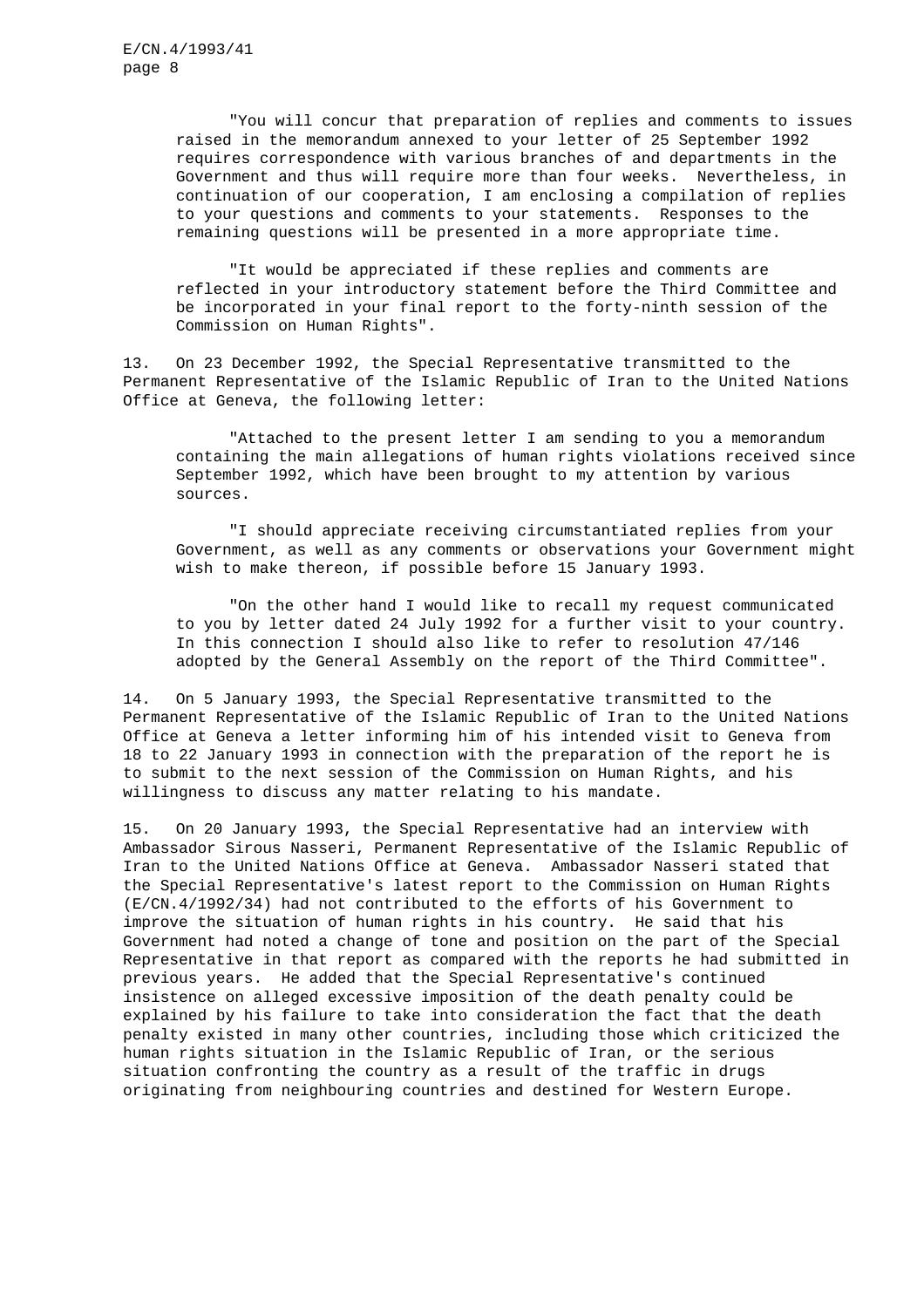"You will concur that preparation of replies and comments to issues raised in the memorandum annexed to your letter of 25 September 1992 requires correspondence with various branches of and departments in the Government and thus will require more than four weeks. Nevertheless, in continuation of our cooperation, I am enclosing a compilation of replies to your questions and comments to your statements. Responses to the remaining questions will be presented in a more appropriate time.

"It would be appreciated if these replies and comments are reflected in your introductory statement before the Third Committee and be incorporated in your final report to the forty-ninth session of the Commission on Human Rights".

13. On 23 December 1992, the Special Representative transmitted to the Permanent Representative of the Islamic Republic of Iran to the United Nations Office at Geneva, the following letter:

"Attached to the present letter I am sending to you a memorandum containing the main allegations of human rights violations received since September 1992, which have been brought to my attention by various sources.

"I should appreciate receiving circumstantiated replies from your Government, as well as any comments or observations your Government might wish to make thereon, if possible before 15 January 1993.

"On the other hand I would like to recall my request communicated to you by letter dated 24 July 1992 for a further visit to your country. In this connection I should also like to refer to resolution 47/146 adopted by the General Assembly on the report of the Third Committee".

14. On 5 January 1993, the Special Representative transmitted to the Permanent Representative of the Islamic Republic of Iran to the United Nations Office at Geneva a letter informing him of his intended visit to Geneva from 18 to 22 January 1993 in connection with the preparation of the report he is to submit to the next session of the Commission on Human Rights, and his willingness to discuss any matter relating to his mandate.

15. On 20 January 1993, the Special Representative had an interview with Ambassador Sirous Nasseri, Permanent Representative of the Islamic Republic of Iran to the United Nations Office at Geneva. Ambassador Nasseri stated that the Special Representative's latest report to the Commission on Human Rights (E/CN.4/1992/34) had not contributed to the efforts of his Government to improve the situation of human rights in his country. He said that his Government had noted a change of tone and position on the part of the Special Representative in that report as compared with the reports he had submitted in previous years. He added that the Special Representative's continued insistence on alleged excessive imposition of the death penalty could be explained by his failure to take into consideration the fact that the death penalty existed in many other countries, including those which criticized the human rights situation in the Islamic Republic of Iran, or the serious situation confronting the country as a result of the traffic in drugs originating from neighbouring countries and destined for Western Europe.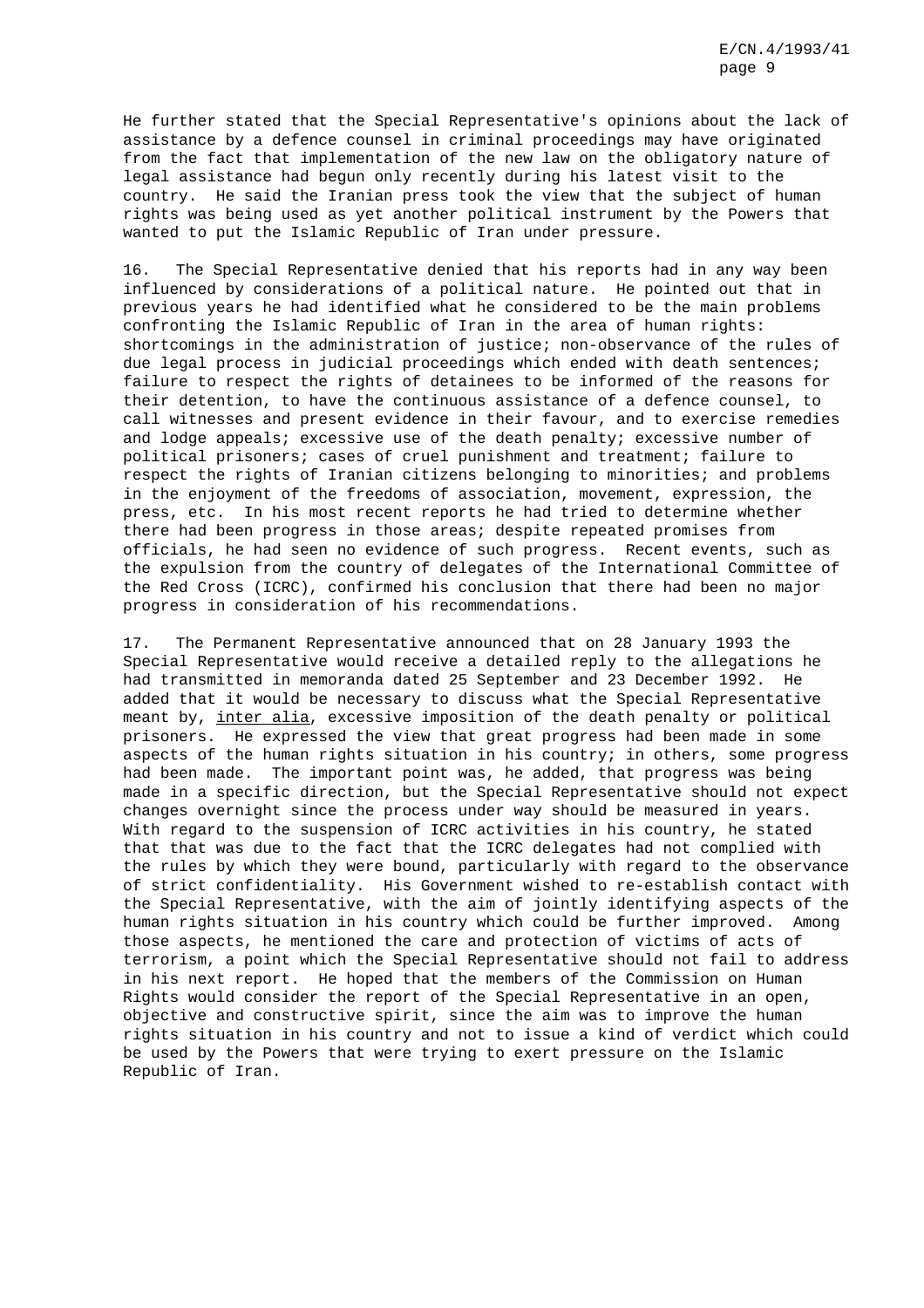He further stated that the Special Representative's opinions about the lack of assistance by a defence counsel in criminal proceedings may have originated from the fact that implementation of the new law on the obligatory nature of legal assistance had begun only recently during his latest visit to the country. He said the Iranian press took the view that the subject of human rights was being used as yet another political instrument by the Powers that wanted to put the Islamic Republic of Iran under pressure.

16. The Special Representative denied that his reports had in any way been influenced by considerations of a political nature. He pointed out that in previous years he had identified what he considered to be the main problems confronting the Islamic Republic of Iran in the area of human rights: shortcomings in the administration of justice; non-observance of the rules of due legal process in judicial proceedings which ended with death sentences; failure to respect the rights of detainees to be informed of the reasons for their detention, to have the continuous assistance of a defence counsel, to call witnesses and present evidence in their favour, and to exercise remedies and lodge appeals; excessive use of the death penalty; excessive number of political prisoners; cases of cruel punishment and treatment; failure to respect the rights of Iranian citizens belonging to minorities; and problems in the enjoyment of the freedoms of association, movement, expression, the press, etc. In his most recent reports he had tried to determine whether there had been progress in those areas; despite repeated promises from officials, he had seen no evidence of such progress. Recent events, such as the expulsion from the country of delegates of the International Committee of the Red Cross (ICRC), confirmed his conclusion that there had been no major progress in consideration of his recommendations.

17. The Permanent Representative announced that on 28 January 1993 the Special Representative would receive a detailed reply to the allegations he had transmitted in memoranda dated 25 September and 23 December 1992. He added that it would be necessary to discuss what the Special Representative meant by, inter alia, excessive imposition of the death penalty or political prisoners. He expressed the view that great progress had been made in some aspects of the human rights situation in his country; in others, some progress had been made. The important point was, he added, that progress was being made in a specific direction, but the Special Representative should not expect changes overnight since the process under way should be measured in years. With regard to the suspension of ICRC activities in his country, he stated that that was due to the fact that the ICRC delegates had not complied with the rules by which they were bound, particularly with regard to the observance of strict confidentiality. His Government wished to re-establish contact with the Special Representative, with the aim of jointly identifying aspects of the human rights situation in his country which could be further improved. Among those aspects, he mentioned the care and protection of victims of acts of terrorism, a point which the Special Representative should not fail to address in his next report. He hoped that the members of the Commission on Human Rights would consider the report of the Special Representative in an open, objective and constructive spirit, since the aim was to improve the human rights situation in his country and not to issue a kind of verdict which could be used by the Powers that were trying to exert pressure on the Islamic Republic of Iran.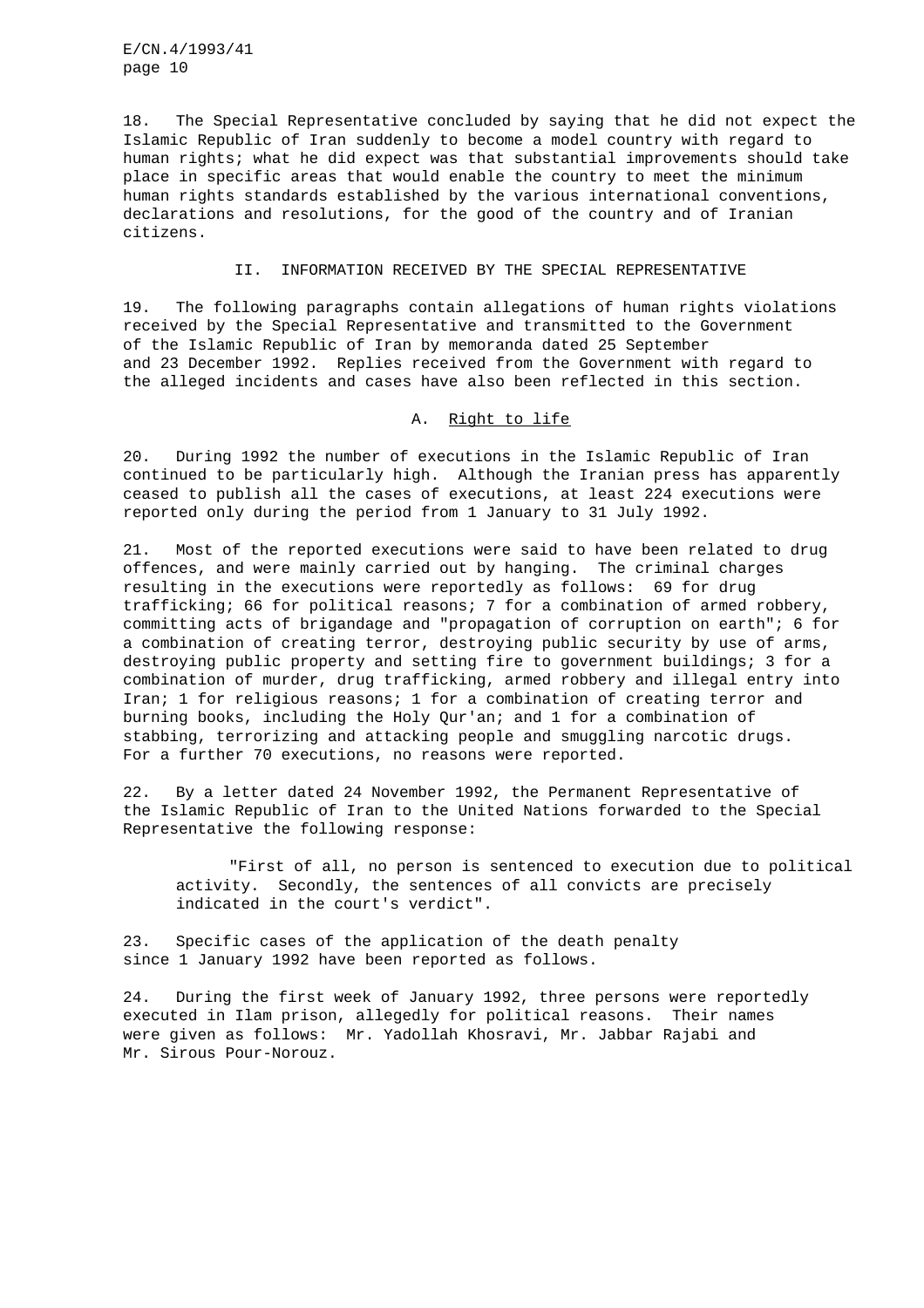18. The Special Representative concluded by saying that he did not expect the Islamic Republic of Iran suddenly to become a model country with regard to human rights; what he did expect was that substantial improvements should take place in specific areas that would enable the country to meet the minimum human rights standards established by the various international conventions, declarations and resolutions, for the good of the country and of Iranian citizens.

## II. INFORMATION RECEIVED BY THE SPECIAL REPRESENTATIVE

19. The following paragraphs contain allegations of human rights violations received by the Special Representative and transmitted to the Government of the Islamic Republic of Iran by memoranda dated 25 September and 23 December 1992. Replies received from the Government with regard to the alleged incidents and cases have also been reflected in this section.

## A. Right to life

20. During 1992 the number of executions in the Islamic Republic of Iran continued to be particularly high. Although the Iranian press has apparently ceased to publish all the cases of executions, at least 224 executions were reported only during the period from 1 January to 31 July 1992.

21. Most of the reported executions were said to have been related to drug offences, and were mainly carried out by hanging. The criminal charges resulting in the executions were reportedly as follows: 69 for drug trafficking; 66 for political reasons; 7 for a combination of armed robbery, committing acts of brigandage and "propagation of corruption on earth"; 6 for a combination of creating terror, destroying public security by use of arms, destroying public property and setting fire to government buildings; 3 for a combination of murder, drug trafficking, armed robbery and illegal entry into Iran; 1 for religious reasons; 1 for a combination of creating terror and burning books, including the Holy Qur'an; and 1 for a combination of stabbing, terrorizing and attacking people and smuggling narcotic drugs. For a further 70 executions, no reasons were reported.

22. By a letter dated 24 November 1992, the Permanent Representative of the Islamic Republic of Iran to the United Nations forwarded to the Special Representative the following response:

"First of all, no person is sentenced to execution due to political activity. Secondly, the sentences of all convicts are precisely indicated in the court's verdict".

23. Specific cases of the application of the death penalty since 1 January 1992 have been reported as follows.

24. During the first week of January 1992, three persons were reportedly executed in Ilam prison, allegedly for political reasons. Their names were given as follows: Mr. Yadollah Khosravi, Mr. Jabbar Rajabi and Mr. Sirous Pour-Norouz.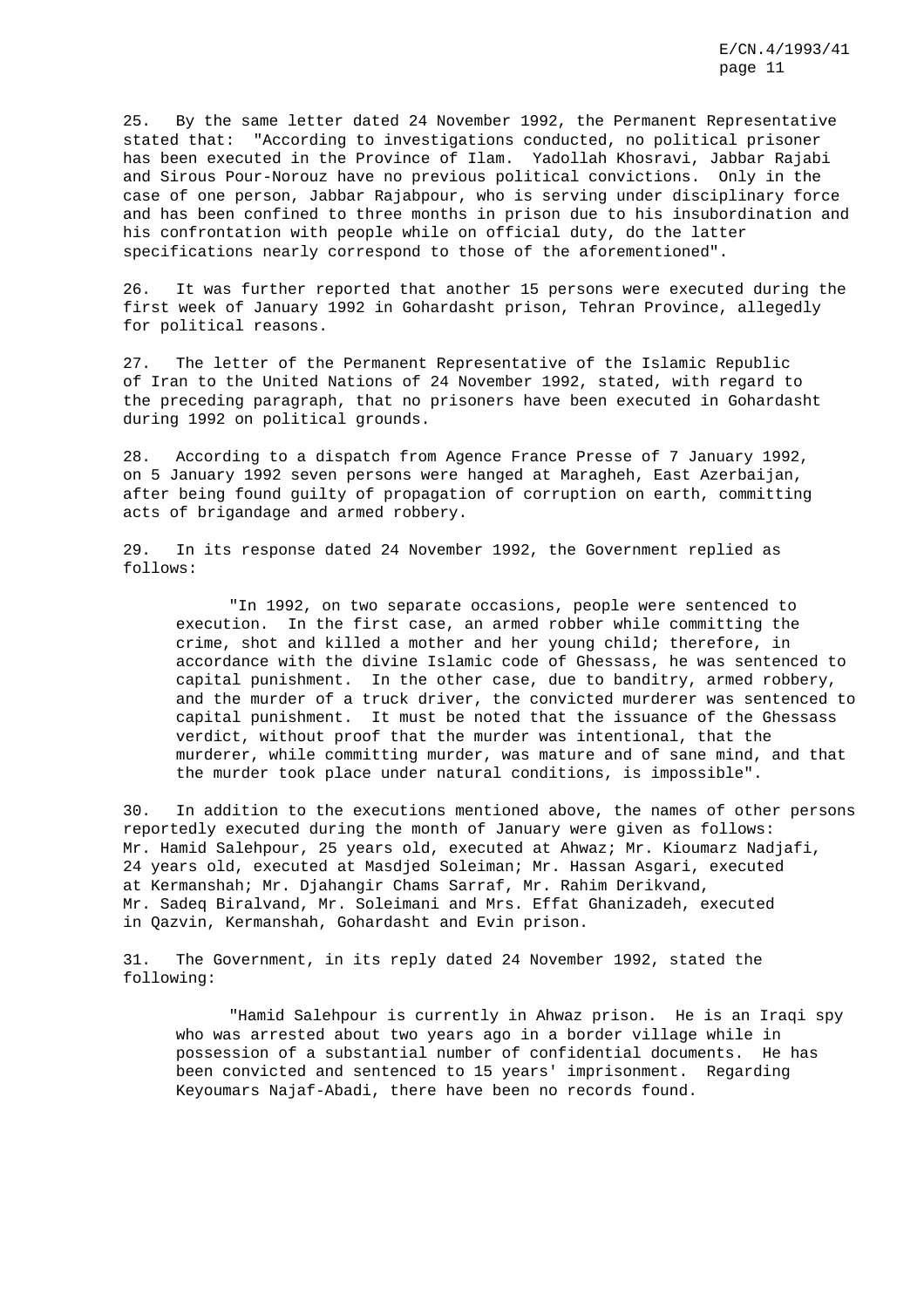25. By the same letter dated 24 November 1992, the Permanent Representative stated that: "According to investigations conducted, no political prisoner has been executed in the Province of Ilam. Yadollah Khosravi, Jabbar Rajabi and Sirous Pour-Norouz have no previous political convictions. Only in the case of one person, Jabbar Rajabpour, who is serving under disciplinary force and has been confined to three months in prison due to his insubordination and his confrontation with people while on official duty, do the latter specifications nearly correspond to those of the aforementioned".

26. It was further reported that another 15 persons were executed during the first week of January 1992 in Gohardasht prison, Tehran Province, allegedly for political reasons.

27. The letter of the Permanent Representative of the Islamic Republic of Iran to the United Nations of 24 November 1992, stated, with regard to the preceding paragraph, that no prisoners have been executed in Gohardasht during 1992 on political grounds.

28. According to a dispatch from Agence France Presse of 7 January 1992, on 5 January 1992 seven persons were hanged at Maragheh, East Azerbaijan, after being found guilty of propagation of corruption on earth, committing acts of brigandage and armed robbery.

29. In its response dated 24 November 1992, the Government replied as follows:

"In 1992, on two separate occasions, people were sentenced to execution. In the first case, an armed robber while committing the crime, shot and killed a mother and her young child; therefore, in accordance with the divine Islamic code of Ghessass, he was sentenced to capital punishment. In the other case, due to banditry, armed robbery, and the murder of a truck driver, the convicted murderer was sentenced to capital punishment. It must be noted that the issuance of the Ghessass verdict, without proof that the murder was intentional, that the murderer, while committing murder, was mature and of sane mind, and that the murder took place under natural conditions, is impossible".

30. In addition to the executions mentioned above, the names of other persons reportedly executed during the month of January were given as follows: Mr. Hamid Salehpour, 25 years old, executed at Ahwaz; Mr. Kioumarz Nadjafi, 24 years old, executed at Masdjed Soleiman; Mr. Hassan Asgari, executed at Kermanshah; Mr. Djahangir Chams Sarraf, Mr. Rahim Derikvand, Mr. Sadeq Biralvand, Mr. Soleimani and Mrs. Effat Ghanizadeh, executed in Qazvin, Kermanshah, Gohardasht and Evin prison.

31. The Government, in its reply dated 24 November 1992, stated the following:

"Hamid Salehpour is currently in Ahwaz prison. He is an Iraqi spy who was arrested about two years ago in a border village while in possession of a substantial number of confidential documents. He has been convicted and sentenced to 15 years' imprisonment. Regarding Keyoumars Najaf-Abadi, there have been no records found.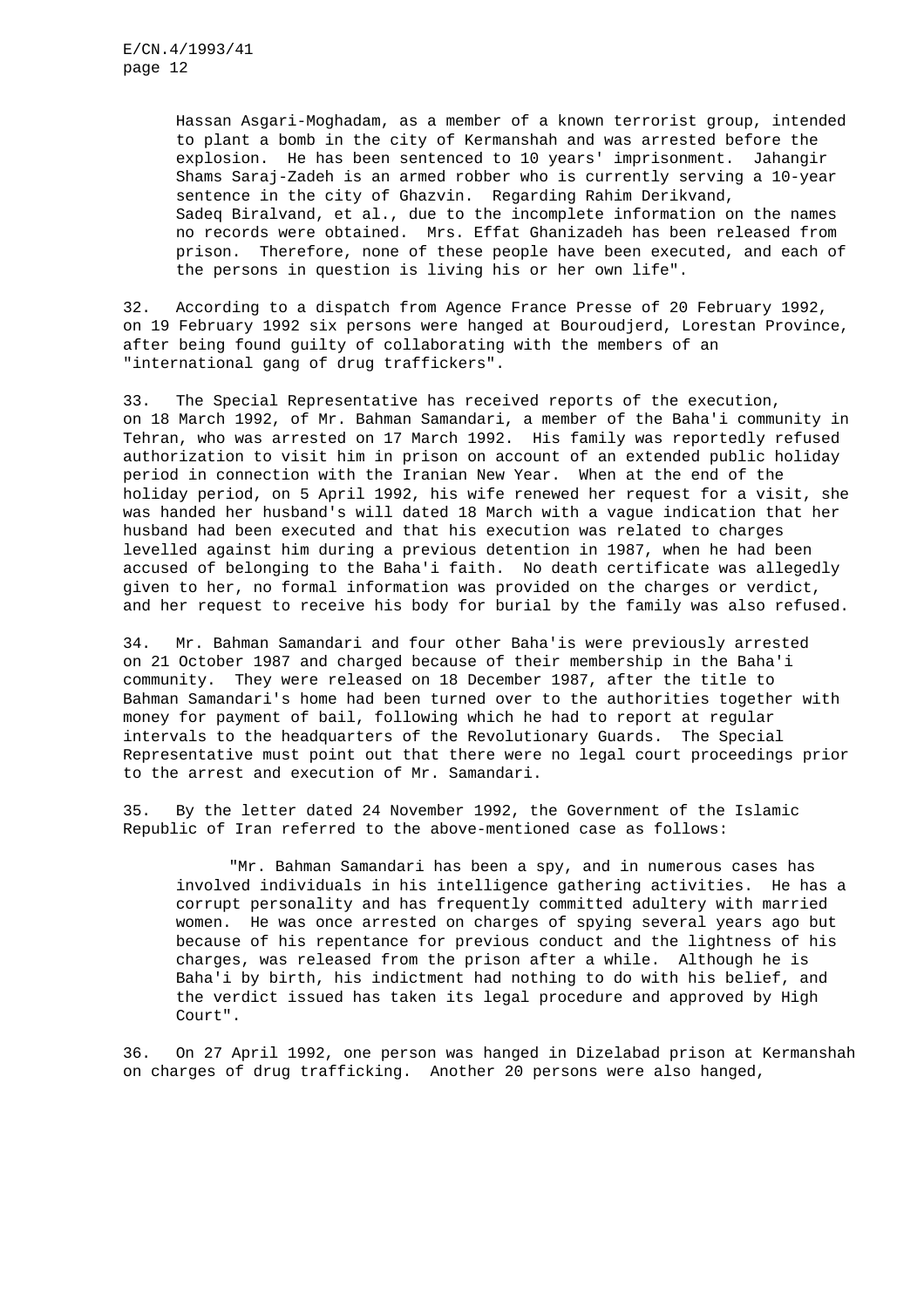Hassan Asgari-Moghadam, as a member of a known terrorist group, intended to plant a bomb in the city of Kermanshah and was arrested before the explosion. He has been sentenced to 10 years' imprisonment. Jahangir Shams Saraj-Zadeh is an armed robber who is currently serving a 10-year sentence in the city of Ghazvin. Regarding Rahim Derikvand, Sadeq Biralvand, et al., due to the incomplete information on the names no records were obtained. Mrs. Effat Ghanizadeh has been released from prison. Therefore, none of these people have been executed, and each of the persons in question is living his or her own life".

32. According to a dispatch from Agence France Presse of 20 February 1992, on 19 February 1992 six persons were hanged at Bouroudjerd, Lorestan Province, after being found guilty of collaborating with the members of an "international gang of drug traffickers".

33. The Special Representative has received reports of the execution, on 18 March 1992, of Mr. Bahman Samandari, a member of the Baha'i community in Tehran, who was arrested on 17 March 1992. His family was reportedly refused authorization to visit him in prison on account of an extended public holiday period in connection with the Iranian New Year. When at the end of the holiday period, on 5 April 1992, his wife renewed her request for a visit, she was handed her husband's will dated 18 March with a vague indication that her husband had been executed and that his execution was related to charges levelled against him during a previous detention in 1987, when he had been accused of belonging to the Baha'i faith. No death certificate was allegedly given to her, no formal information was provided on the charges or verdict, and her request to receive his body for burial by the family was also refused.

34. Mr. Bahman Samandari and four other Baha'is were previously arrested on 21 October 1987 and charged because of their membership in the Baha'i community. They were released on 18 December 1987, after the title to Bahman Samandari's home had been turned over to the authorities together with money for payment of bail, following which he had to report at regular intervals to the headquarters of the Revolutionary Guards. The Special Representative must point out that there were no legal court proceedings prior to the arrest and execution of Mr. Samandari.

35. By the letter dated 24 November 1992, the Government of the Islamic Republic of Iran referred to the above-mentioned case as follows:

"Mr. Bahman Samandari has been a spy, and in numerous cases has involved individuals in his intelligence gathering activities. He has a corrupt personality and has frequently committed adultery with married women. He was once arrested on charges of spying several years ago but because of his repentance for previous conduct and the lightness of his charges, was released from the prison after a while. Although he is Baha'i by birth, his indictment had nothing to do with his belief, and the verdict issued has taken its legal procedure and approved by High Court".

36. On 27 April 1992, one person was hanged in Dizelabad prison at Kermanshah on charges of drug trafficking. Another 20 persons were also hanged,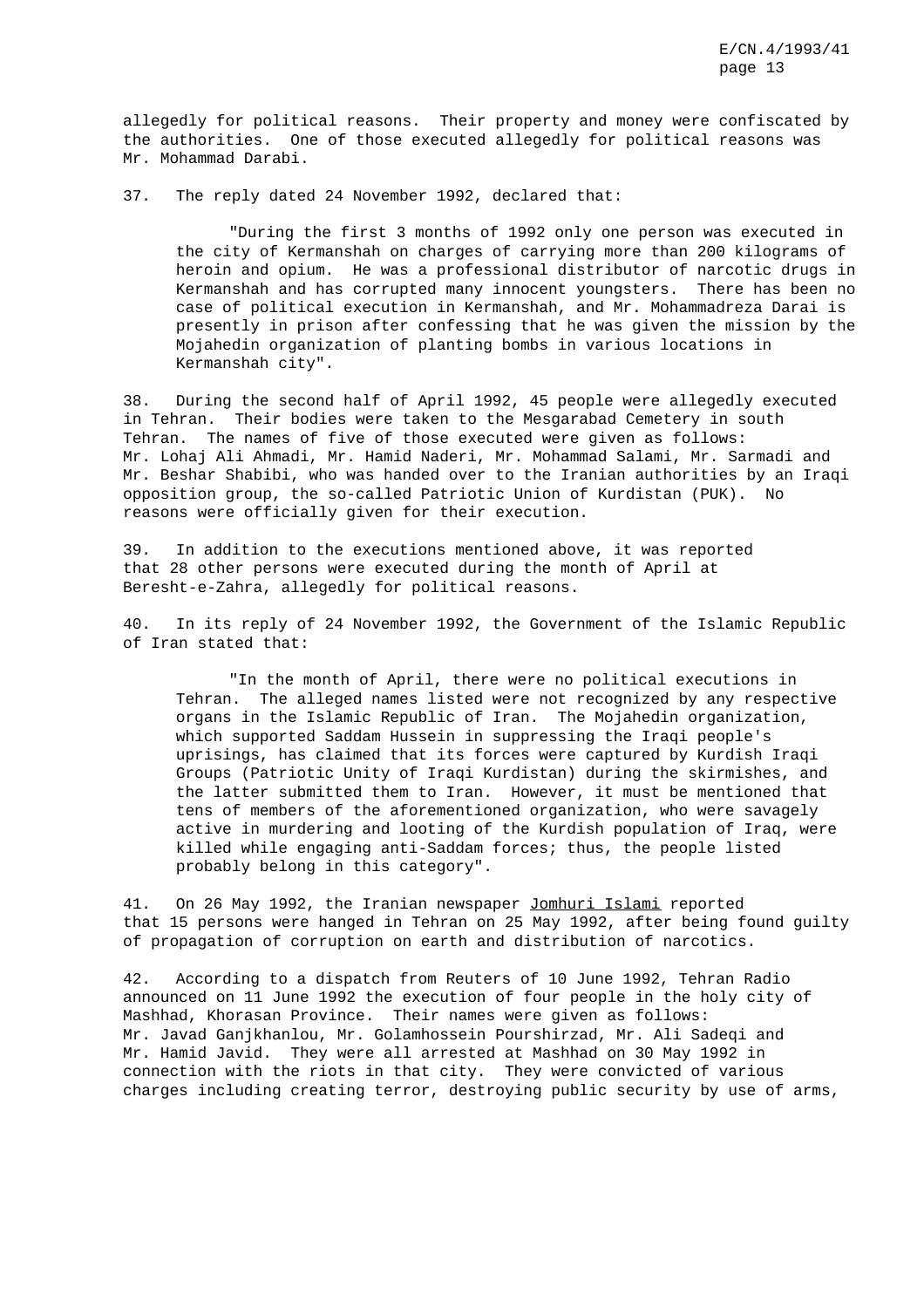allegedly for political reasons. Their property and money were confiscated by the authorities. One of those executed allegedly for political reasons was Mr. Mohammad Darabi.

37. The reply dated 24 November 1992, declared that:

"During the first 3 months of 1992 only one person was executed in the city of Kermanshah on charges of carrying more than 200 kilograms of heroin and opium. He was a professional distributor of narcotic drugs in Kermanshah and has corrupted many innocent youngsters. There has been no case of political execution in Kermanshah, and Mr. Mohammadreza Darai is presently in prison after confessing that he was given the mission by the Mojahedin organization of planting bombs in various locations in Kermanshah city".

38. During the second half of April 1992, 45 people were allegedly executed in Tehran. Their bodies were taken to the Mesgarabad Cemetery in south Tehran. The names of five of those executed were given as follows: Mr. Lohaj Ali Ahmadi, Mr. Hamid Naderi, Mr. Mohammad Salami, Mr. Sarmadi and Mr. Beshar Shabibi, who was handed over to the Iranian authorities by an Iraqi opposition group, the so-called Patriotic Union of Kurdistan (PUK). No reasons were officially given for their execution.

39. In addition to the executions mentioned above, it was reported that 28 other persons were executed during the month of April at Beresht-e-Zahra, allegedly for political reasons.

40. In its reply of 24 November 1992, the Government of the Islamic Republic of Iran stated that:

"In the month of April, there were no political executions in Tehran. The alleged names listed were not recognized by any respective organs in the Islamic Republic of Iran. The Mojahedin organization, which supported Saddam Hussein in suppressing the Iraqi people's uprisings, has claimed that its forces were captured by Kurdish Iraqi Groups (Patriotic Unity of Iraqi Kurdistan) during the skirmishes, and the latter submitted them to Iran. However, it must be mentioned that tens of members of the aforementioned organization, who were savagely active in murdering and looting of the Kurdish population of Iraq, were killed while engaging anti-Saddam forces; thus, the people listed probably belong in this category".

41. On 26 May 1992, the Iranian newspaper Jomhuri Islami reported that 15 persons were hanged in Tehran on 25 May 1992, after being found guilty of propagation of corruption on earth and distribution of narcotics.

42. According to a dispatch from Reuters of 10 June 1992, Tehran Radio announced on 11 June 1992 the execution of four people in the holy city of Mashhad, Khorasan Province. Their names were given as follows: Mr. Javad Ganjkhanlou, Mr. Golamhossein Pourshirzad, Mr. Ali Sadeqi and Mr. Hamid Javid. They were all arrested at Mashhad on 30 May 1992 in connection with the riots in that city. They were convicted of various charges including creating terror, destroying public security by use of arms,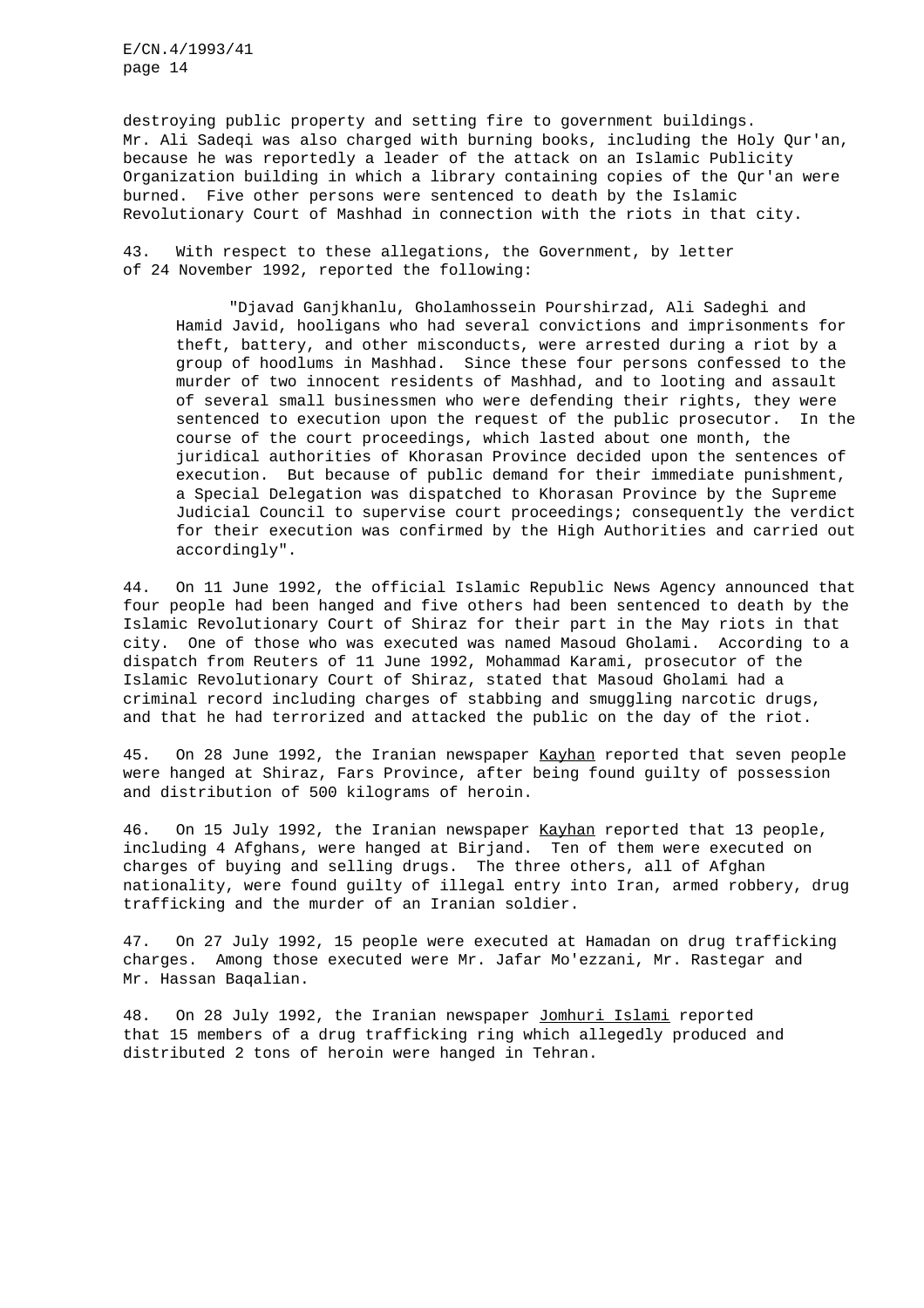destroying public property and setting fire to government buildings. Mr. Ali Sadeqi was also charged with burning books, including the Holy Qur'an, because he was reportedly a leader of the attack on an Islamic Publicity Organization building in which a library containing copies of the Qur'an were burned. Five other persons were sentenced to death by the Islamic Revolutionary Court of Mashhad in connection with the riots in that city.

43. With respect to these allegations, the Government, by letter of 24 November 1992, reported the following:

"Djavad Ganjkhanlu, Gholamhossein Pourshirzad, Ali Sadeghi and Hamid Javid, hooligans who had several convictions and imprisonments for theft, battery, and other misconducts, were arrested during a riot by a group of hoodlums in Mashhad. Since these four persons confessed to the murder of two innocent residents of Mashhad, and to looting and assault of several small businessmen who were defending their rights, they were sentenced to execution upon the request of the public prosecutor. In the course of the court proceedings, which lasted about one month, the juridical authorities of Khorasan Province decided upon the sentences of execution. But because of public demand for their immediate punishment, a Special Delegation was dispatched to Khorasan Province by the Supreme Judicial Council to supervise court proceedings; consequently the verdict for their execution was confirmed by the High Authorities and carried out accordingly".

44. On 11 June 1992, the official Islamic Republic News Agency announced that four people had been hanged and five others had been sentenced to death by the Islamic Revolutionary Court of Shiraz for their part in the May riots in that city. One of those who was executed was named Masoud Gholami. According to a dispatch from Reuters of 11 June 1992, Mohammad Karami, prosecutor of the Islamic Revolutionary Court of Shiraz, stated that Masoud Gholami had a criminal record including charges of stabbing and smuggling narcotic drugs, and that he had terrorized and attacked the public on the day of the riot.

45. On 28 June 1992, the Iranian newspaper Kayhan reported that seven people were hanged at Shiraz, Fars Province, after being found guilty of possession and distribution of 500 kilograms of heroin.

46. On 15 July 1992, the Iranian newspaper Kayhan reported that 13 people, including 4 Afghans, were hanged at Birjand. Ten of them were executed on charges of buying and selling drugs. The three others, all of Afghan nationality, were found guilty of illegal entry into Iran, armed robbery, drug trafficking and the murder of an Iranian soldier.

47. On 27 July 1992, 15 people were executed at Hamadan on drug trafficking charges. Among those executed were Mr. Jafar Mo'ezzani, Mr. Rastegar and Mr. Hassan Baqalian.

48. On 28 July 1992, the Iranian newspaper Jomhuri Islami reported that 15 members of a drug trafficking ring which allegedly produced and distributed 2 tons of heroin were hanged in Tehran.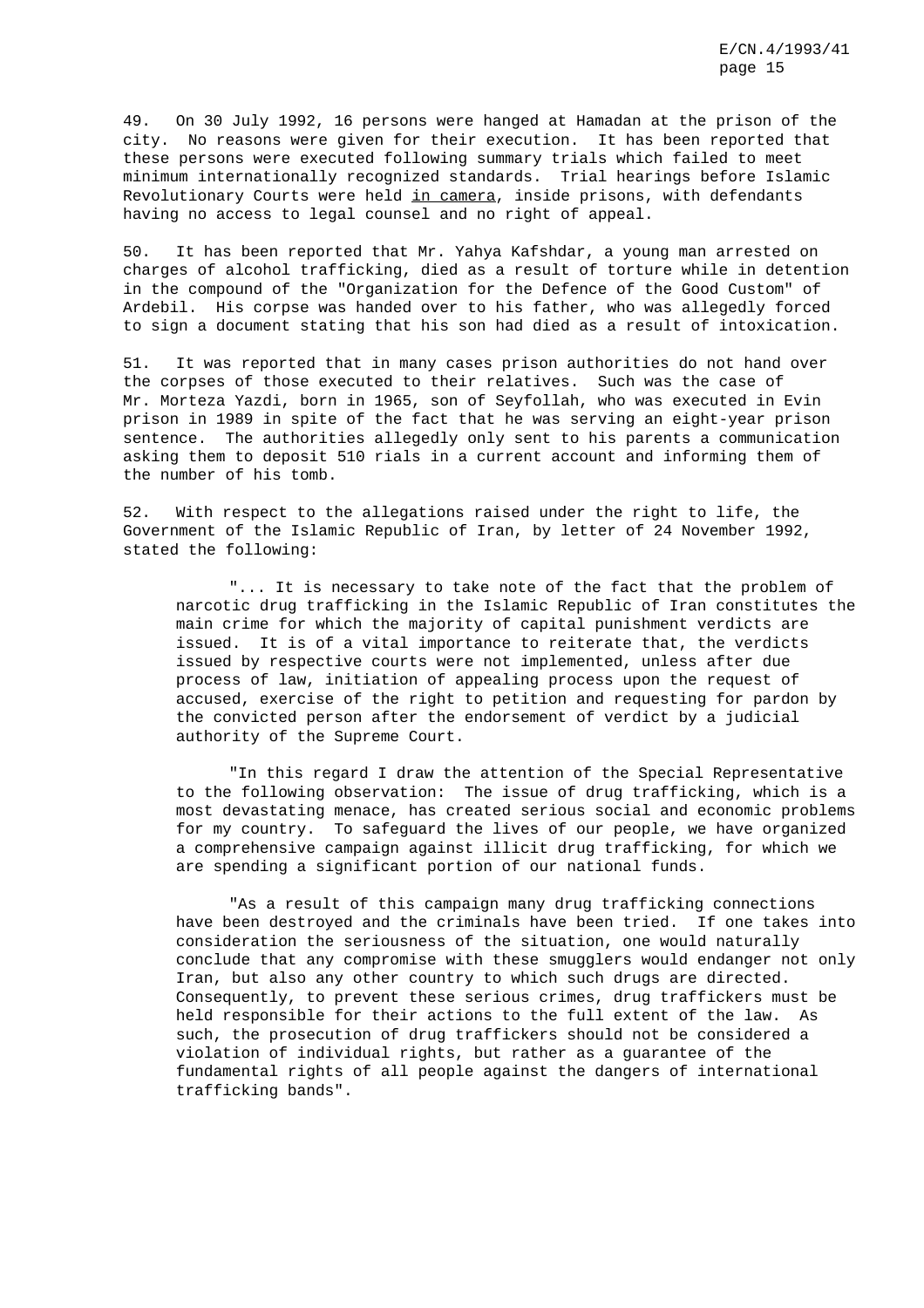49. On 30 July 1992, 16 persons were hanged at Hamadan at the prison of the city. No reasons were given for their execution. It has been reported that these persons were executed following summary trials which failed to meet minimum internationally recognized standards. Trial hearings before Islamic Revolutionary Courts were held in camera, inside prisons, with defendants having no access to legal counsel and no right of appeal.

50. It has been reported that Mr. Yahya Kafshdar, a young man arrested on charges of alcohol trafficking, died as a result of torture while in detention in the compound of the "Organization for the Defence of the Good Custom" of Ardebil. His corpse was handed over to his father, who was allegedly forced to sign a document stating that his son had died as a result of intoxication.

51. It was reported that in many cases prison authorities do not hand over the corpses of those executed to their relatives. Such was the case of Mr. Morteza Yazdi, born in 1965, son of Seyfollah, who was executed in Evin prison in 1989 in spite of the fact that he was serving an eight-year prison sentence. The authorities allegedly only sent to his parents a communication asking them to deposit 510 rials in a current account and informing them of the number of his tomb.

52. With respect to the allegations raised under the right to life, the Government of the Islamic Republic of Iran, by letter of 24 November 1992, stated the following:

"... It is necessary to take note of the fact that the problem of narcotic drug trafficking in the Islamic Republic of Iran constitutes the main crime for which the majority of capital punishment verdicts are issued. It is of a vital importance to reiterate that, the verdicts issued by respective courts were not implemented, unless after due process of law, initiation of appealing process upon the request of accused, exercise of the right to petition and requesting for pardon by the convicted person after the endorsement of verdict by a judicial authority of the Supreme Court.

"In this regard I draw the attention of the Special Representative to the following observation: The issue of drug trafficking, which is a most devastating menace, has created serious social and economic problems for my country. To safeguard the lives of our people, we have organized a comprehensive campaign against illicit drug trafficking, for which we are spending a significant portion of our national funds.

"As a result of this campaign many drug trafficking connections have been destroyed and the criminals have been tried. If one takes into consideration the seriousness of the situation, one would naturally conclude that any compromise with these smugglers would endanger not only Iran, but also any other country to which such drugs are directed. Consequently, to prevent these serious crimes, drug traffickers must be held responsible for their actions to the full extent of the law. As such, the prosecution of drug traffickers should not be considered a violation of individual rights, but rather as a guarantee of the fundamental rights of all people against the dangers of international trafficking bands".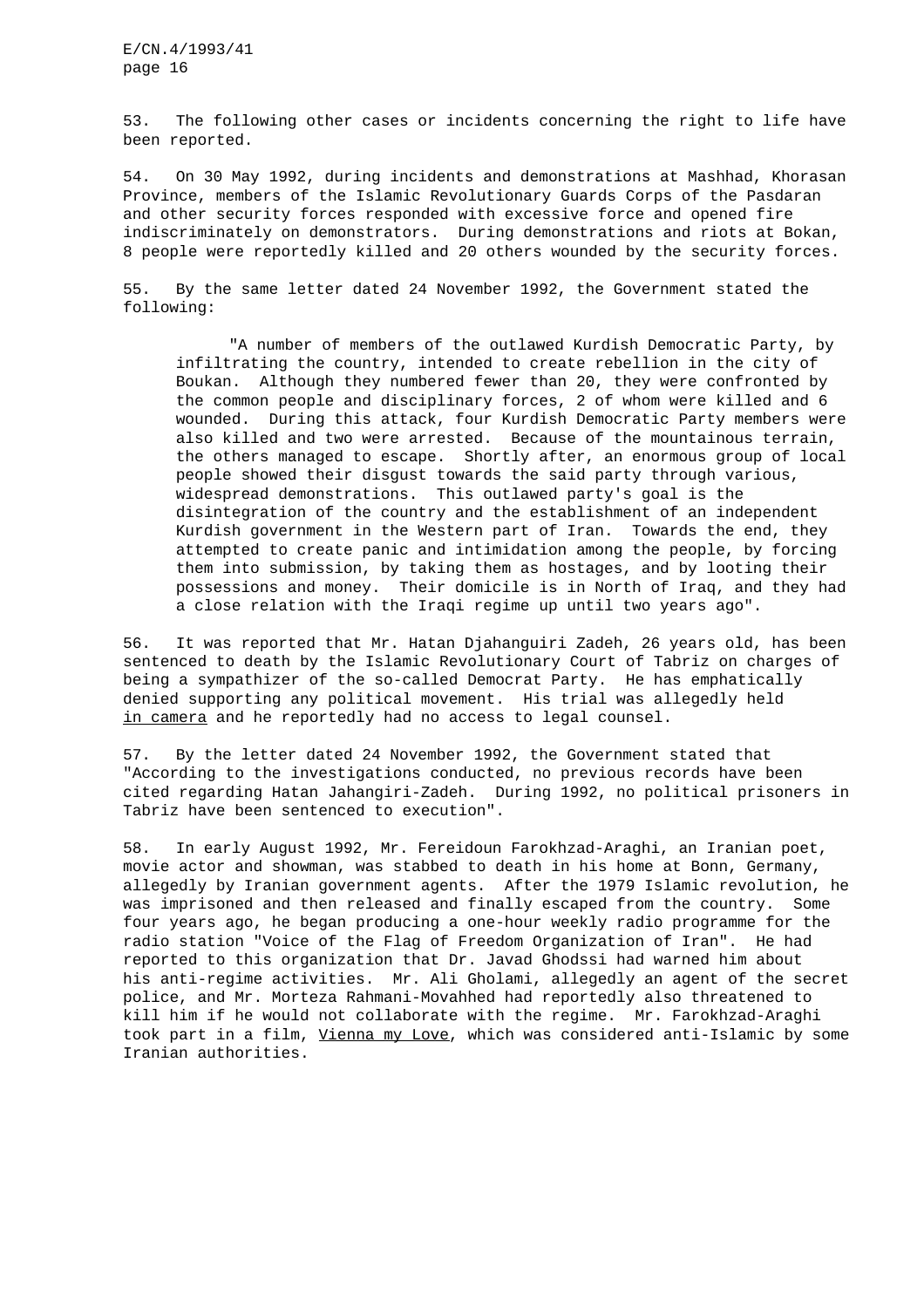53. The following other cases or incidents concerning the right to life have been reported.

54. On 30 May 1992, during incidents and demonstrations at Mashhad, Khorasan Province, members of the Islamic Revolutionary Guards Corps of the Pasdaran and other security forces responded with excessive force and opened fire indiscriminately on demonstrators. During demonstrations and riots at Bokan, 8 people were reportedly killed and 20 others wounded by the security forces.

55. By the same letter dated 24 November 1992, the Government stated the following:

"A number of members of the outlawed Kurdish Democratic Party, by infiltrating the country, intended to create rebellion in the city of Boukan. Although they numbered fewer than 20, they were confronted by the common people and disciplinary forces, 2 of whom were killed and 6 wounded. During this attack, four Kurdish Democratic Party members were also killed and two were arrested. Because of the mountainous terrain, the others managed to escape. Shortly after, an enormous group of local people showed their disgust towards the said party through various, widespread demonstrations. This outlawed party's goal is the disintegration of the country and the establishment of an independent Kurdish government in the Western part of Iran. Towards the end, they attempted to create panic and intimidation among the people, by forcing them into submission, by taking them as hostages, and by looting their possessions and money. Their domicile is in North of Iraq, and they had a close relation with the Iraqi regime up until two years ago".

56. It was reported that Mr. Hatan Djahanguiri Zadeh, 26 years old, has been sentenced to death by the Islamic Revolutionary Court of Tabriz on charges of being a sympathizer of the so-called Democrat Party. He has emphatically denied supporting any political movement. His trial was allegedly held in camera and he reportedly had no access to legal counsel.

57. By the letter dated 24 November 1992, the Government stated that "According to the investigations conducted, no previous records have been cited regarding Hatan Jahangiri-Zadeh. During 1992, no political prisoners in Tabriz have been sentenced to execution".

58. In early August 1992, Mr. Fereidoun Farokhzad-Araghi, an Iranian poet, movie actor and showman, was stabbed to death in his home at Bonn, Germany, allegedly by Iranian government agents. After the 1979 Islamic revolution, he was imprisoned and then released and finally escaped from the country. Some four years ago, he began producing a one-hour weekly radio programme for the radio station "Voice of the Flag of Freedom Organization of Iran". He had reported to this organization that Dr. Javad Ghodssi had warned him about his anti-regime activities. Mr. Ali Gholami, allegedly an agent of the secret police, and Mr. Morteza Rahmani-Movahhed had reportedly also threatened to kill him if he would not collaborate with the regime. Mr. Farokhzad-Araghi took part in a film, Vienna my Love, which was considered anti-Islamic by some Iranian authorities.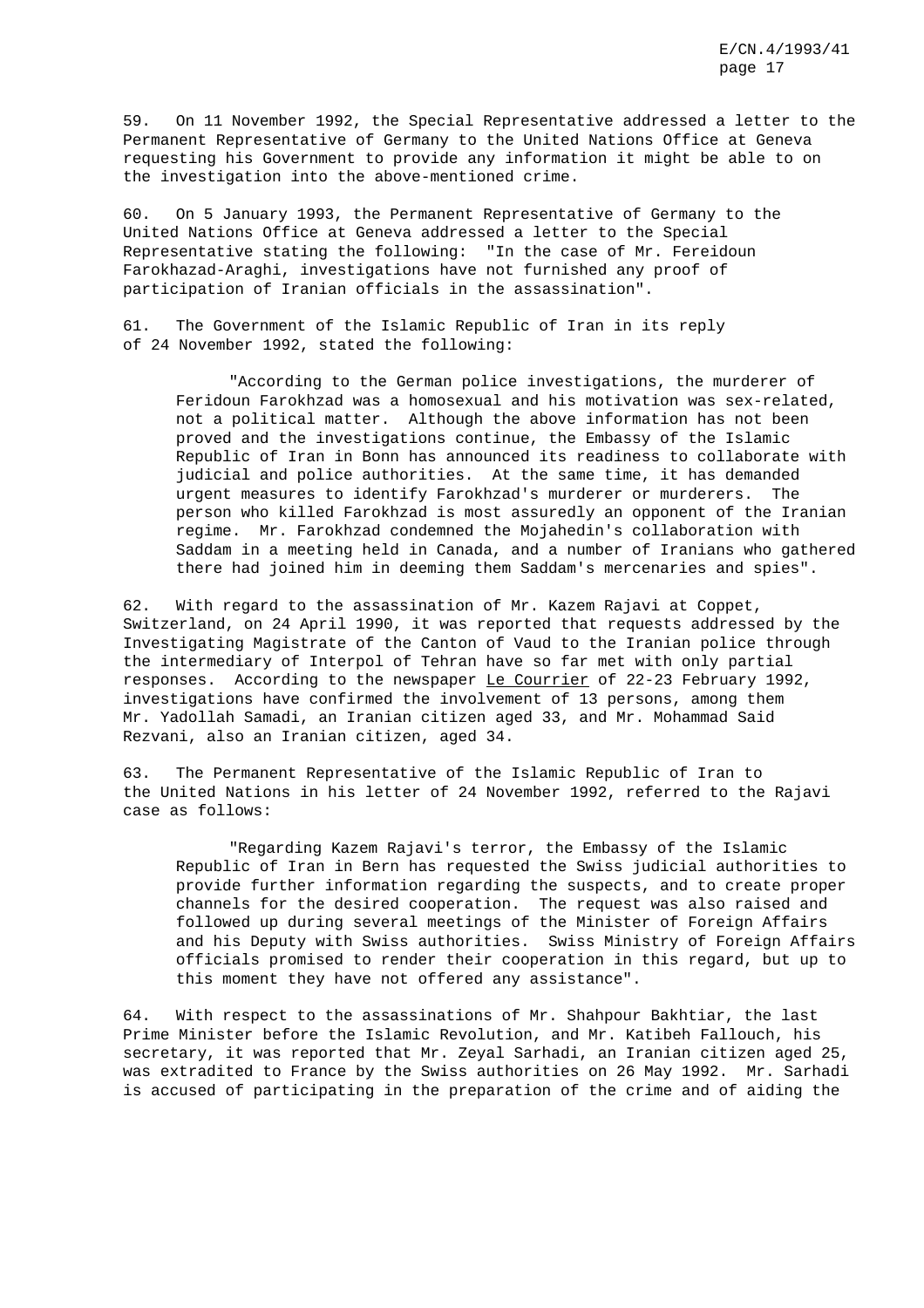59. On 11 November 1992, the Special Representative addressed a letter to the Permanent Representative of Germany to the United Nations Office at Geneva requesting his Government to provide any information it might be able to on the investigation into the above-mentioned crime.

60. On 5 January 1993, the Permanent Representative of Germany to the United Nations Office at Geneva addressed a letter to the Special Representative stating the following: "In the case of Mr. Fereidoun Farokhazad-Araghi, investigations have not furnished any proof of participation of Iranian officials in the assassination".

61. The Government of the Islamic Republic of Iran in its reply of 24 November 1992, stated the following:

"According to the German police investigations, the murderer of Feridoun Farokhzad was a homosexual and his motivation was sex-related, not a political matter. Although the above information has not been proved and the investigations continue, the Embassy of the Islamic Republic of Iran in Bonn has announced its readiness to collaborate with judicial and police authorities. At the same time, it has demanded urgent measures to identify Farokhzad's murderer or murderers. The person who killed Farokhzad is most assuredly an opponent of the Iranian regime. Mr. Farokhzad condemned the Mojahedin's collaboration with Saddam in a meeting held in Canada, and a number of Iranians who gathered there had joined him in deeming them Saddam's mercenaries and spies".

62. With regard to the assassination of Mr. Kazem Rajavi at Coppet, Switzerland, on 24 April 1990, it was reported that requests addressed by the Investigating Magistrate of the Canton of Vaud to the Iranian police through the intermediary of Interpol of Tehran have so far met with only partial responses. According to the newspaper Le Courrier of 22-23 February 1992, investigations have confirmed the involvement of 13 persons, among them Mr. Yadollah Samadi, an Iranian citizen aged 33, and Mr. Mohammad Said Rezvani, also an Iranian citizen, aged 34.

63. The Permanent Representative of the Islamic Republic of Iran to the United Nations in his letter of 24 November 1992, referred to the Rajavi case as follows:

"Regarding Kazem Rajavi's terror, the Embassy of the Islamic Republic of Iran in Bern has requested the Swiss judicial authorities to provide further information regarding the suspects, and to create proper channels for the desired cooperation. The request was also raised and followed up during several meetings of the Minister of Foreign Affairs and his Deputy with Swiss authorities. Swiss Ministry of Foreign Affairs officials promised to render their cooperation in this regard, but up to this moment they have not offered any assistance".

64. With respect to the assassinations of Mr. Shahpour Bakhtiar, the last Prime Minister before the Islamic Revolution, and Mr. Katibeh Fallouch, his secretary, it was reported that Mr. Zeyal Sarhadi, an Iranian citizen aged 25, was extradited to France by the Swiss authorities on 26 May 1992. Mr. Sarhadi is accused of participating in the preparation of the crime and of aiding the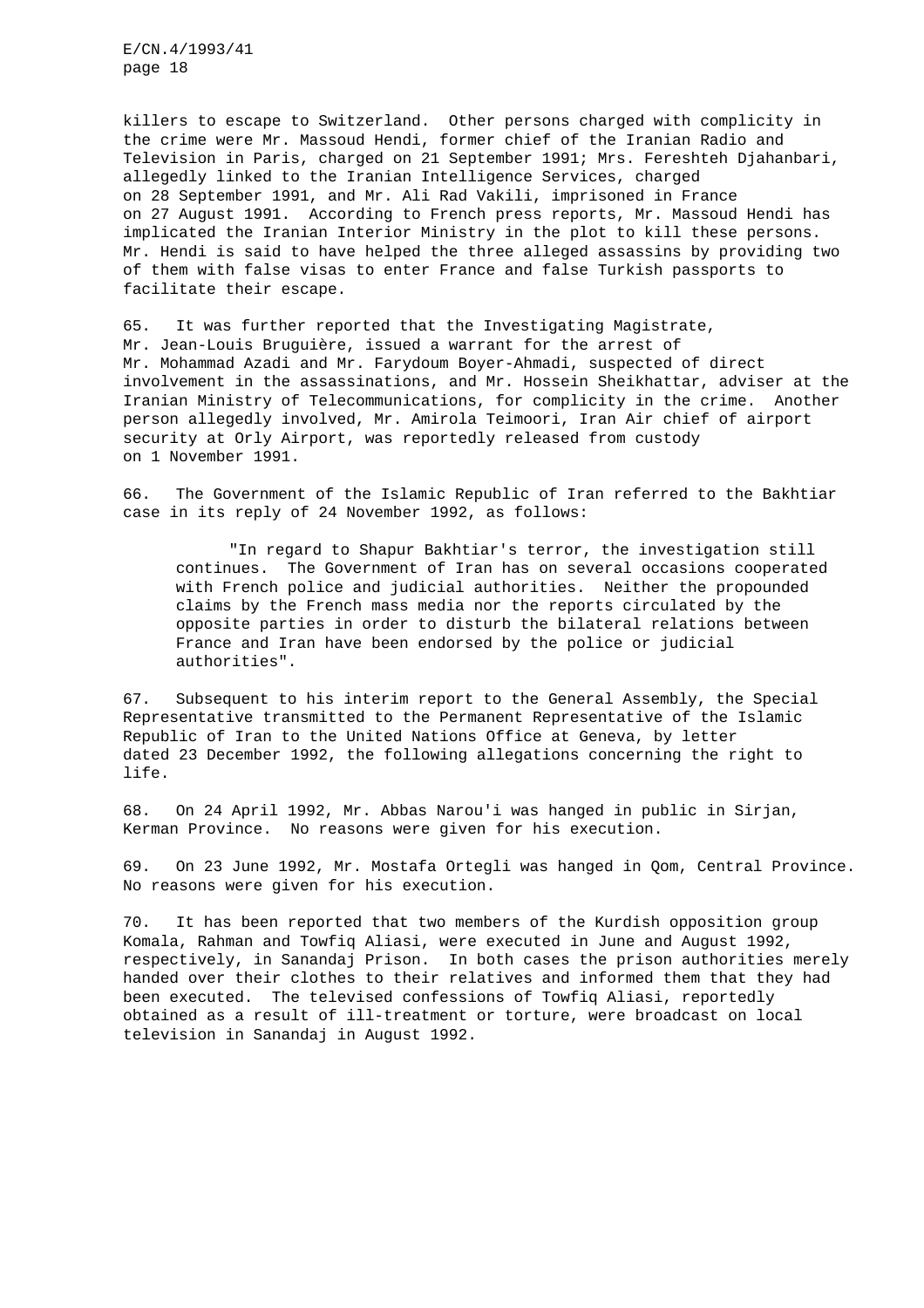killers to escape to Switzerland. Other persons charged with complicity in the crime were Mr. Massoud Hendi, former chief of the Iranian Radio and Television in Paris, charged on 21 September 1991; Mrs. Fereshteh Djahanbari, allegedly linked to the Iranian Intelligence Services, charged on 28 September 1991, and Mr. Ali Rad Vakili, imprisoned in France on 27 August 1991. According to French press reports, Mr. Massoud Hendi has implicated the Iranian Interior Ministry in the plot to kill these persons. Mr. Hendi is said to have helped the three alleged assassins by providing two of them with false visas to enter France and false Turkish passports to facilitate their escape.

65. It was further reported that the Investigating Magistrate, Mr. Jean-Louis Bruguière, issued a warrant for the arrest of Mr. Mohammad Azadi and Mr. Farydoum Boyer-Ahmadi, suspected of direct involvement in the assassinations, and Mr. Hossein Sheikhattar, adviser at the Iranian Ministry of Telecommunications, for complicity in the crime. Another person allegedly involved, Mr. Amirola Teimoori, Iran Air chief of airport security at Orly Airport, was reportedly released from custody on 1 November 1991.

66. The Government of the Islamic Republic of Iran referred to the Bakhtiar case in its reply of 24 November 1992, as follows:

"In regard to Shapur Bakhtiar's terror, the investigation still continues. The Government of Iran has on several occasions cooperated with French police and judicial authorities. Neither the propounded claims by the French mass media nor the reports circulated by the opposite parties in order to disturb the bilateral relations between France and Iran have been endorsed by the police or judicial authorities".

67. Subsequent to his interim report to the General Assembly, the Special Representative transmitted to the Permanent Representative of the Islamic Republic of Iran to the United Nations Office at Geneva, by letter dated 23 December 1992, the following allegations concerning the right to life.

68. On 24 April 1992, Mr. Abbas Narou'i was hanged in public in Sirjan, Kerman Province. No reasons were given for his execution.

69. On 23 June 1992, Mr. Mostafa Ortegli was hanged in Qom, Central Province. No reasons were given for his execution.

70. It has been reported that two members of the Kurdish opposition group Komala, Rahman and Towfiq Aliasi, were executed in June and August 1992, respectively, in Sanandaj Prison. In both cases the prison authorities merely handed over their clothes to their relatives and informed them that they had been executed. The televised confessions of Towfiq Aliasi, reportedly obtained as a result of ill-treatment or torture, were broadcast on local television in Sanandaj in August 1992.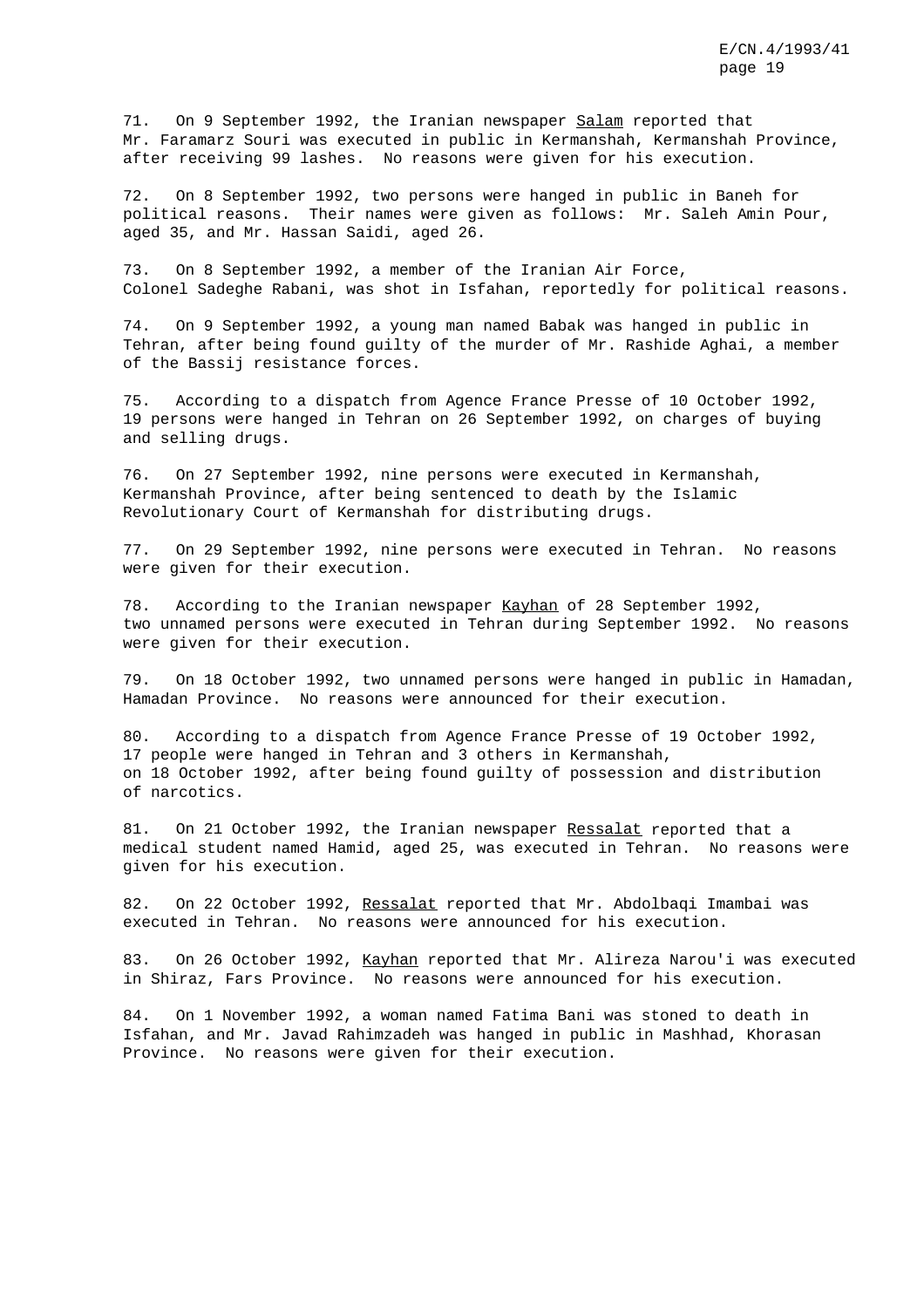71. On 9 September 1992, the Iranian newspaper Salam reported that Mr. Faramarz Souri was executed in public in Kermanshah, Kermanshah Province, after receiving 99 lashes. No reasons were given for his execution.

72. On 8 September 1992, two persons were hanged in public in Baneh for political reasons. Their names were given as follows: Mr. Saleh Amin Pour, aged 35, and Mr. Hassan Saidi, aged 26.

73. On 8 September 1992, a member of the Iranian Air Force, Colonel Sadeghe Rabani, was shot in Isfahan, reportedly for political reasons.

74. On 9 September 1992, a young man named Babak was hanged in public in Tehran, after being found guilty of the murder of Mr. Rashide Aghai, a member of the Bassij resistance forces.

75. According to a dispatch from Agence France Presse of 10 October 1992, 19 persons were hanged in Tehran on 26 September 1992, on charges of buying and selling drugs.

76. On 27 September 1992, nine persons were executed in Kermanshah, Kermanshah Province, after being sentenced to death by the Islamic Revolutionary Court of Kermanshah for distributing drugs.

77. On 29 September 1992, nine persons were executed in Tehran. No reasons were given for their execution.

78. According to the Iranian newspaper Kayhan of 28 September 1992, two unnamed persons were executed in Tehran during September 1992. No reasons were given for their execution.

79. On 18 October 1992, two unnamed persons were hanged in public in Hamadan, Hamadan Province. No reasons were announced for their execution.

80. According to a dispatch from Agence France Presse of 19 October 1992, 17 people were hanged in Tehran and 3 others in Kermanshah, on 18 October 1992, after being found guilty of possession and distribution of narcotics.

81. On 21 October 1992, the Iranian newspaper Ressalat reported that a medical student named Hamid, aged 25, was executed in Tehran. No reasons were given for his execution.

82. On 22 October 1992, Ressalat reported that Mr. Abdolbaqi Imambai was executed in Tehran. No reasons were announced for his execution.

83. On 26 October 1992, Kayhan reported that Mr. Alireza Narou'i was executed in Shiraz, Fars Province. No reasons were announced for his execution.

84. On 1 November 1992, a woman named Fatima Bani was stoned to death in Isfahan, and Mr. Javad Rahimzadeh was hanged in public in Mashhad, Khorasan Province. No reasons were given for their execution.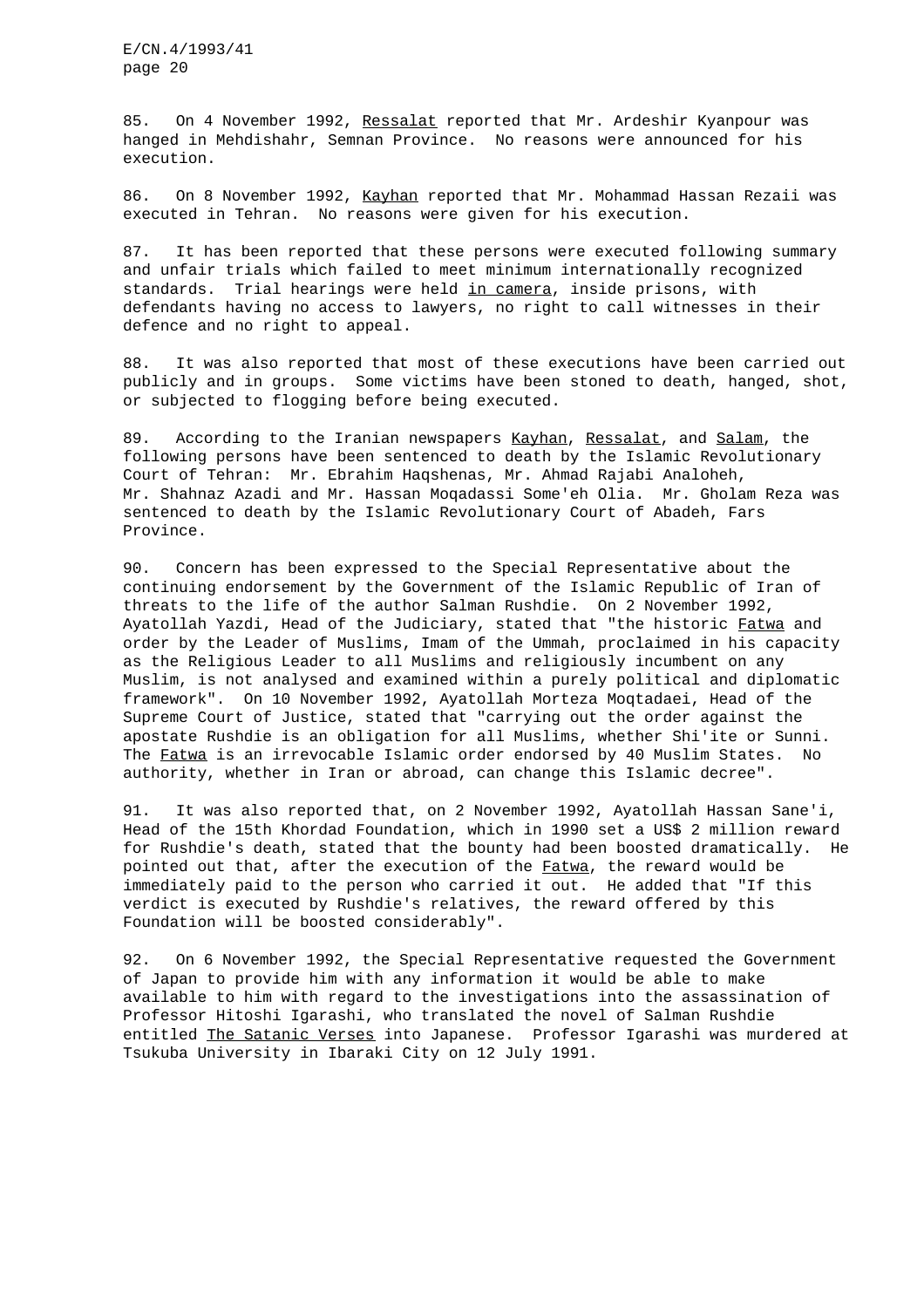85. On 4 November 1992, Ressalat reported that Mr. Ardeshir Kyanpour was hanged in Mehdishahr, Semnan Province. No reasons were announced for his execution.

86. On 8 November 1992, Kayhan reported that Mr. Mohammad Hassan Rezaii was executed in Tehran. No reasons were given for his execution.

87. It has been reported that these persons were executed following summary and unfair trials which failed to meet minimum internationally recognized standards. Trial hearings were held in camera, inside prisons, with defendants having no access to lawyers, no right to call witnesses in their defence and no right to appeal.

88. It was also reported that most of these executions have been carried out publicly and in groups. Some victims have been stoned to death, hanged, shot, or subjected to flogging before being executed.

89. According to the Iranian newspapers Kayhan, Ressalat, and Salam, the following persons have been sentenced to death by the Islamic Revolutionary Court of Tehran: Mr. Ebrahim Haqshenas, Mr. Ahmad Rajabi Analoheh, Mr. Shahnaz Azadi and Mr. Hassan Moqadassi Some'eh Olia. Mr. Gholam Reza was sentenced to death by the Islamic Revolutionary Court of Abadeh, Fars Province.

90. Concern has been expressed to the Special Representative about the continuing endorsement by the Government of the Islamic Republic of Iran of threats to the life of the author Salman Rushdie. On 2 November 1992, Ayatollah Yazdi, Head of the Judiciary, stated that "the historic Fatwa and order by the Leader of Muslims, Imam of the Ummah, proclaimed in his capacity as the Religious Leader to all Muslims and religiously incumbent on any Muslim, is not analysed and examined within a purely political and diplomatic framework". On 10 November 1992, Ayatollah Morteza Moqtadaei, Head of the Supreme Court of Justice, stated that "carrying out the order against the apostate Rushdie is an obligation for all Muslims, whether Shi'ite or Sunni. The Fatwa is an irrevocable Islamic order endorsed by 40 Muslim States. No authority, whether in Iran or abroad, can change this Islamic decree".

91. It was also reported that, on 2 November 1992, Ayatollah Hassan Sane'i, Head of the 15th Khordad Foundation, which in 1990 set a US\$ 2 million reward for Rushdie's death, stated that the bounty had been boosted dramatically. He pointed out that, after the execution of the Fatwa, the reward would be immediately paid to the person who carried it out. He added that "If this verdict is executed by Rushdie's relatives, the reward offered by this Foundation will be boosted considerably".

92. On 6 November 1992, the Special Representative requested the Government of Japan to provide him with any information it would be able to make available to him with regard to the investigations into the assassination of Professor Hitoshi Igarashi, who translated the novel of Salman Rushdie entitled The Satanic Verses into Japanese. Professor Igarashi was murdered at Tsukuba University in Ibaraki City on 12 July 1991.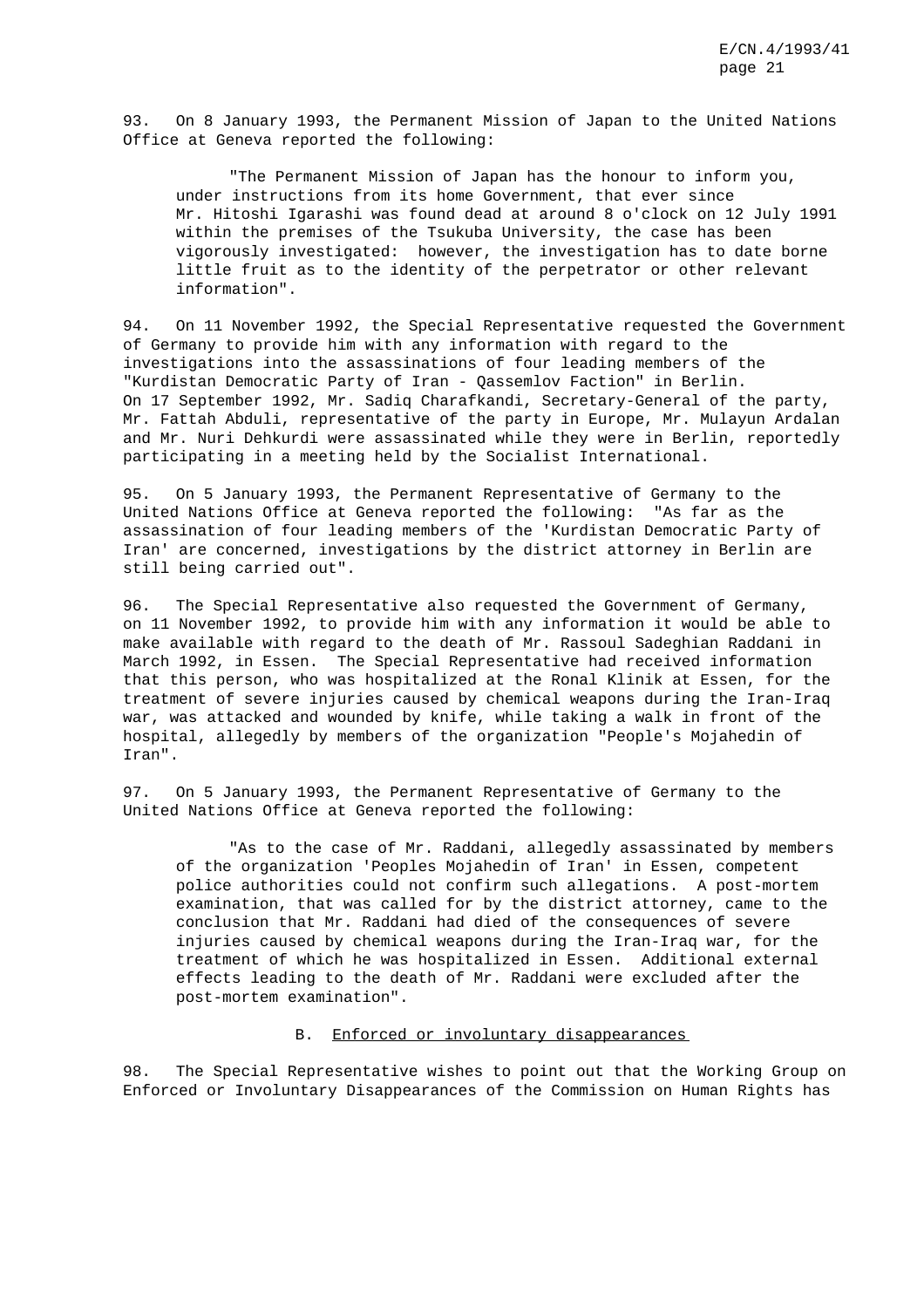93. On 8 January 1993, the Permanent Mission of Japan to the United Nations Office at Geneva reported the following:

"The Permanent Mission of Japan has the honour to inform you, under instructions from its home Government, that ever since Mr. Hitoshi Igarashi was found dead at around 8 o'clock on 12 July 1991 within the premises of the Tsukuba University, the case has been vigorously investigated: however, the investigation has to date borne little fruit as to the identity of the perpetrator or other relevant information".

94. On 11 November 1992, the Special Representative requested the Government of Germany to provide him with any information with regard to the investigations into the assassinations of four leading members of the "Kurdistan Democratic Party of Iran - Qassemlov Faction" in Berlin. On 17 September 1992, Mr. Sadiq Charafkandi, Secretary-General of the party, Mr. Fattah Abduli, representative of the party in Europe, Mr. Mulayun Ardalan and Mr. Nuri Dehkurdi were assassinated while they were in Berlin, reportedly participating in a meeting held by the Socialist International.

95. On 5 January 1993, the Permanent Representative of Germany to the United Nations Office at Geneva reported the following: "As far as the assassination of four leading members of the 'Kurdistan Democratic Party of Iran' are concerned, investigations by the district attorney in Berlin are still being carried out".

96. The Special Representative also requested the Government of Germany, on 11 November 1992, to provide him with any information it would be able to make available with regard to the death of Mr. Rassoul Sadeghian Raddani in March 1992, in Essen. The Special Representative had received information that this person, who was hospitalized at the Ronal Klinik at Essen, for the treatment of severe injuries caused by chemical weapons during the Iran-Iraq war, was attacked and wounded by knife, while taking a walk in front of the hospital, allegedly by members of the organization "People's Mojahedin of Iran".

97. On 5 January 1993, the Permanent Representative of Germany to the United Nations Office at Geneva reported the following:

"As to the case of Mr. Raddani, allegedly assassinated by members of the organization 'Peoples Mojahedin of Iran' in Essen, competent police authorities could not confirm such allegations. A post-mortem examination, that was called for by the district attorney, came to the conclusion that Mr. Raddani had died of the consequences of severe injuries caused by chemical weapons during the Iran-Iraq war, for the treatment of which he was hospitalized in Essen. Additional external effects leading to the death of Mr. Raddani were excluded after the post-mortem examination".

## B. Enforced or involuntary disappearances

98. The Special Representative wishes to point out that the Working Group on Enforced or Involuntary Disappearances of the Commission on Human Rights has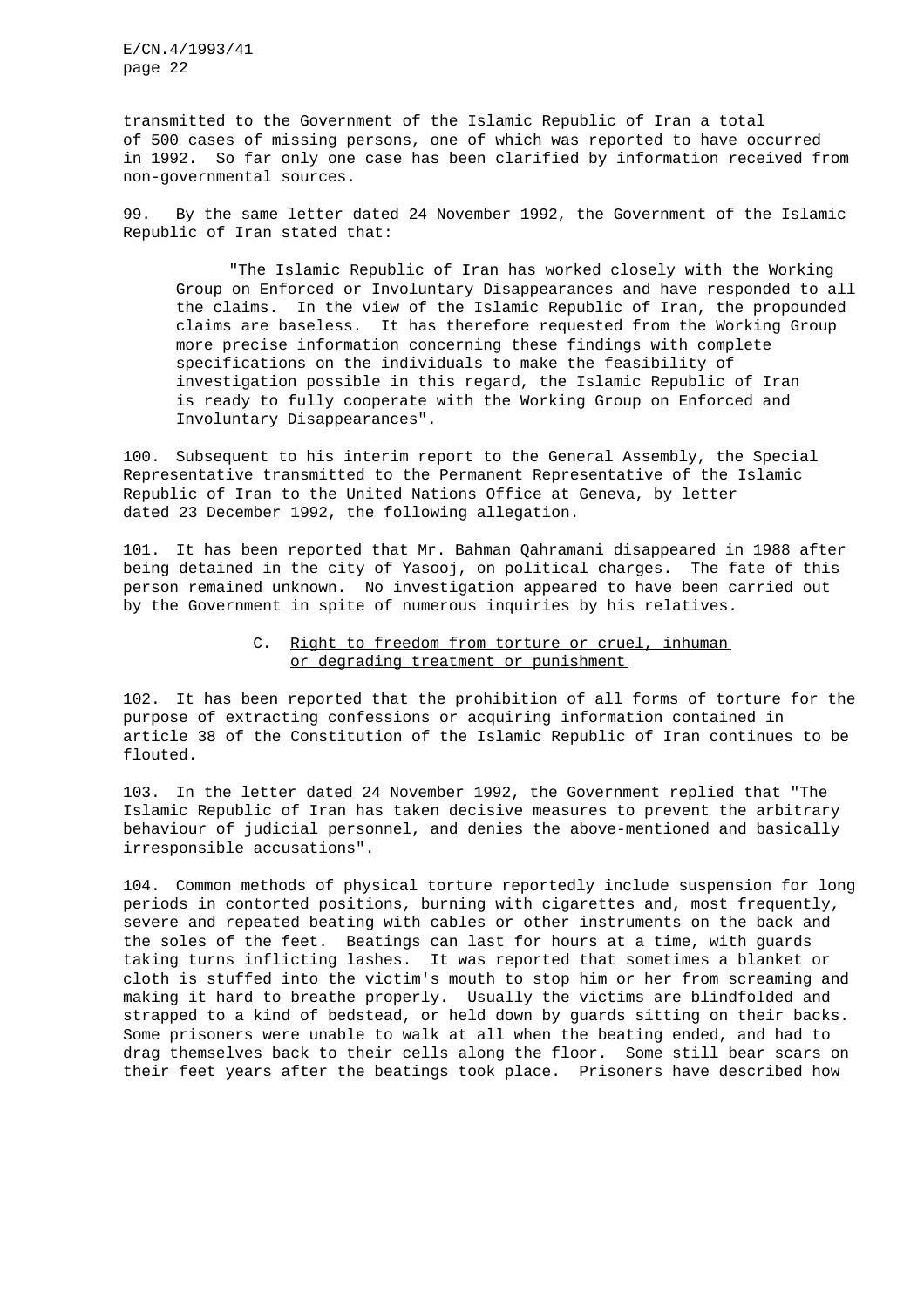transmitted to the Government of the Islamic Republic of Iran a total of 500 cases of missing persons, one of which was reported to have occurred in 1992. So far only one case has been clarified by information received from non-governmental sources.

99. By the same letter dated 24 November 1992, the Government of the Islamic Republic of Iran stated that:

"The Islamic Republic of Iran has worked closely with the Working Group on Enforced or Involuntary Disappearances and have responded to all the claims. In the view of the Islamic Republic of Iran, the propounded claims are baseless. It has therefore requested from the Working Group more precise information concerning these findings with complete specifications on the individuals to make the feasibility of investigation possible in this regard, the Islamic Republic of Iran is ready to fully cooperate with the Working Group on Enforced and Involuntary Disappearances".

100. Subsequent to his interim report to the General Assembly, the Special Representative transmitted to the Permanent Representative of the Islamic Republic of Iran to the United Nations Office at Geneva, by letter dated 23 December 1992, the following allegation.

101. It has been reported that Mr. Bahman Qahramani disappeared in 1988 after being detained in the city of Yasooj, on political charges. The fate of this person remained unknown. No investigation appeared to have been carried out by the Government in spite of numerous inquiries by his relatives.

## C. Right to freedom from torture or cruel, inhuman or degrading treatment or punishment

102. It has been reported that the prohibition of all forms of torture for the purpose of extracting confessions or acquiring information contained in article 38 of the Constitution of the Islamic Republic of Iran continues to be flouted.

103. In the letter dated 24 November 1992, the Government replied that "The Islamic Republic of Iran has taken decisive measures to prevent the arbitrary behaviour of judicial personnel, and denies the above-mentioned and basically irresponsible accusations".

104. Common methods of physical torture reportedly include suspension for long periods in contorted positions, burning with cigarettes and, most frequently, severe and repeated beating with cables or other instruments on the back and the soles of the feet. Beatings can last for hours at a time, with guards taking turns inflicting lashes. It was reported that sometimes a blanket or cloth is stuffed into the victim's mouth to stop him or her from screaming and making it hard to breathe properly. Usually the victims are blindfolded and strapped to a kind of bedstead, or held down by guards sitting on their backs. Some prisoners were unable to walk at all when the beating ended, and had to drag themselves back to their cells along the floor. Some still bear scars on their feet years after the beatings took place. Prisoners have described how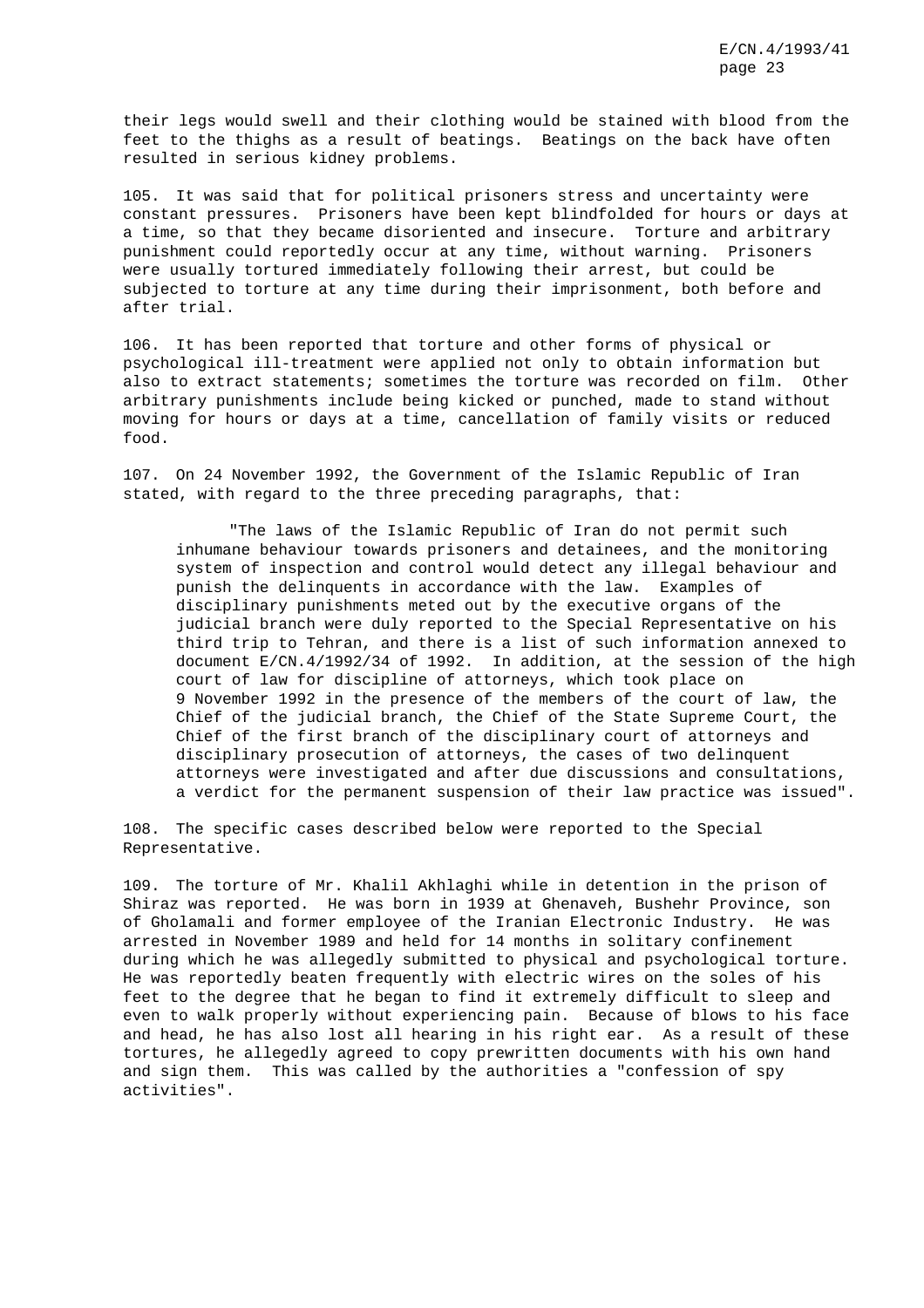their legs would swell and their clothing would be stained with blood from the feet to the thighs as a result of beatings. Beatings on the back have often resulted in serious kidney problems.

105. It was said that for political prisoners stress and uncertainty were constant pressures. Prisoners have been kept blindfolded for hours or days at a time, so that they became disoriented and insecure. Torture and arbitrary punishment could reportedly occur at any time, without warning. Prisoners were usually tortured immediately following their arrest, but could be subjected to torture at any time during their imprisonment, both before and after trial.

106. It has been reported that torture and other forms of physical or psychological ill-treatment were applied not only to obtain information but also to extract statements; sometimes the torture was recorded on film. Other arbitrary punishments include being kicked or punched, made to stand without moving for hours or days at a time, cancellation of family visits or reduced food.

107. On 24 November 1992, the Government of the Islamic Republic of Iran stated, with regard to the three preceding paragraphs, that:

"The laws of the Islamic Republic of Iran do not permit such inhumane behaviour towards prisoners and detainees, and the monitoring system of inspection and control would detect any illegal behaviour and punish the delinquents in accordance with the law. Examples of disciplinary punishments meted out by the executive organs of the judicial branch were duly reported to the Special Representative on his third trip to Tehran, and there is a list of such information annexed to document E/CN.4/1992/34 of 1992. In addition, at the session of the high court of law for discipline of attorneys, which took place on 9 November 1992 in the presence of the members of the court of law, the Chief of the judicial branch, the Chief of the State Supreme Court, the Chief of the first branch of the disciplinary court of attorneys and disciplinary prosecution of attorneys, the cases of two delinquent attorneys were investigated and after due discussions and consultations, a verdict for the permanent suspension of their law practice was issued".

108. The specific cases described below were reported to the Special Representative.

109. The torture of Mr. Khalil Akhlaghi while in detention in the prison of Shiraz was reported. He was born in 1939 at Ghenaveh, Bushehr Province, son of Gholamali and former employee of the Iranian Electronic Industry. He was arrested in November 1989 and held for 14 months in solitary confinement during which he was allegedly submitted to physical and psychological torture. He was reportedly beaten frequently with electric wires on the soles of his feet to the degree that he began to find it extremely difficult to sleep and even to walk properly without experiencing pain. Because of blows to his face and head, he has also lost all hearing in his right ear. As a result of these tortures, he allegedly agreed to copy prewritten documents with his own hand and sign them. This was called by the authorities a "confession of spy activities".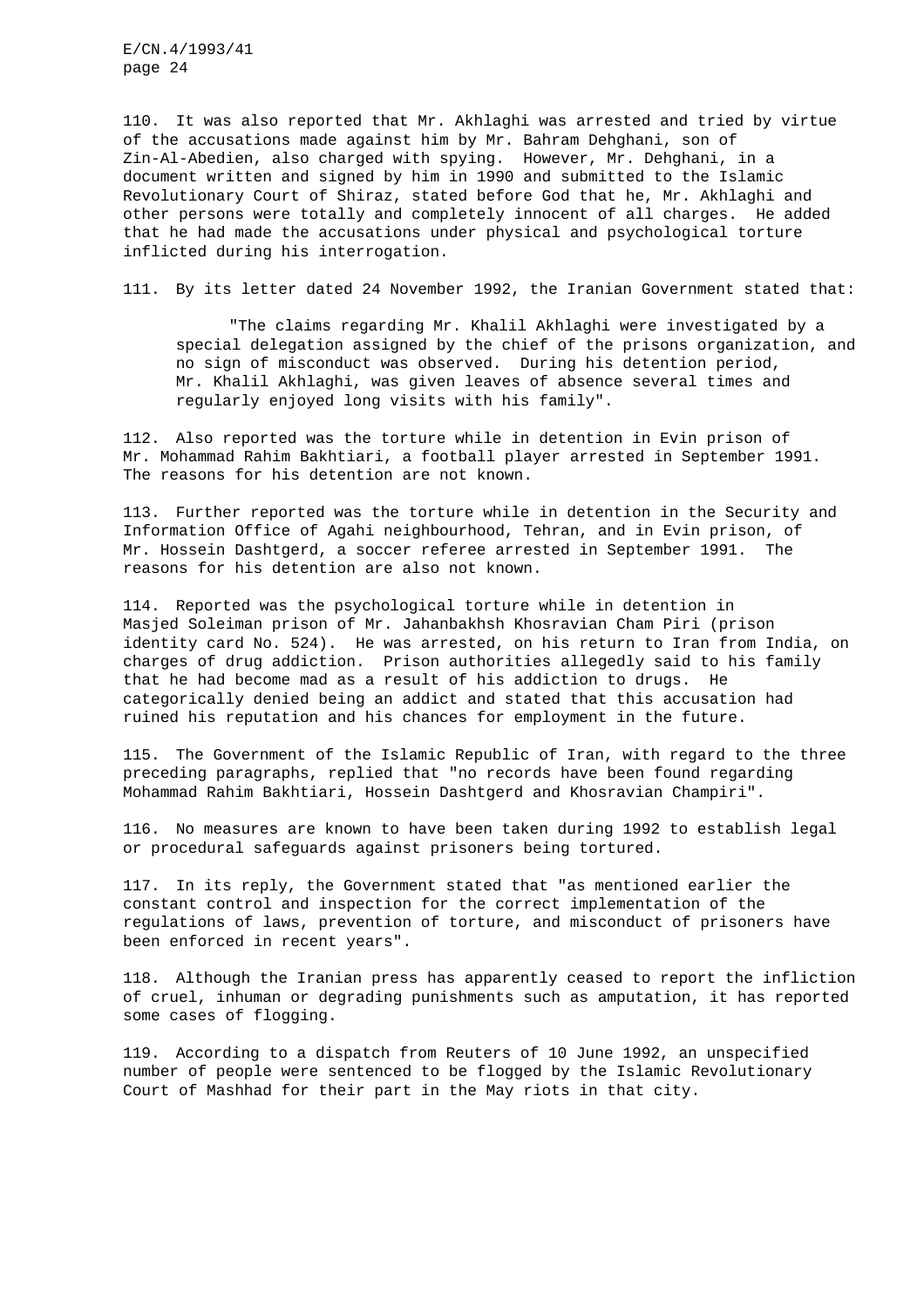110. It was also reported that Mr. Akhlaghi was arrested and tried by virtue of the accusations made against him by Mr. Bahram Dehghani, son of Zin-Al-Abedien, also charged with spying. However, Mr. Dehghani, in a document written and signed by him in 1990 and submitted to the Islamic Revolutionary Court of Shiraz, stated before God that he, Mr. Akhlaghi and other persons were totally and completely innocent of all charges. He added that he had made the accusations under physical and psychological torture inflicted during his interrogation.

111. By its letter dated 24 November 1992, the Iranian Government stated that:

"The claims regarding Mr. Khalil Akhlaghi were investigated by a special delegation assigned by the chief of the prisons organization, and no sign of misconduct was observed. During his detention period, Mr. Khalil Akhlaghi, was given leaves of absence several times and regularly enjoyed long visits with his family".

112. Also reported was the torture while in detention in Evin prison of Mr. Mohammad Rahim Bakhtiari, a football player arrested in September 1991. The reasons for his detention are not known.

113. Further reported was the torture while in detention in the Security and Information Office of Agahi neighbourhood, Tehran, and in Evin prison, of Mr. Hossein Dashtgerd, a soccer referee arrested in September 1991. The reasons for his detention are also not known.

114. Reported was the psychological torture while in detention in Masjed Soleiman prison of Mr. Jahanbakhsh Khosravian Cham Piri (prison identity card No. 524). He was arrested, on his return to Iran from India, on charges of drug addiction. Prison authorities allegedly said to his family that he had become mad as a result of his addiction to drugs. He categorically denied being an addict and stated that this accusation had ruined his reputation and his chances for employment in the future.

115. The Government of the Islamic Republic of Iran, with regard to the three preceding paragraphs, replied that "no records have been found regarding Mohammad Rahim Bakhtiari, Hossein Dashtgerd and Khosravian Champiri".

116. No measures are known to have been taken during 1992 to establish legal or procedural safeguards against prisoners being tortured.

117. In its reply, the Government stated that "as mentioned earlier the constant control and inspection for the correct implementation of the regulations of laws, prevention of torture, and misconduct of prisoners have been enforced in recent years".

118. Although the Iranian press has apparently ceased to report the infliction of cruel, inhuman or degrading punishments such as amputation, it has reported some cases of flogging.

119. According to a dispatch from Reuters of 10 June 1992, an unspecified number of people were sentenced to be flogged by the Islamic Revolutionary Court of Mashhad for their part in the May riots in that city.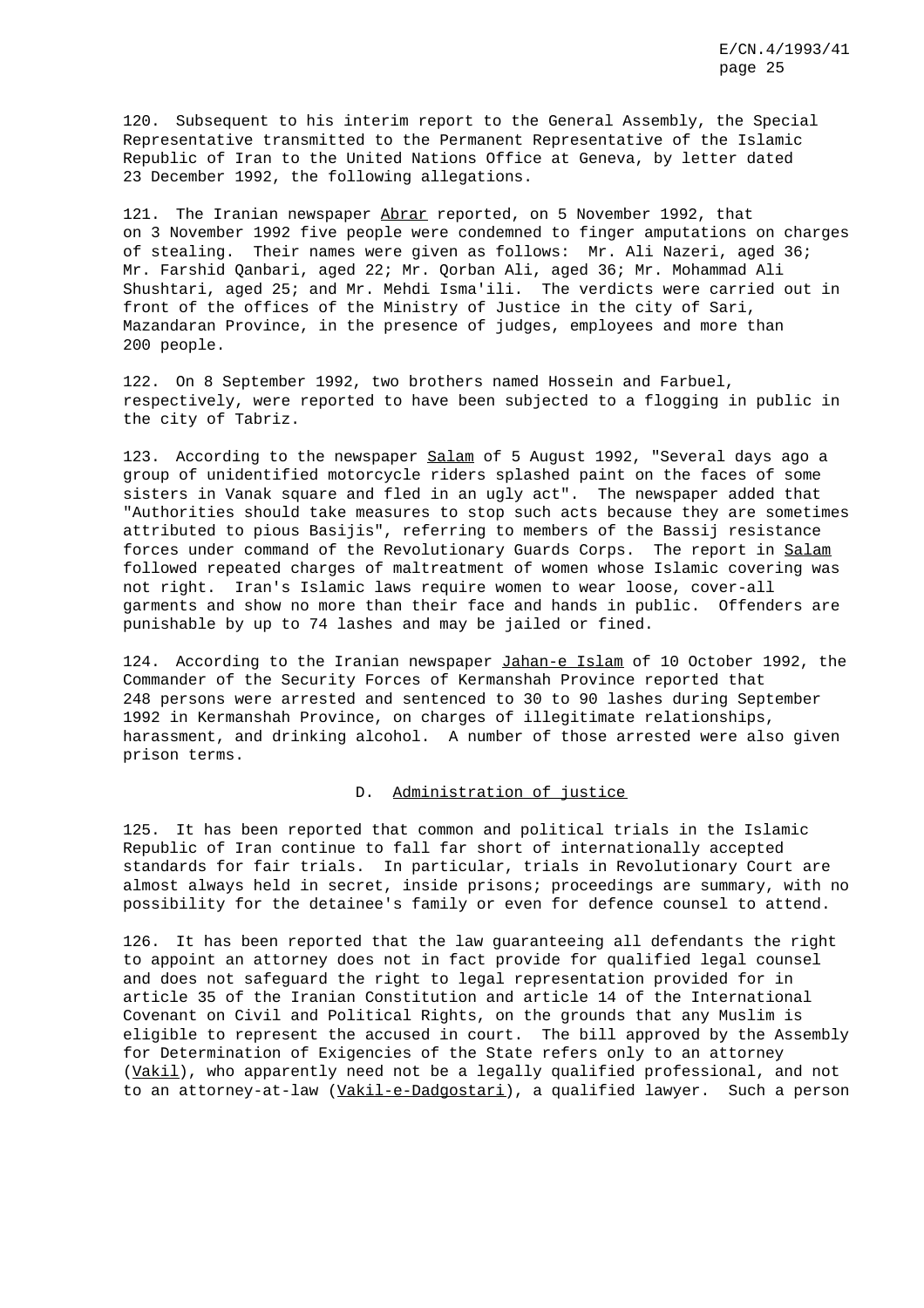120. Subsequent to his interim report to the General Assembly, the Special Representative transmitted to the Permanent Representative of the Islamic Republic of Iran to the United Nations Office at Geneva, by letter dated 23 December 1992, the following allegations.

121. The Iranian newspaper Abrar reported, on 5 November 1992, that on 3 November 1992 five people were condemned to finger amputations on charges of stealing. Their names were given as follows: Mr. Ali Nazeri, aged 36; Mr. Farshid Qanbari, aged 22; Mr. Qorban Ali, aged 36; Mr. Mohammad Ali Shushtari, aged 25; and Mr. Mehdi Isma'ili. The verdicts were carried out in front of the offices of the Ministry of Justice in the city of Sari, Mazandaran Province, in the presence of judges, employees and more than 200 people.

122. On 8 September 1992, two brothers named Hossein and Farbuel, respectively, were reported to have been subjected to a flogging in public in the city of Tabriz.

123. According to the newspaper Salam of 5 August 1992, "Several days ago a group of unidentified motorcycle riders splashed paint on the faces of some sisters in Vanak square and fled in an ugly act". The newspaper added that "Authorities should take measures to stop such acts because they are sometimes attributed to pious Basijis", referring to members of the Bassij resistance forces under command of the Revolutionary Guards Corps. The report in Salam followed repeated charges of maltreatment of women whose Islamic covering was not right. Iran's Islamic laws require women to wear loose, cover-all garments and show no more than their face and hands in public. Offenders are punishable by up to 74 lashes and may be jailed or fined.

124. According to the Iranian newspaper Jahan-e Islam of 10 October 1992, the Commander of the Security Forces of Kermanshah Province reported that 248 persons were arrested and sentenced to 30 to 90 lashes during September 1992 in Kermanshah Province, on charges of illegitimate relationships, harassment, and drinking alcohol. A number of those arrested were also given prison terms.

## D. Administration of justice

125. It has been reported that common and political trials in the Islamic Republic of Iran continue to fall far short of internationally accepted standards for fair trials. In particular, trials in Revolutionary Court are almost always held in secret, inside prisons; proceedings are summary, with no possibility for the detainee's family or even for defence counsel to attend.

126. It has been reported that the law guaranteeing all defendants the right to appoint an attorney does not in fact provide for qualified legal counsel and does not safeguard the right to legal representation provided for in article 35 of the Iranian Constitution and article 14 of the International Covenant on Civil and Political Rights, on the grounds that any Muslim is eligible to represent the accused in court. The bill approved by the Assembly for Determination of Exigencies of the State refers only to an attorney (Vakil), who apparently need not be a legally qualified professional, and not to an attorney-at-law (Vakil-e-Dadgostari), a qualified lawyer. Such a person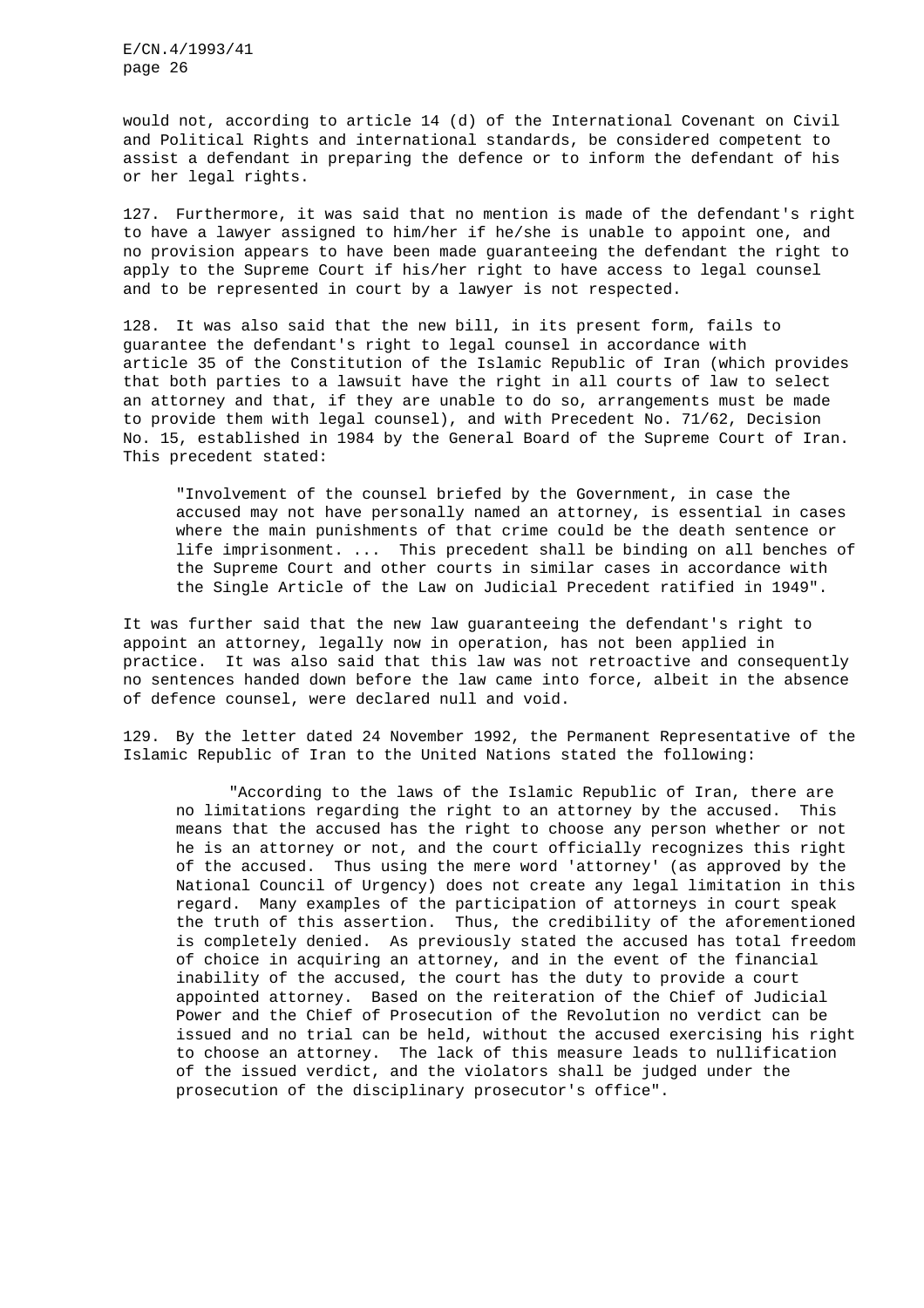would not, according to article 14 (d) of the International Covenant on Civil and Political Rights and international standards, be considered competent to assist a defendant in preparing the defence or to inform the defendant of his or her legal rights.

127. Furthermore, it was said that no mention is made of the defendant's right to have a lawyer assigned to him/her if he/she is unable to appoint one, and no provision appears to have been made guaranteeing the defendant the right to apply to the Supreme Court if his/her right to have access to legal counsel and to be represented in court by a lawyer is not respected.

128. It was also said that the new bill, in its present form, fails to guarantee the defendant's right to legal counsel in accordance with article 35 of the Constitution of the Islamic Republic of Iran (which provides that both parties to a lawsuit have the right in all courts of law to select an attorney and that, if they are unable to do so, arrangements must be made to provide them with legal counsel), and with Precedent No. 71/62, Decision No. 15, established in 1984 by the General Board of the Supreme Court of Iran. This precedent stated:

"Involvement of the counsel briefed by the Government, in case the accused may not have personally named an attorney, is essential in cases where the main punishments of that crime could be the death sentence or life imprisonment. ... This precedent shall be binding on all benches of the Supreme Court and other courts in similar cases in accordance with the Single Article of the Law on Judicial Precedent ratified in 1949".

It was further said that the new law guaranteeing the defendant's right to appoint an attorney, legally now in operation, has not been applied in practice. It was also said that this law was not retroactive and consequently no sentences handed down before the law came into force, albeit in the absence of defence counsel, were declared null and void.

129. By the letter dated 24 November 1992, the Permanent Representative of the Islamic Republic of Iran to the United Nations stated the following:

"According to the laws of the Islamic Republic of Iran, there are no limitations regarding the right to an attorney by the accused. This means that the accused has the right to choose any person whether or not he is an attorney or not, and the court officially recognizes this right of the accused. Thus using the mere word 'attorney' (as approved by the National Council of Urgency) does not create any legal limitation in this regard. Many examples of the participation of attorneys in court speak the truth of this assertion. Thus, the credibility of the aforementioned is completely denied. As previously stated the accused has total freedom of choice in acquiring an attorney, and in the event of the financial inability of the accused, the court has the duty to provide a court appointed attorney. Based on the reiteration of the Chief of Judicial Power and the Chief of Prosecution of the Revolution no verdict can be issued and no trial can be held, without the accused exercising his right to choose an attorney. The lack of this measure leads to nullification of the issued verdict, and the violators shall be judged under the prosecution of the disciplinary prosecutor's office".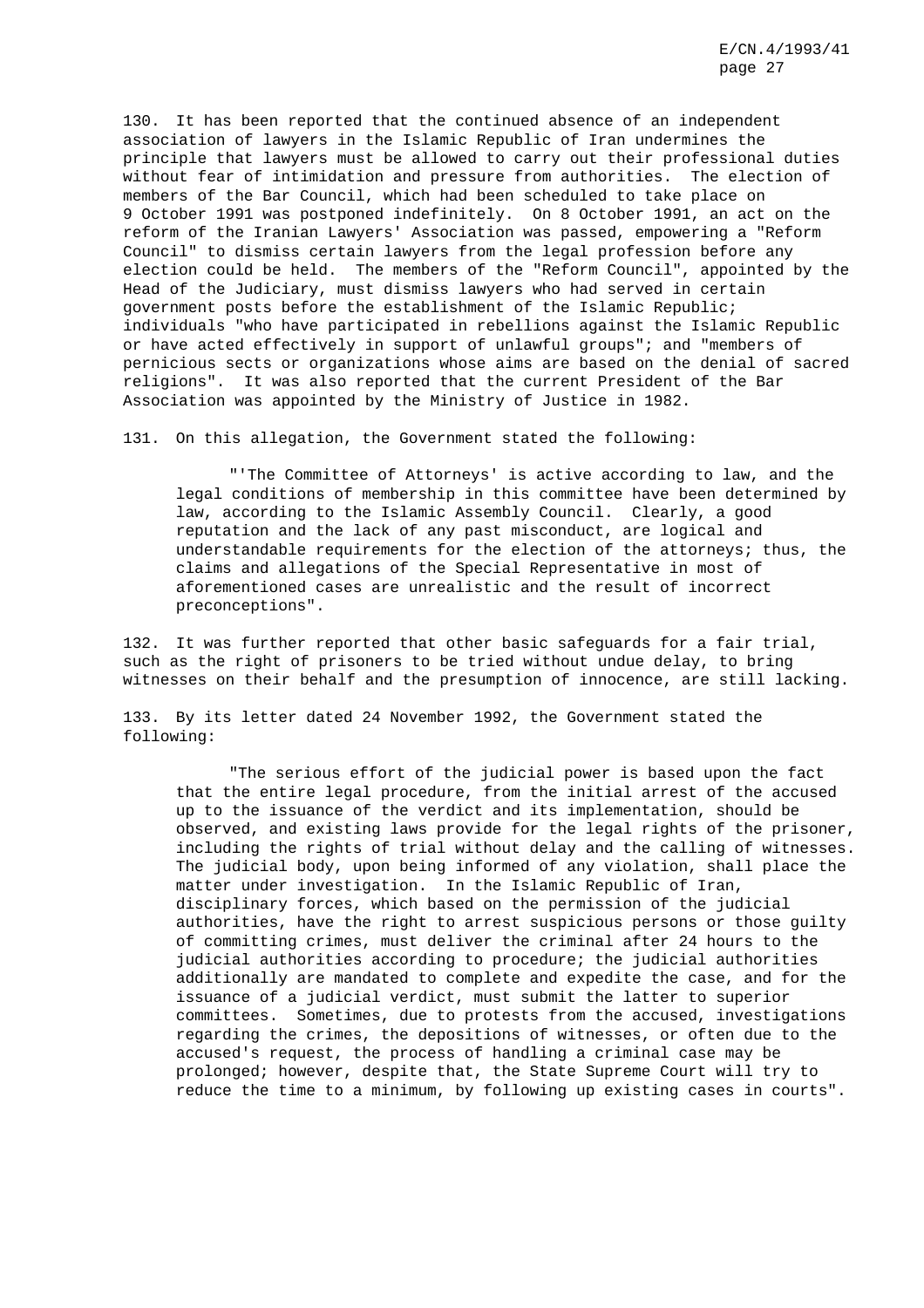130. It has been reported that the continued absence of an independent association of lawyers in the Islamic Republic of Iran undermines the principle that lawyers must be allowed to carry out their professional duties without fear of intimidation and pressure from authorities. The election of members of the Bar Council, which had been scheduled to take place on 9 October 1991 was postponed indefinitely. On 8 October 1991, an act on the reform of the Iranian Lawyers' Association was passed, empowering a "Reform Council" to dismiss certain lawyers from the legal profession before any election could be held. The members of the "Reform Council", appointed by the Head of the Judiciary, must dismiss lawyers who had served in certain government posts before the establishment of the Islamic Republic; individuals "who have participated in rebellions against the Islamic Republic or have acted effectively in support of unlawful groups"; and "members of pernicious sects or organizations whose aims are based on the denial of sacred religions". It was also reported that the current President of the Bar Association was appointed by the Ministry of Justice in 1982.

131. On this allegation, the Government stated the following:

"'The Committee of Attorneys' is active according to law, and the legal conditions of membership in this committee have been determined by law, according to the Islamic Assembly Council. Clearly, a good reputation and the lack of any past misconduct, are logical and understandable requirements for the election of the attorneys; thus, the claims and allegations of the Special Representative in most of aforementioned cases are unrealistic and the result of incorrect preconceptions".

132. It was further reported that other basic safeguards for a fair trial, such as the right of prisoners to be tried without undue delay, to bring witnesses on their behalf and the presumption of innocence, are still lacking.

133. By its letter dated 24 November 1992, the Government stated the following:

"The serious effort of the judicial power is based upon the fact that the entire legal procedure, from the initial arrest of the accused up to the issuance of the verdict and its implementation, should be observed, and existing laws provide for the legal rights of the prisoner, including the rights of trial without delay and the calling of witnesses. The judicial body, upon being informed of any violation, shall place the matter under investigation. In the Islamic Republic of Iran, disciplinary forces, which based on the permission of the judicial authorities, have the right to arrest suspicious persons or those guilty of committing crimes, must deliver the criminal after 24 hours to the judicial authorities according to procedure; the judicial authorities additionally are mandated to complete and expedite the case, and for the issuance of a judicial verdict, must submit the latter to superior committees. Sometimes, due to protests from the accused, investigations regarding the crimes, the depositions of witnesses, or often due to the accused's request, the process of handling a criminal case may be prolonged; however, despite that, the State Supreme Court will try to reduce the time to a minimum, by following up existing cases in courts".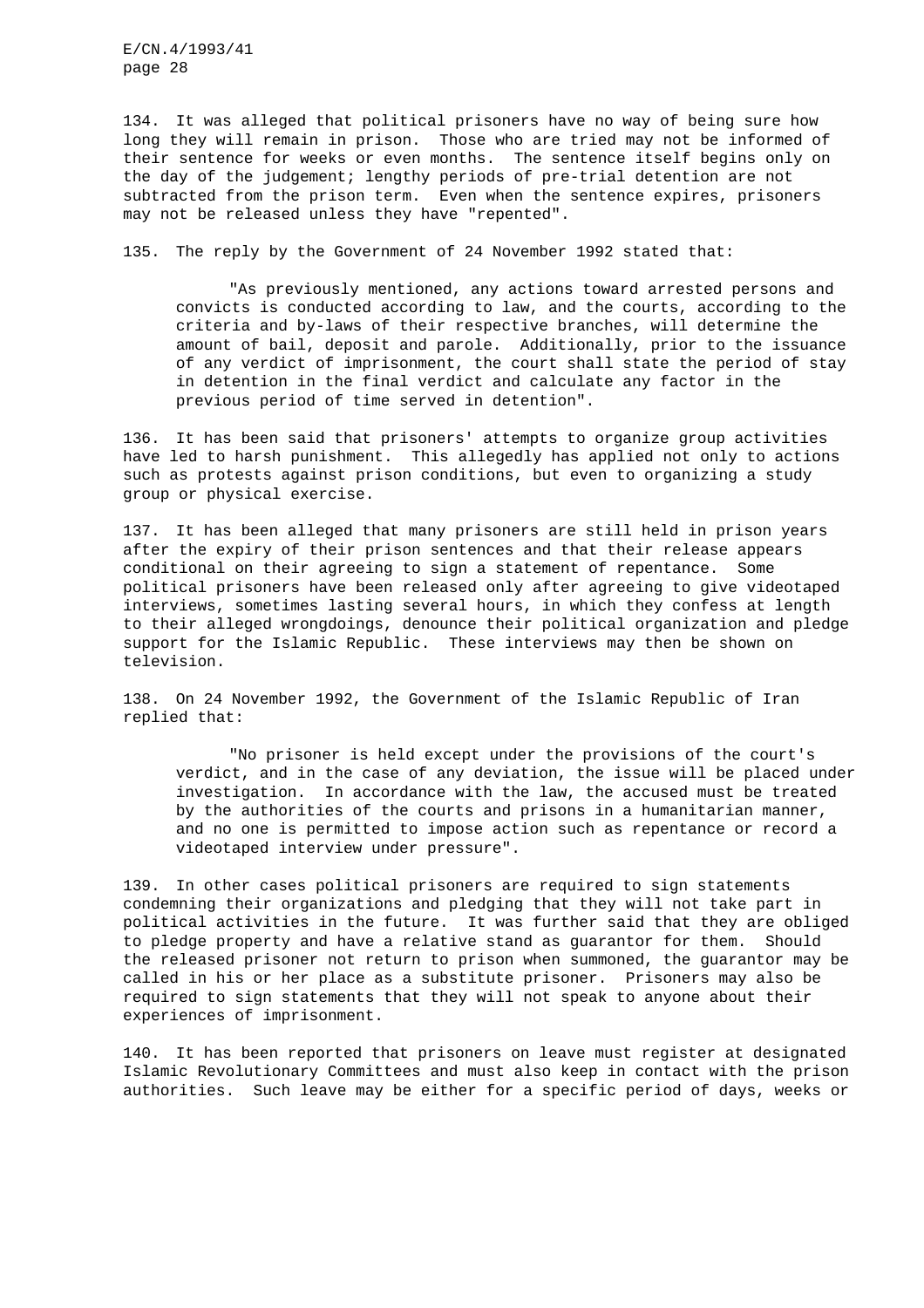134. It was alleged that political prisoners have no way of being sure how long they will remain in prison. Those who are tried may not be informed of their sentence for weeks or even months. The sentence itself begins only on the day of the judgement; lengthy periods of pre-trial detention are not subtracted from the prison term. Even when the sentence expires, prisoners may not be released unless they have "repented".

135. The reply by the Government of 24 November 1992 stated that:

"As previously mentioned, any actions toward arrested persons and convicts is conducted according to law, and the courts, according to the criteria and by-laws of their respective branches, will determine the amount of bail, deposit and parole. Additionally, prior to the issuance of any verdict of imprisonment, the court shall state the period of stay in detention in the final verdict and calculate any factor in the previous period of time served in detention".

136. It has been said that prisoners' attempts to organize group activities have led to harsh punishment. This allegedly has applied not only to actions such as protests against prison conditions, but even to organizing a study group or physical exercise.

137. It has been alleged that many prisoners are still held in prison years after the expiry of their prison sentences and that their release appears conditional on their agreeing to sign a statement of repentance. Some political prisoners have been released only after agreeing to give videotaped interviews, sometimes lasting several hours, in which they confess at length to their alleged wrongdoings, denounce their political organization and pledge support for the Islamic Republic. These interviews may then be shown on television.

138. On 24 November 1992, the Government of the Islamic Republic of Iran replied that:

"No prisoner is held except under the provisions of the court's verdict, and in the case of any deviation, the issue will be placed under investigation. In accordance with the law, the accused must be treated by the authorities of the courts and prisons in a humanitarian manner, and no one is permitted to impose action such as repentance or record a videotaped interview under pressure".

139. In other cases political prisoners are required to sign statements condemning their organizations and pledging that they will not take part in political activities in the future. It was further said that they are obliged to pledge property and have a relative stand as guarantor for them. Should the released prisoner not return to prison when summoned, the guarantor may be called in his or her place as a substitute prisoner. Prisoners may also be required to sign statements that they will not speak to anyone about their experiences of imprisonment.

140. It has been reported that prisoners on leave must register at designated Islamic Revolutionary Committees and must also keep in contact with the prison authorities. Such leave may be either for a specific period of days, weeks or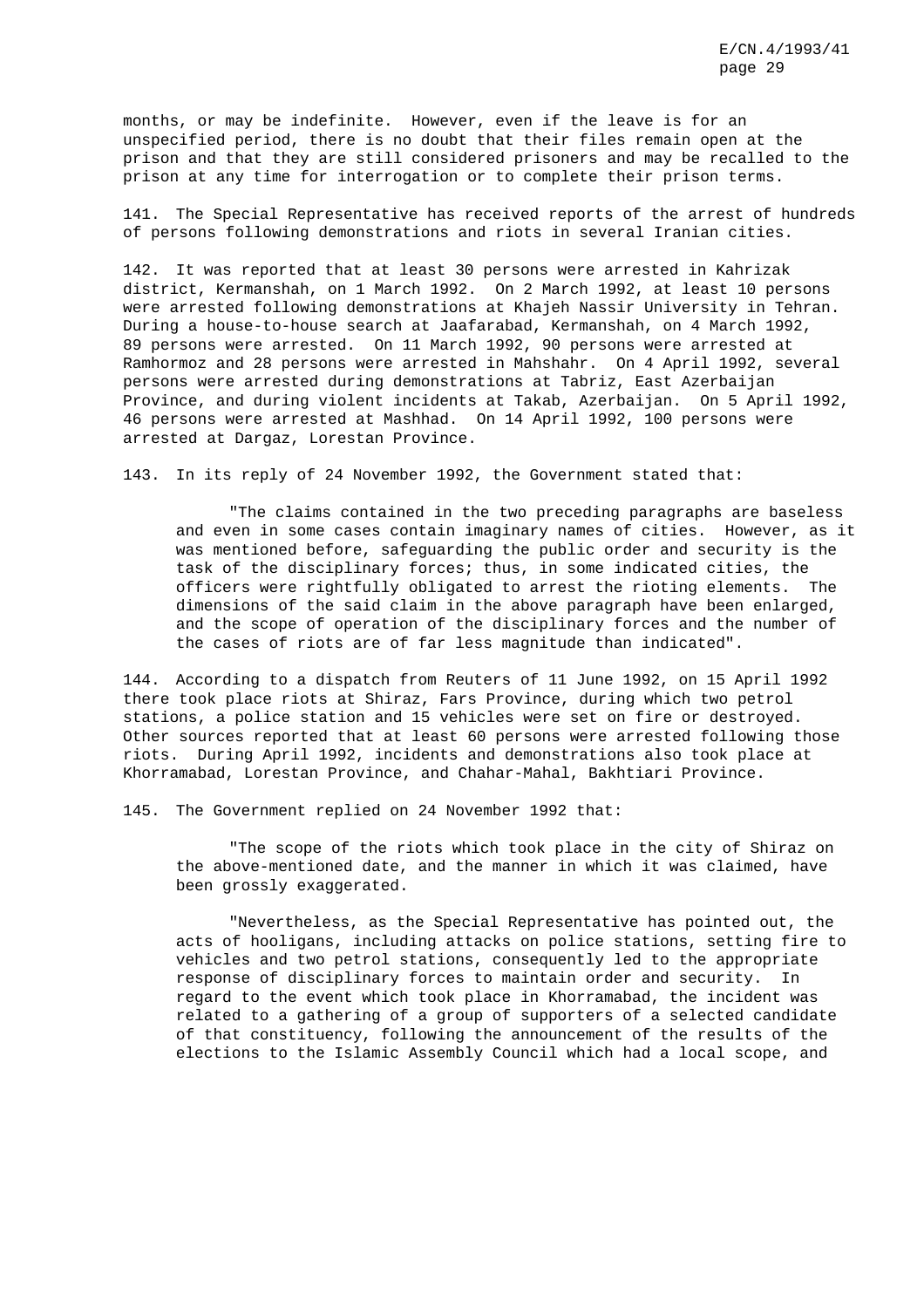months, or may be indefinite. However, even if the leave is for an unspecified period, there is no doubt that their files remain open at the prison and that they are still considered prisoners and may be recalled to the prison at any time for interrogation or to complete their prison terms.

141. The Special Representative has received reports of the arrest of hundreds of persons following demonstrations and riots in several Iranian cities.

142. It was reported that at least 30 persons were arrested in Kahrizak district, Kermanshah, on 1 March 1992. On 2 March 1992, at least 10 persons were arrested following demonstrations at Khajeh Nassir University in Tehran. During a house-to-house search at Jaafarabad, Kermanshah, on 4 March 1992, 89 persons were arrested. On 11 March 1992, 90 persons were arrested at Ramhormoz and 28 persons were arrested in Mahshahr. On 4 April 1992, several persons were arrested during demonstrations at Tabriz, East Azerbaijan Province, and during violent incidents at Takab, Azerbaijan. On 5 April 1992, 46 persons were arrested at Mashhad. On 14 April 1992, 100 persons were arrested at Dargaz, Lorestan Province.

143. In its reply of 24 November 1992, the Government stated that:

"The claims contained in the two preceding paragraphs are baseless and even in some cases contain imaginary names of cities. However, as it was mentioned before, safeguarding the public order and security is the task of the disciplinary forces; thus, in some indicated cities, the officers were rightfully obligated to arrest the rioting elements. The dimensions of the said claim in the above paragraph have been enlarged, and the scope of operation of the disciplinary forces and the number of the cases of riots are of far less magnitude than indicated".

144. According to a dispatch from Reuters of 11 June 1992, on 15 April 1992 there took place riots at Shiraz, Fars Province, during which two petrol stations, a police station and 15 vehicles were set on fire or destroyed. Other sources reported that at least 60 persons were arrested following those riots. During April 1992, incidents and demonstrations also took place at Khorramabad, Lorestan Province, and Chahar-Mahal, Bakhtiari Province.

145. The Government replied on 24 November 1992 that:

"The scope of the riots which took place in the city of Shiraz on the above-mentioned date, and the manner in which it was claimed, have been grossly exaggerated.

"Nevertheless, as the Special Representative has pointed out, the acts of hooligans, including attacks on police stations, setting fire to vehicles and two petrol stations, consequently led to the appropriate response of disciplinary forces to maintain order and security. In regard to the event which took place in Khorramabad, the incident was related to a gathering of a group of supporters of a selected candidate of that constituency, following the announcement of the results of the elections to the Islamic Assembly Council which had a local scope, and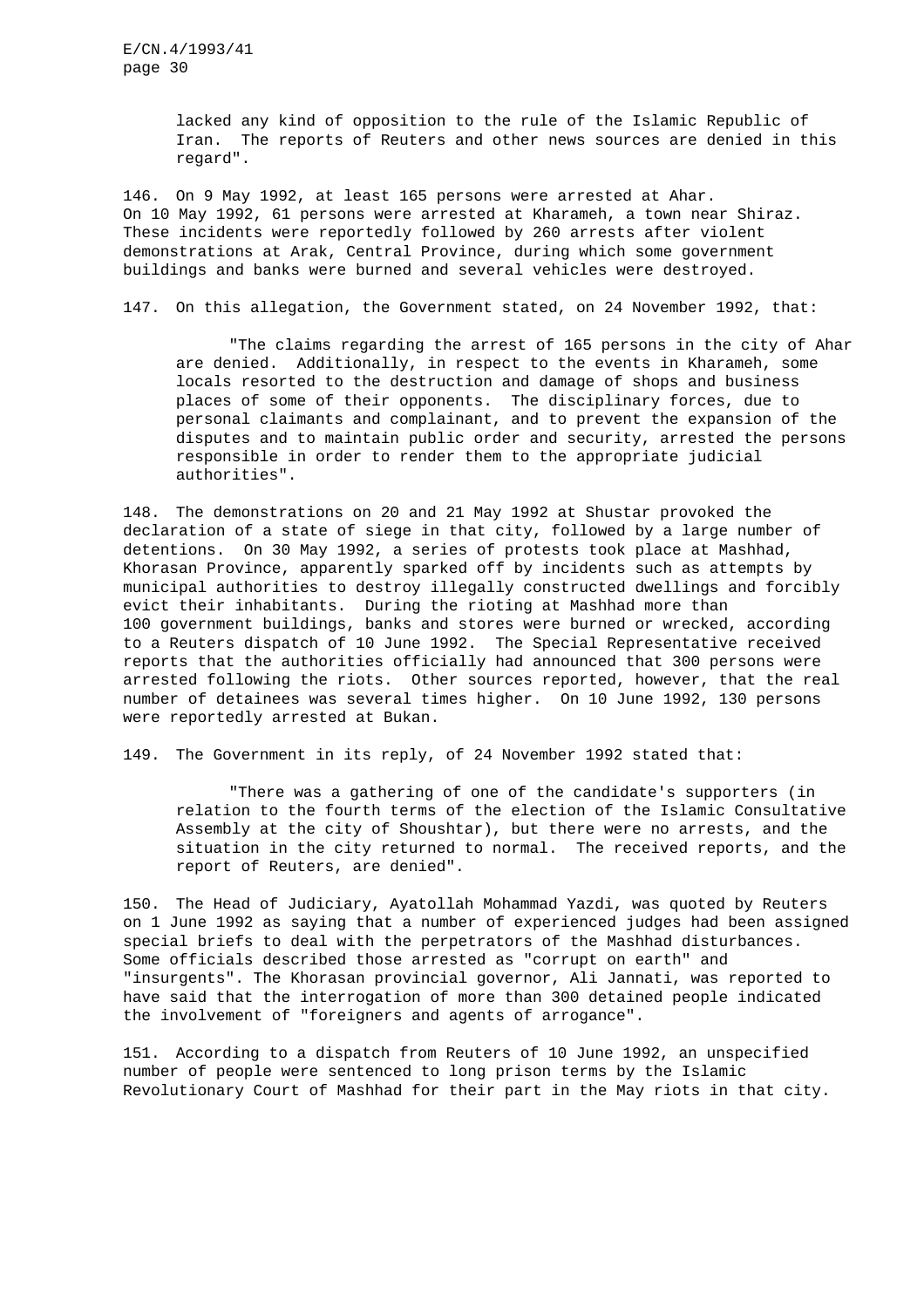lacked any kind of opposition to the rule of the Islamic Republic of Iran. The reports of Reuters and other news sources are denied in this regard".

146. On 9 May 1992, at least 165 persons were arrested at Ahar. On 10 May 1992, 61 persons were arrested at Kharameh, a town near Shiraz. These incidents were reportedly followed by 260 arrests after violent demonstrations at Arak, Central Province, during which some government buildings and banks were burned and several vehicles were destroyed.

147. On this allegation, the Government stated, on 24 November 1992, that:

"The claims regarding the arrest of 165 persons in the city of Ahar are denied. Additionally, in respect to the events in Kharameh, some locals resorted to the destruction and damage of shops and business places of some of their opponents. The disciplinary forces, due to personal claimants and complainant, and to prevent the expansion of the disputes and to maintain public order and security, arrested the persons responsible in order to render them to the appropriate judicial authorities".

148. The demonstrations on 20 and 21 May 1992 at Shustar provoked the declaration of a state of siege in that city, followed by a large number of detentions. On 30 May 1992, a series of protests took place at Mashhad, Khorasan Province, apparently sparked off by incidents such as attempts by municipal authorities to destroy illegally constructed dwellings and forcibly evict their inhabitants. During the rioting at Mashhad more than 100 government buildings, banks and stores were burned or wrecked, according to a Reuters dispatch of 10 June 1992. The Special Representative received reports that the authorities officially had announced that 300 persons were arrested following the riots. Other sources reported, however, that the real number of detainees was several times higher. On 10 June 1992, 130 persons were reportedly arrested at Bukan.

149. The Government in its reply, of 24 November 1992 stated that:

"There was a gathering of one of the candidate's supporters (in relation to the fourth terms of the election of the Islamic Consultative Assembly at the city of Shoushtar), but there were no arrests, and the situation in the city returned to normal. The received reports, and the report of Reuters, are denied".

150. The Head of Judiciary, Ayatollah Mohammad Yazdi, was quoted by Reuters on 1 June 1992 as saying that a number of experienced judges had been assigned special briefs to deal with the perpetrators of the Mashhad disturbances. Some officials described those arrested as "corrupt on earth" and "insurgents". The Khorasan provincial governor, Ali Jannati, was reported to have said that the interrogation of more than 300 detained people indicated the involvement of "foreigners and agents of arrogance".

151. According to a dispatch from Reuters of 10 June 1992, an unspecified number of people were sentenced to long prison terms by the Islamic Revolutionary Court of Mashhad for their part in the May riots in that city.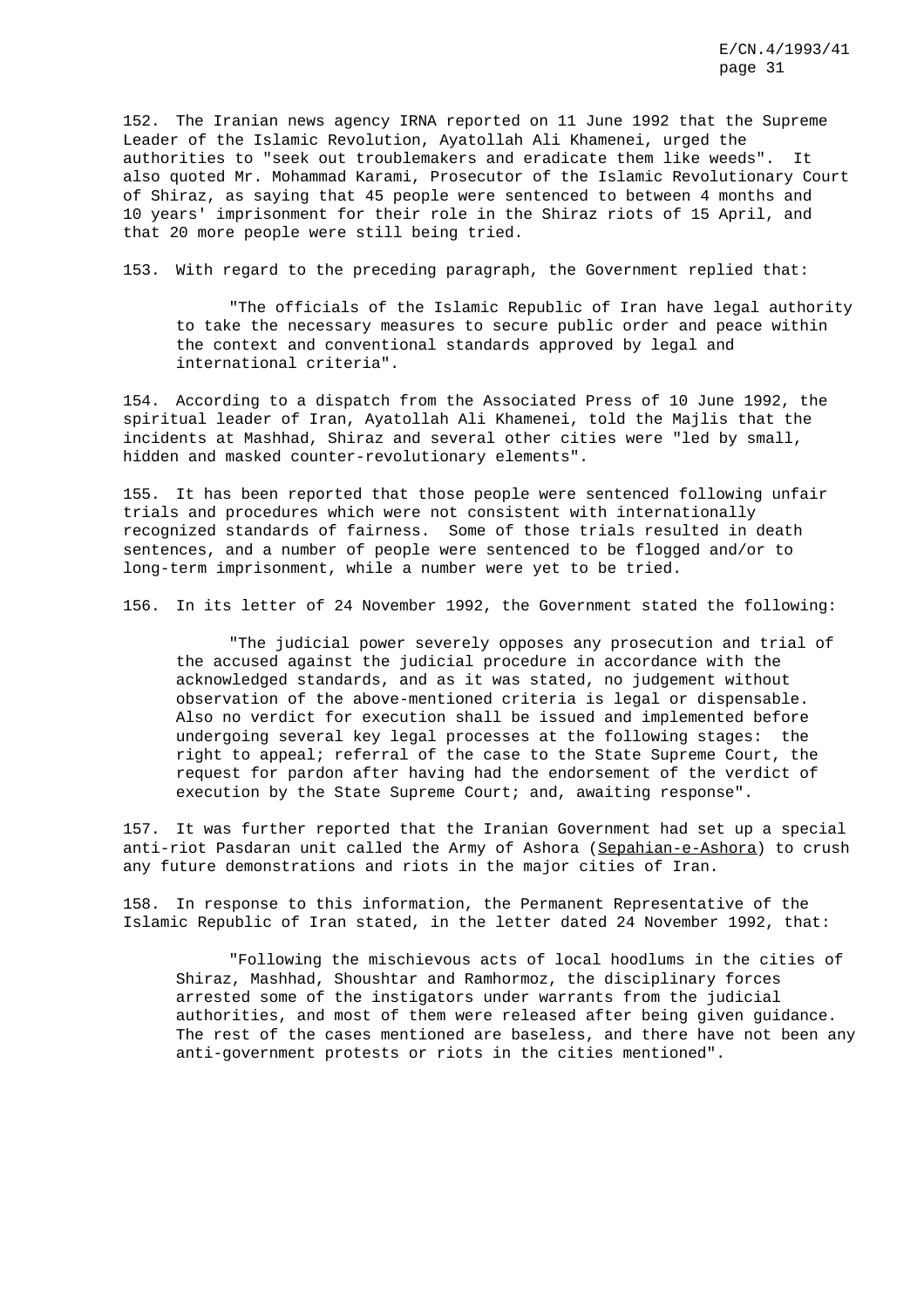152. The Iranian news agency IRNA reported on 11 June 1992 that the Supreme Leader of the Islamic Revolution, Ayatollah Ali Khamenei, urged the authorities to "seek out troublemakers and eradicate them like weeds". It also quoted Mr. Mohammad Karami, Prosecutor of the Islamic Revolutionary Court of Shiraz, as saying that 45 people were sentenced to between 4 months and 10 years' imprisonment for their role in the Shiraz riots of 15 April, and that 20 more people were still being tried.

153. With regard to the preceding paragraph, the Government replied that:

"The officials of the Islamic Republic of Iran have legal authority to take the necessary measures to secure public order and peace within the context and conventional standards approved by legal and international criteria".

154. According to a dispatch from the Associated Press of 10 June 1992, the spiritual leader of Iran, Ayatollah Ali Khamenei, told the Majlis that the incidents at Mashhad, Shiraz and several other cities were "led by small, hidden and masked counter-revolutionary elements".

155. It has been reported that those people were sentenced following unfair trials and procedures which were not consistent with internationally recognized standards of fairness. Some of those trials resulted in death sentences, and a number of people were sentenced to be flogged and/or to long-term imprisonment, while a number were yet to be tried.

156. In its letter of 24 November 1992, the Government stated the following:

"The judicial power severely opposes any prosecution and trial of the accused against the judicial procedure in accordance with the acknowledged standards, and as it was stated, no judgement without observation of the above-mentioned criteria is legal or dispensable. Also no verdict for execution shall be issued and implemented before undergoing several key legal processes at the following stages: the right to appeal; referral of the case to the State Supreme Court, the request for pardon after having had the endorsement of the verdict of execution by the State Supreme Court; and, awaiting response".

157. It was further reported that the Iranian Government had set up a special anti-riot Pasdaran unit called the Army of Ashora (Sepahian-e-Ashora) to crush any future demonstrations and riots in the major cities of Iran.

158. In response to this information, the Permanent Representative of the Islamic Republic of Iran stated, in the letter dated 24 November 1992, that:

"Following the mischievous acts of local hoodlums in the cities of Shiraz, Mashhad, Shoushtar and Ramhormoz, the disciplinary forces arrested some of the instigators under warrants from the judicial authorities, and most of them were released after being given guidance. The rest of the cases mentioned are baseless, and there have not been any anti-government protests or riots in the cities mentioned".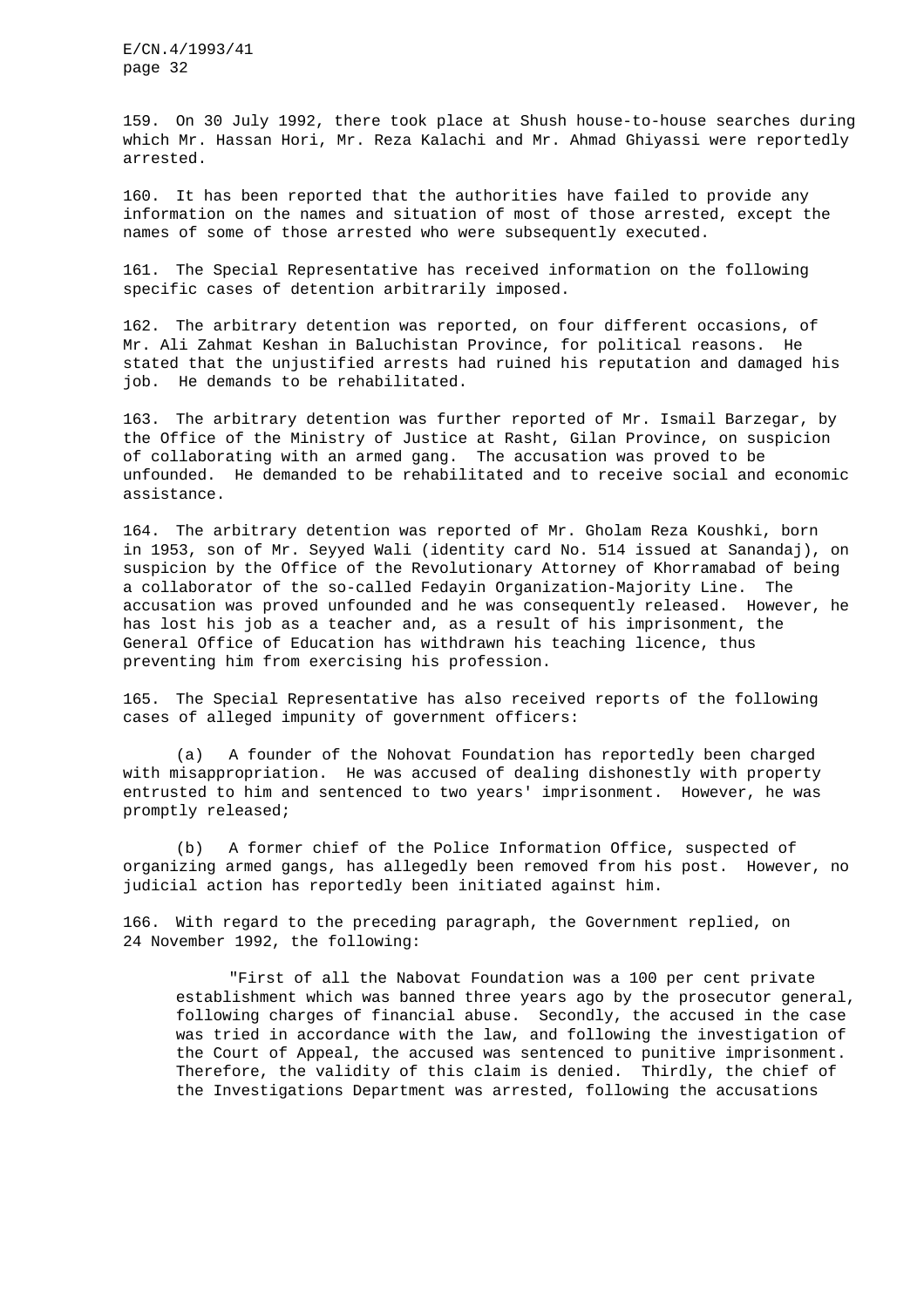159. On 30 July 1992, there took place at Shush house-to-house searches during which Mr. Hassan Hori, Mr. Reza Kalachi and Mr. Ahmad Ghiyassi were reportedly arrested.

160. It has been reported that the authorities have failed to provide any information on the names and situation of most of those arrested, except the names of some of those arrested who were subsequently executed.

161. The Special Representative has received information on the following specific cases of detention arbitrarily imposed.

162. The arbitrary detention was reported, on four different occasions, of Mr. Ali Zahmat Keshan in Baluchistan Province, for political reasons. He stated that the unjustified arrests had ruined his reputation and damaged his job. He demands to be rehabilitated.

163. The arbitrary detention was further reported of Mr. Ismail Barzegar, by the Office of the Ministry of Justice at Rasht, Gilan Province, on suspicion of collaborating with an armed gang. The accusation was proved to be unfounded. He demanded to be rehabilitated and to receive social and economic assistance.

164. The arbitrary detention was reported of Mr. Gholam Reza Koushki, born in 1953, son of Mr. Seyyed Wali (identity card No. 514 issued at Sanandaj), on suspicion by the Office of the Revolutionary Attorney of Khorramabad of being a collaborator of the so-called Fedayin Organization-Majority Line. The accusation was proved unfounded and he was consequently released. However, he has lost his job as a teacher and, as a result of his imprisonment, the General Office of Education has withdrawn his teaching licence, thus preventing him from exercising his profession.

165. The Special Representative has also received reports of the following cases of alleged impunity of government officers:

(a) A founder of the Nohovat Foundation has reportedly been charged with misappropriation. He was accused of dealing dishonestly with property entrusted to him and sentenced to two years' imprisonment. However, he was promptly released;

(b) A former chief of the Police Information Office, suspected of organizing armed gangs, has allegedly been removed from his post. However, no judicial action has reportedly been initiated against him.

166. With regard to the preceding paragraph, the Government replied, on 24 November 1992, the following:

"First of all the Nabovat Foundation was a 100 per cent private establishment which was banned three years ago by the prosecutor general, following charges of financial abuse. Secondly, the accused in the case was tried in accordance with the law, and following the investigation of the Court of Appeal, the accused was sentenced to punitive imprisonment. Therefore, the validity of this claim is denied. Thirdly, the chief of the Investigations Department was arrested, following the accusations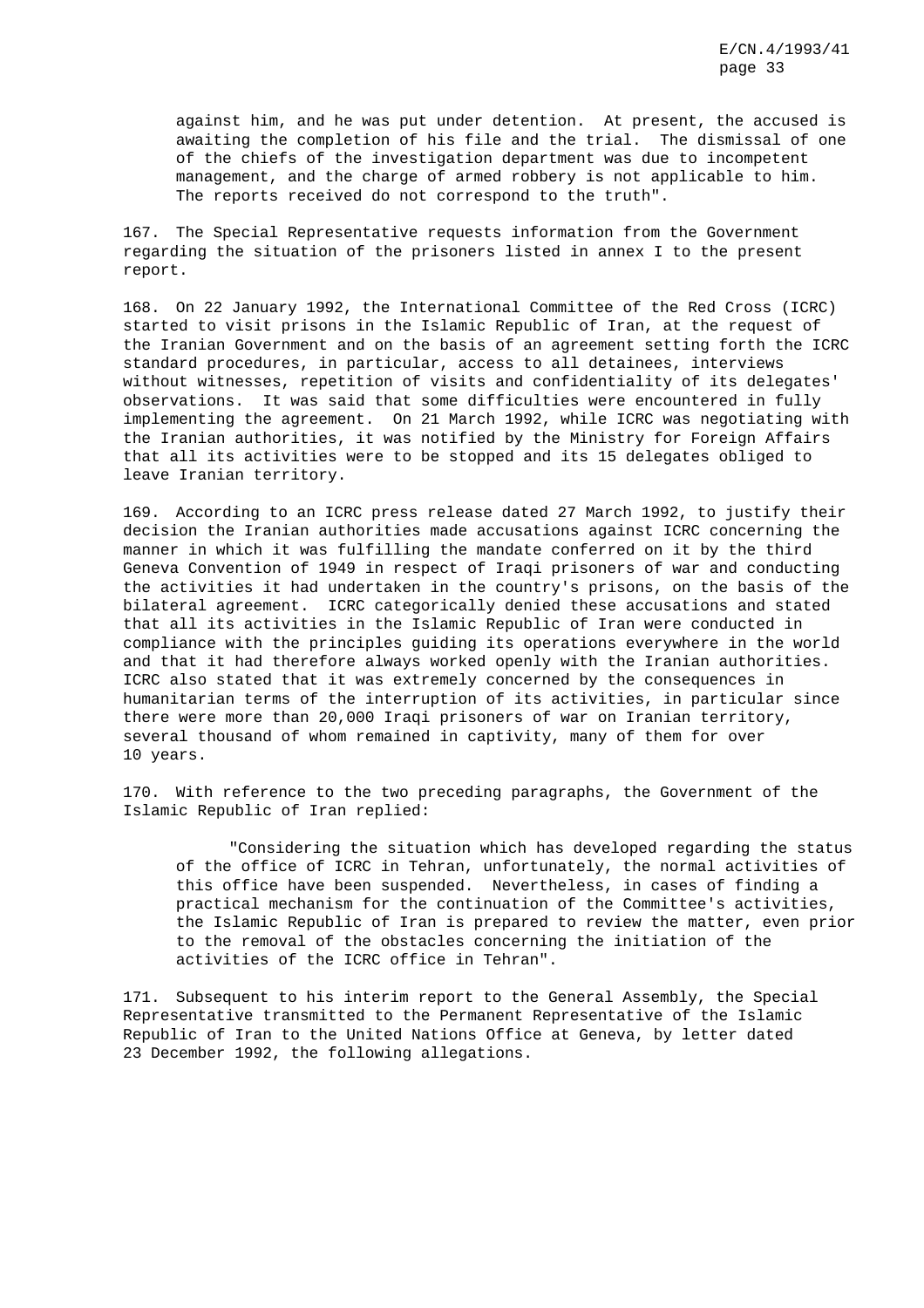against him, and he was put under detention. At present, the accused is awaiting the completion of his file and the trial. The dismissal of one of the chiefs of the investigation department was due to incompetent management, and the charge of armed robbery is not applicable to him. The reports received do not correspond to the truth".

167. The Special Representative requests information from the Government regarding the situation of the prisoners listed in annex I to the present report.

168. On 22 January 1992, the International Committee of the Red Cross (ICRC) started to visit prisons in the Islamic Republic of Iran, at the request of the Iranian Government and on the basis of an agreement setting forth the ICRC standard procedures, in particular, access to all detainees, interviews without witnesses, repetition of visits and confidentiality of its delegates' observations. It was said that some difficulties were encountered in fully implementing the agreement. On 21 March 1992, while ICRC was negotiating with the Iranian authorities, it was notified by the Ministry for Foreign Affairs that all its activities were to be stopped and its 15 delegates obliged to leave Iranian territory.

169. According to an ICRC press release dated 27 March 1992, to justify their decision the Iranian authorities made accusations against ICRC concerning the manner in which it was fulfilling the mandate conferred on it by the third Geneva Convention of 1949 in respect of Iraqi prisoners of war and conducting the activities it had undertaken in the country's prisons, on the basis of the bilateral agreement. ICRC categorically denied these accusations and stated that all its activities in the Islamic Republic of Iran were conducted in compliance with the principles guiding its operations everywhere in the world and that it had therefore always worked openly with the Iranian authorities. ICRC also stated that it was extremely concerned by the consequences in humanitarian terms of the interruption of its activities, in particular since there were more than 20,000 Iraqi prisoners of war on Iranian territory, several thousand of whom remained in captivity, many of them for over 10 years.

170. With reference to the two preceding paragraphs, the Government of the Islamic Republic of Iran replied:

"Considering the situation which has developed regarding the status of the office of ICRC in Tehran, unfortunately, the normal activities of this office have been suspended. Nevertheless, in cases of finding a practical mechanism for the continuation of the Committee's activities, the Islamic Republic of Iran is prepared to review the matter, even prior to the removal of the obstacles concerning the initiation of the activities of the ICRC office in Tehran".

171. Subsequent to his interim report to the General Assembly, the Special Representative transmitted to the Permanent Representative of the Islamic Republic of Iran to the United Nations Office at Geneva, by letter dated 23 December 1992, the following allegations.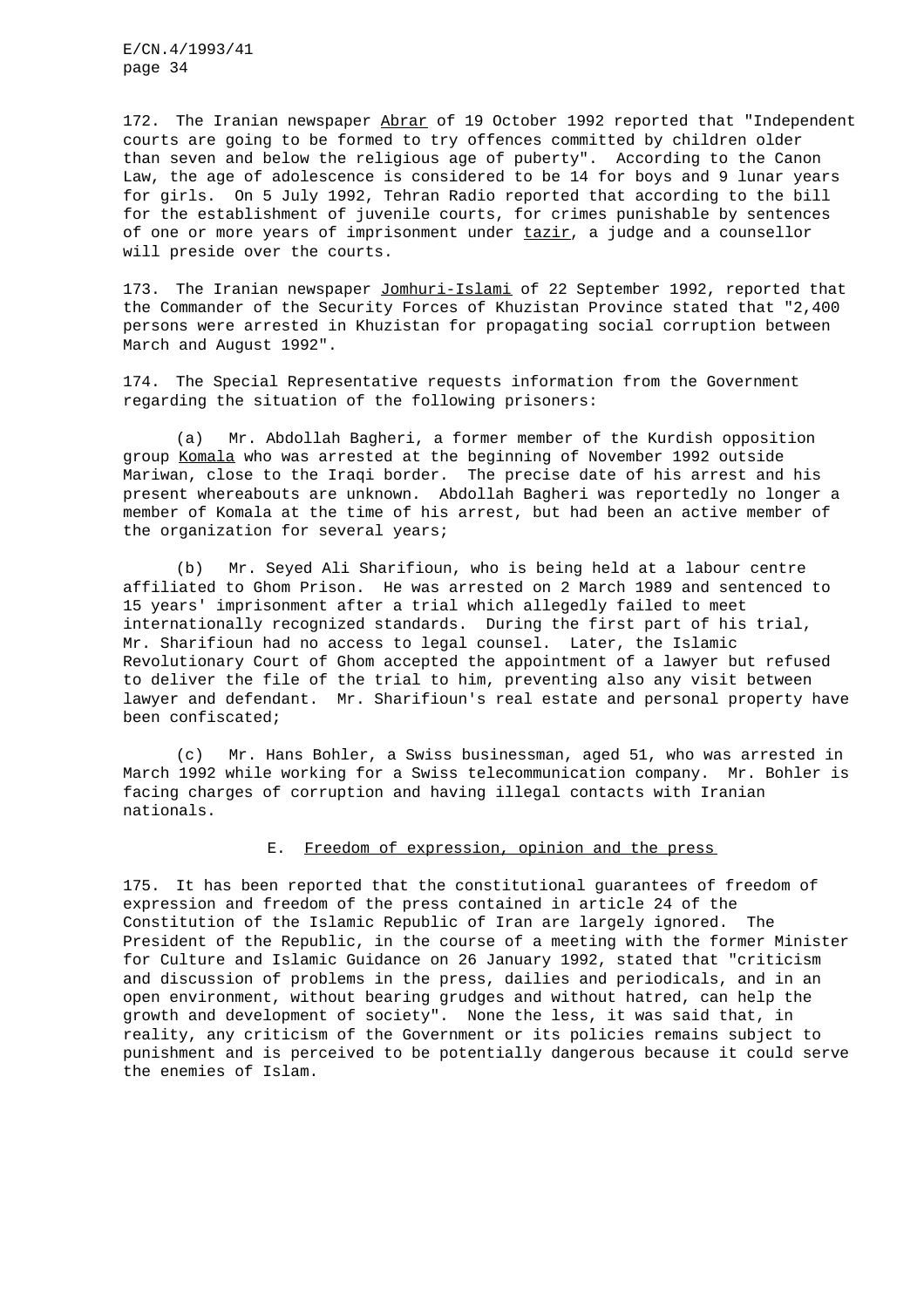172. The Iranian newspaper Abrar of 19 October 1992 reported that "Independent courts are going to be formed to try offences committed by children older than seven and below the religious age of puberty". According to the Canon Law, the age of adolescence is considered to be 14 for boys and 9 lunar years for girls. On 5 July 1992, Tehran Radio reported that according to the bill for the establishment of juvenile courts, for crimes punishable by sentences of one or more years of imprisonment under tazir, a judge and a counsellor will preside over the courts.

173. The Iranian newspaper Jomhuri-Islami of 22 September 1992, reported that the Commander of the Security Forces of Khuzistan Province stated that "2,400 persons were arrested in Khuzistan for propagating social corruption between March and August 1992".

174. The Special Representative requests information from the Government regarding the situation of the following prisoners:

(a) Mr. Abdollah Bagheri, a former member of the Kurdish opposition group Komala who was arrested at the beginning of November 1992 outside Mariwan, close to the Iraqi border. The precise date of his arrest and his present whereabouts are unknown. Abdollah Bagheri was reportedly no longer a member of Komala at the time of his arrest, but had been an active member of the organization for several years;

(b) Mr. Seyed Ali Sharifioun, who is being held at a labour centre affiliated to Ghom Prison. He was arrested on 2 March 1989 and sentenced to 15 years' imprisonment after a trial which allegedly failed to meet internationally recognized standards. During the first part of his trial, Mr. Sharifioun had no access to legal counsel. Later, the Islamic Revolutionary Court of Ghom accepted the appointment of a lawyer but refused to deliver the file of the trial to him, preventing also any visit between lawyer and defendant. Mr. Sharifioun's real estate and personal property have been confiscated;

(c) Mr. Hans Bohler, a Swiss businessman, aged 51, who was arrested in March 1992 while working for a Swiss telecommunication company. Mr. Bohler is facing charges of corruption and having illegal contacts with Iranian nationals.

### E. Freedom of expression, opinion and the press

175. It has been reported that the constitutional guarantees of freedom of expression and freedom of the press contained in article 24 of the Constitution of the Islamic Republic of Iran are largely ignored. The President of the Republic, in the course of a meeting with the former Minister for Culture and Islamic Guidance on 26 January 1992, stated that "criticism and discussion of problems in the press, dailies and periodicals, and in an open environment, without bearing grudges and without hatred, can help the growth and development of society". None the less, it was said that, in reality, any criticism of the Government or its policies remains subject to punishment and is perceived to be potentially dangerous because it could serve the enemies of Islam.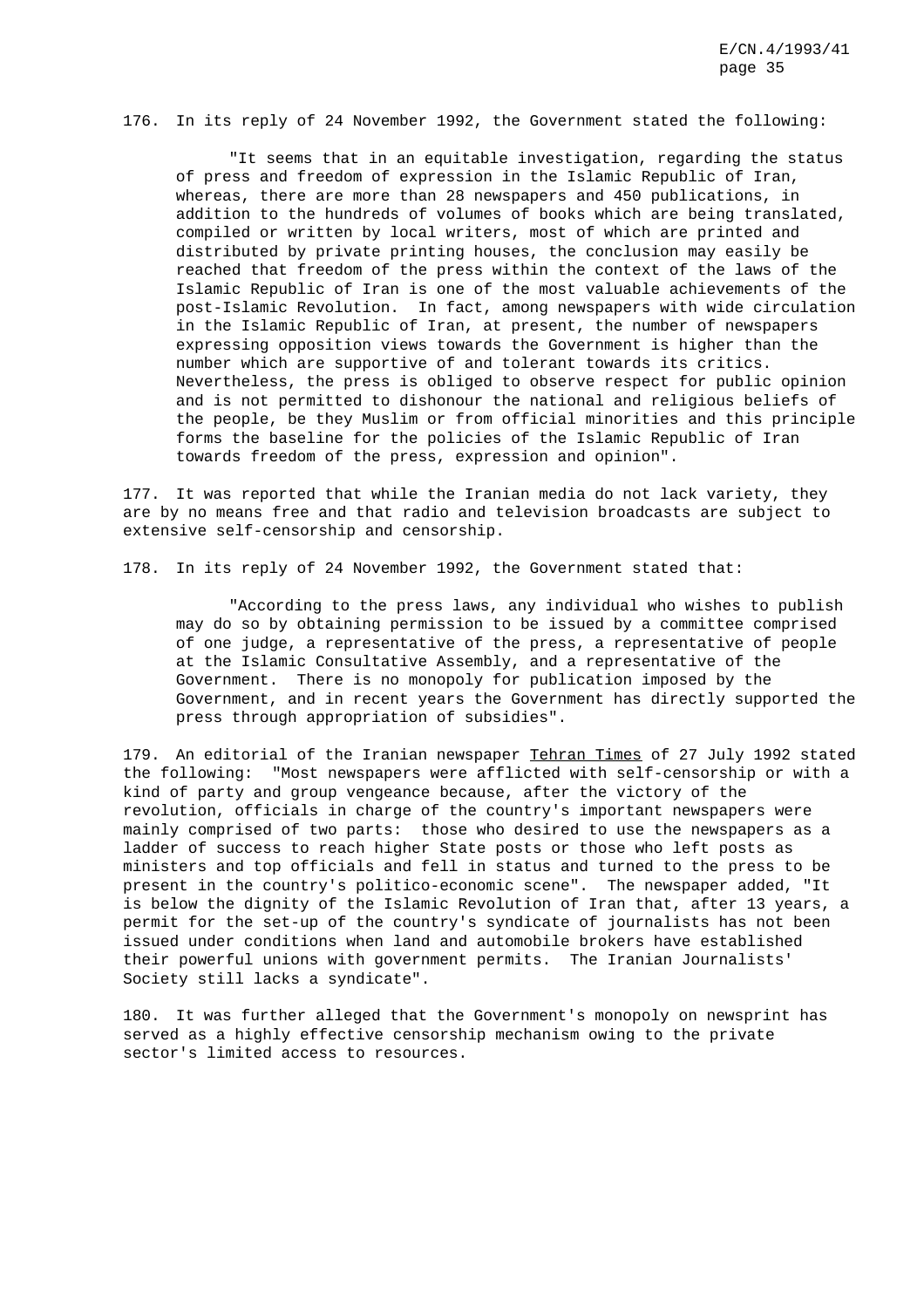176. In its reply of 24 November 1992, the Government stated the following:

"It seems that in an equitable investigation, regarding the status of press and freedom of expression in the Islamic Republic of Iran, whereas, there are more than 28 newspapers and 450 publications, in addition to the hundreds of volumes of books which are being translated, compiled or written by local writers, most of which are printed and distributed by private printing houses, the conclusion may easily be reached that freedom of the press within the context of the laws of the Islamic Republic of Iran is one of the most valuable achievements of the post-Islamic Revolution. In fact, among newspapers with wide circulation in the Islamic Republic of Iran, at present, the number of newspapers expressing opposition views towards the Government is higher than the number which are supportive of and tolerant towards its critics. Nevertheless, the press is obliged to observe respect for public opinion and is not permitted to dishonour the national and religious beliefs of the people, be they Muslim or from official minorities and this principle forms the baseline for the policies of the Islamic Republic of Iran towards freedom of the press, expression and opinion".

177. It was reported that while the Iranian media do not lack variety, they are by no means free and that radio and television broadcasts are subject to extensive self-censorship and censorship.

178. In its reply of 24 November 1992, the Government stated that:

"According to the press laws, any individual who wishes to publish may do so by obtaining permission to be issued by a committee comprised of one judge, a representative of the press, a representative of people at the Islamic Consultative Assembly, and a representative of the Government. There is no monopoly for publication imposed by the Government, and in recent years the Government has directly supported the press through appropriation of subsidies".

179. An editorial of the Iranian newspaper Tehran Times of 27 July 1992 stated the following: "Most newspapers were afflicted with self-censorship or with a kind of party and group vengeance because, after the victory of the revolution, officials in charge of the country's important newspapers were mainly comprised of two parts: those who desired to use the newspapers as a ladder of success to reach higher State posts or those who left posts as ministers and top officials and fell in status and turned to the press to be present in the country's politico-economic scene". The newspaper added, "It is below the dignity of the Islamic Revolution of Iran that, after 13 years, a permit for the set-up of the country's syndicate of journalists has not been issued under conditions when land and automobile brokers have established their powerful unions with government permits. The Iranian Journalists' Society still lacks a syndicate".

180. It was further alleged that the Government's monopoly on newsprint has served as a highly effective censorship mechanism owing to the private sector's limited access to resources.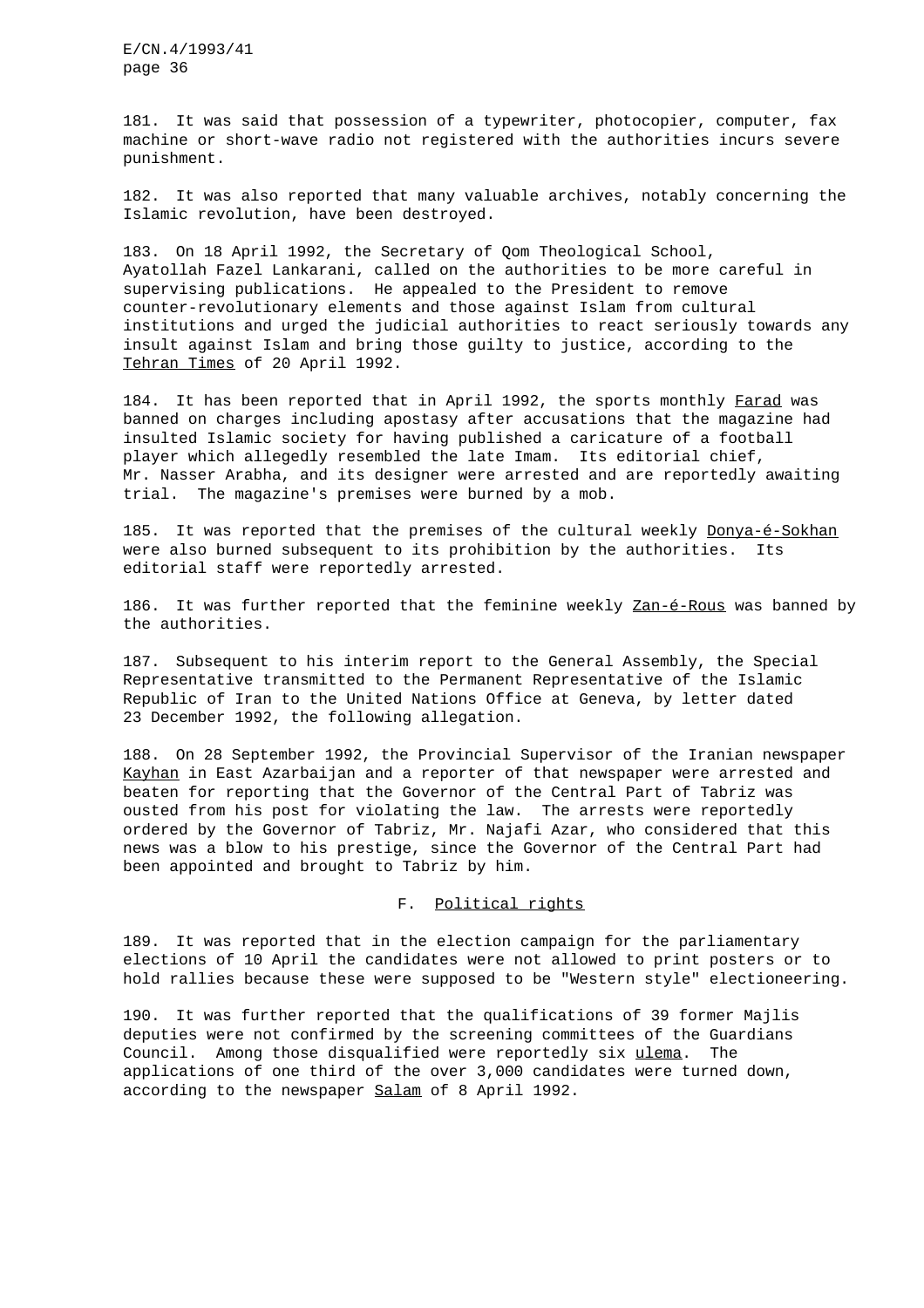181. It was said that possession of a typewriter, photocopier, computer, fax machine or short-wave radio not registered with the authorities incurs severe punishment.

182. It was also reported that many valuable archives, notably concerning the Islamic revolution, have been destroyed.

183. On 18 April 1992, the Secretary of Qom Theological School, Ayatollah Fazel Lankarani, called on the authorities to be more careful in supervising publications. He appealed to the President to remove counter-revolutionary elements and those against Islam from cultural institutions and urged the judicial authorities to react seriously towards any insult against Islam and bring those guilty to justice, according to the Tehran Times of 20 April 1992.

184. It has been reported that in April 1992, the sports monthly Farad was banned on charges including apostasy after accusations that the magazine had insulted Islamic society for having published a caricature of a football player which allegedly resembled the late Imam. Its editorial chief, Mr. Nasser Arabha, and its designer were arrested and are reportedly awaiting trial. The magazine's premises were burned by a mob.

185. It was reported that the premises of the cultural weekly Donya-é-Sokhan were also burned subsequent to its prohibition by the authorities. Its editorial staff were reportedly arrested.

186. It was further reported that the feminine weekly Zan-é-Rous was banned by the authorities.

187. Subsequent to his interim report to the General Assembly, the Special Representative transmitted to the Permanent Representative of the Islamic Republic of Iran to the United Nations Office at Geneva, by letter dated 23 December 1992, the following allegation.

188. On 28 September 1992, the Provincial Supervisor of the Iranian newspaper Kayhan in East Azarbaijan and a reporter of that newspaper were arrested and beaten for reporting that the Governor of the Central Part of Tabriz was ousted from his post for violating the law. The arrests were reportedly ordered by the Governor of Tabriz, Mr. Najafi Azar, who considered that this news was a blow to his prestige, since the Governor of the Central Part had been appointed and brought to Tabriz by him.

## F. Political rights

189. It was reported that in the election campaign for the parliamentary elections of 10 April the candidates were not allowed to print posters or to hold rallies because these were supposed to be "Western style" electioneering.

190. It was further reported that the qualifications of 39 former Majlis deputies were not confirmed by the screening committees of the Guardians Council. Among those disqualified were reportedly six ulema. The applications of one third of the over 3,000 candidates were turned down, according to the newspaper Salam of 8 April 1992.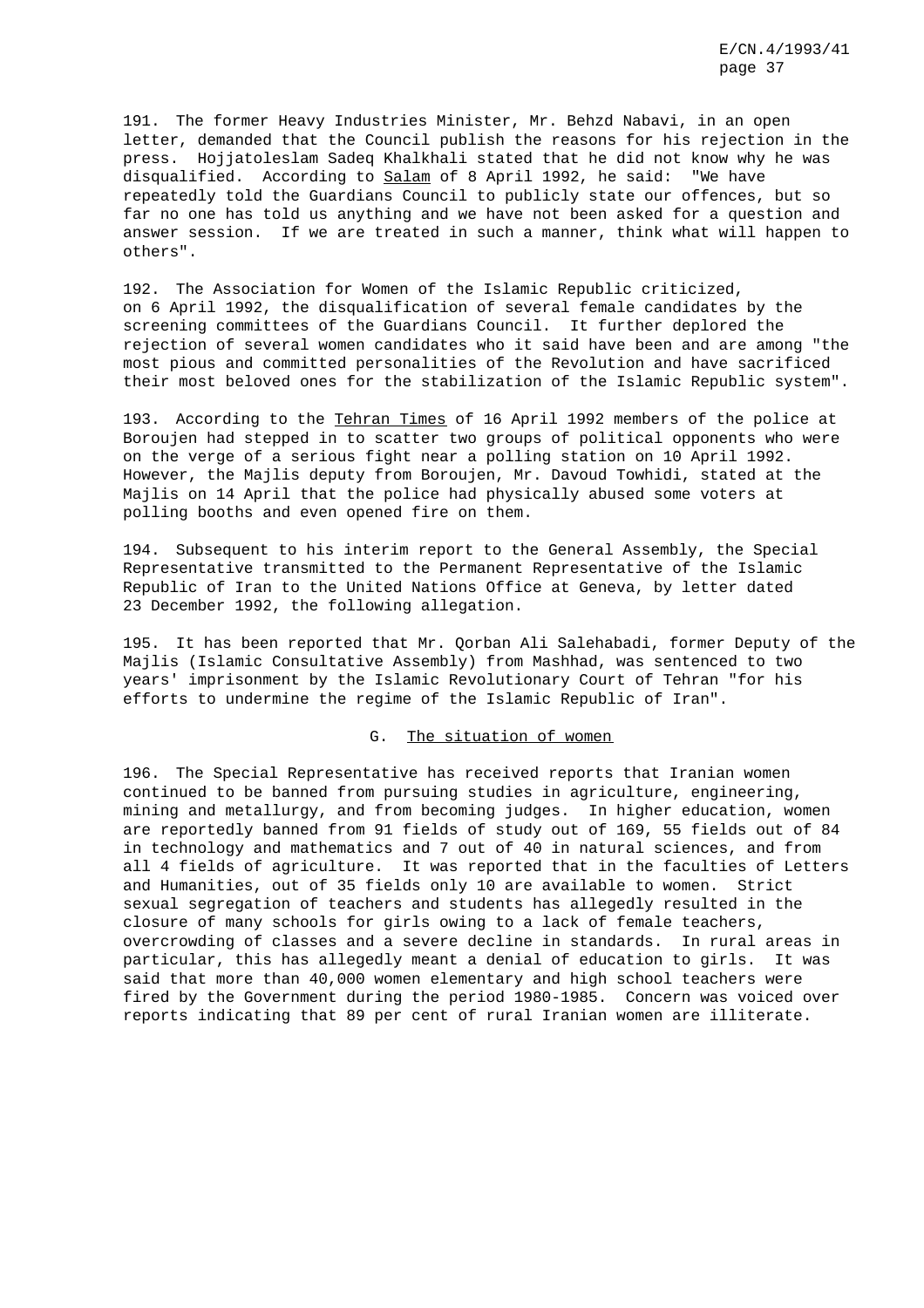191. The former Heavy Industries Minister, Mr. Behzd Nabavi, in an open letter, demanded that the Council publish the reasons for his rejection in the press. Hojjatoleslam Sadeq Khalkhali stated that he did not know why he was disqualified. According to Salam of 8 April 1992, he said: "We have repeatedly told the Guardians Council to publicly state our offences, but so far no one has told us anything and we have not been asked for a question and answer session. If we are treated in such a manner, think what will happen to others".

192. The Association for Women of the Islamic Republic criticized, on 6 April 1992, the disqualification of several female candidates by the screening committees of the Guardians Council. It further deplored the rejection of several women candidates who it said have been and are among "the most pious and committed personalities of the Revolution and have sacrificed their most beloved ones for the stabilization of the Islamic Republic system".

193. According to the Tehran Times of 16 April 1992 members of the police at Boroujen had stepped in to scatter two groups of political opponents who were on the verge of a serious fight near a polling station on 10 April 1992. However, the Majlis deputy from Boroujen, Mr. Davoud Towhidi, stated at the Majlis on 14 April that the police had physically abused some voters at polling booths and even opened fire on them.

194. Subsequent to his interim report to the General Assembly, the Special Representative transmitted to the Permanent Representative of the Islamic Republic of Iran to the United Nations Office at Geneva, by letter dated 23 December 1992, the following allegation.

195. It has been reported that Mr. Qorban Ali Salehabadi, former Deputy of the Majlis (Islamic Consultative Assembly) from Mashhad, was sentenced to two years' imprisonment by the Islamic Revolutionary Court of Tehran "for his efforts to undermine the regime of the Islamic Republic of Iran".

### G. The situation of women

196. The Special Representative has received reports that Iranian women continued to be banned from pursuing studies in agriculture, engineering, mining and metallurgy, and from becoming judges. In higher education, women are reportedly banned from 91 fields of study out of 169, 55 fields out of 84 in technology and mathematics and 7 out of 40 in natural sciences, and from all 4 fields of agriculture. It was reported that in the faculties of Letters and Humanities, out of 35 fields only 10 are available to women. Strict sexual segregation of teachers and students has allegedly resulted in the closure of many schools for girls owing to a lack of female teachers, overcrowding of classes and a severe decline in standards. In rural areas in particular, this has allegedly meant a denial of education to girls. It was said that more than 40,000 women elementary and high school teachers were fired by the Government during the period 1980-1985. Concern was voiced over reports indicating that 89 per cent of rural Iranian women are illiterate.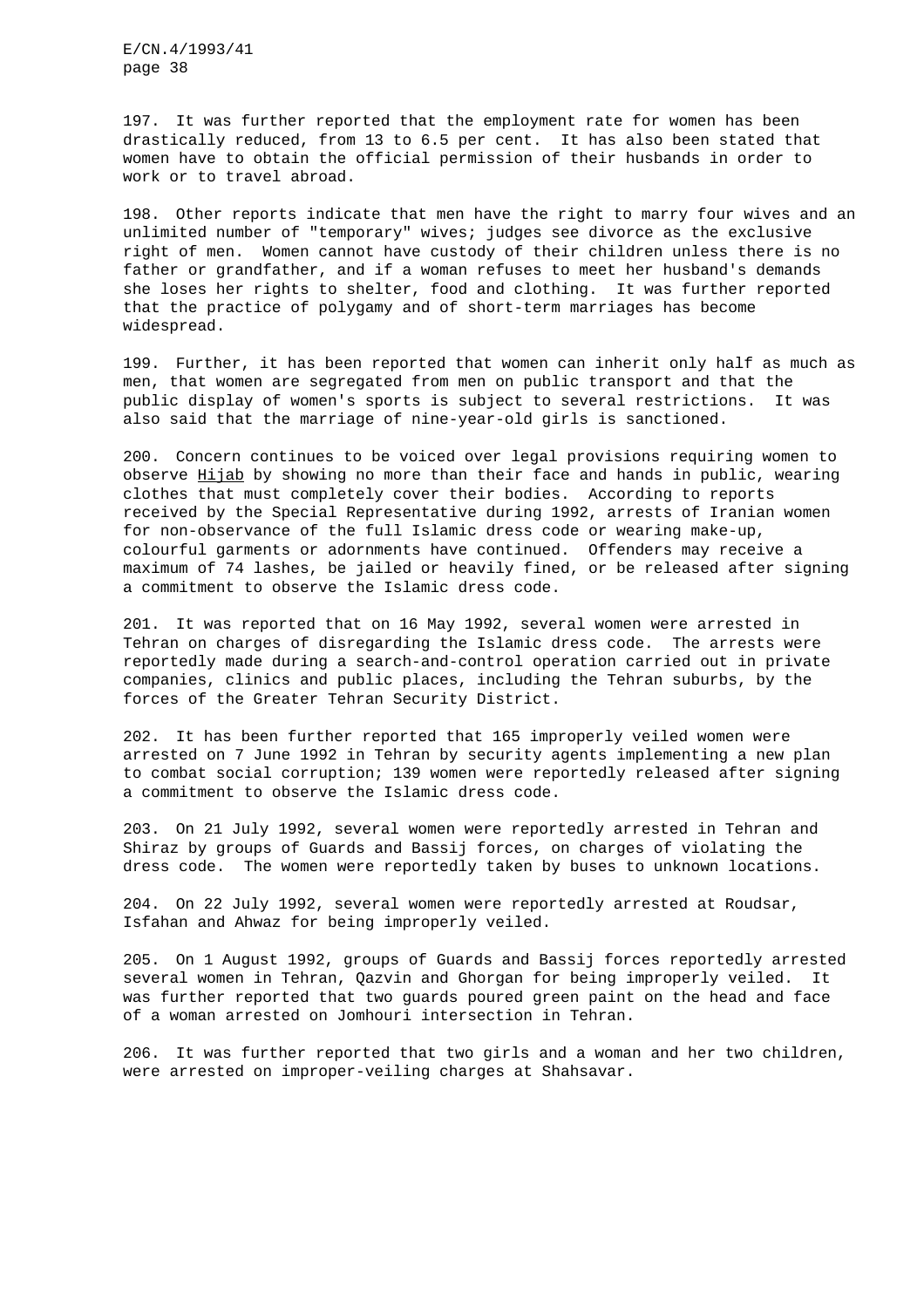197. It was further reported that the employment rate for women has been drastically reduced, from 13 to 6.5 per cent. It has also been stated that women have to obtain the official permission of their husbands in order to work or to travel abroad.

198. Other reports indicate that men have the right to marry four wives and an unlimited number of "temporary" wives; judges see divorce as the exclusive right of men. Women cannot have custody of their children unless there is no father or grandfather, and if a woman refuses to meet her husband's demands she loses her rights to shelter, food and clothing. It was further reported that the practice of polygamy and of short-term marriages has become widespread.

199. Further, it has been reported that women can inherit only half as much as men, that women are segregated from men on public transport and that the public display of women's sports is subject to several restrictions. It was also said that the marriage of nine-year-old girls is sanctioned.

200. Concern continues to be voiced over legal provisions requiring women to observe Hijab by showing no more than their face and hands in public, wearing clothes that must completely cover their bodies. According to reports received by the Special Representative during 1992, arrests of Iranian women for non-observance of the full Islamic dress code or wearing make-up, colourful garments or adornments have continued. Offenders may receive a maximum of 74 lashes, be jailed or heavily fined, or be released after signing a commitment to observe the Islamic dress code.

201. It was reported that on 16 May 1992, several women were arrested in Tehran on charges of disregarding the Islamic dress code. The arrests were reportedly made during a search-and-control operation carried out in private companies, clinics and public places, including the Tehran suburbs, by the forces of the Greater Tehran Security District.

202. It has been further reported that 165 improperly veiled women were arrested on 7 June 1992 in Tehran by security agents implementing a new plan to combat social corruption; 139 women were reportedly released after signing a commitment to observe the Islamic dress code.

203. On 21 July 1992, several women were reportedly arrested in Tehran and Shiraz by groups of Guards and Bassij forces, on charges of violating the dress code. The women were reportedly taken by buses to unknown locations.

204. On 22 July 1992, several women were reportedly arrested at Roudsar, Isfahan and Ahwaz for being improperly veiled.

205. On 1 August 1992, groups of Guards and Bassij forces reportedly arrested several women in Tehran, Qazvin and Ghorgan for being improperly veiled. It was further reported that two guards poured green paint on the head and face of a woman arrested on Jomhouri intersection in Tehran.

206. It was further reported that two girls and a woman and her two children, were arrested on improper-veiling charges at Shahsavar.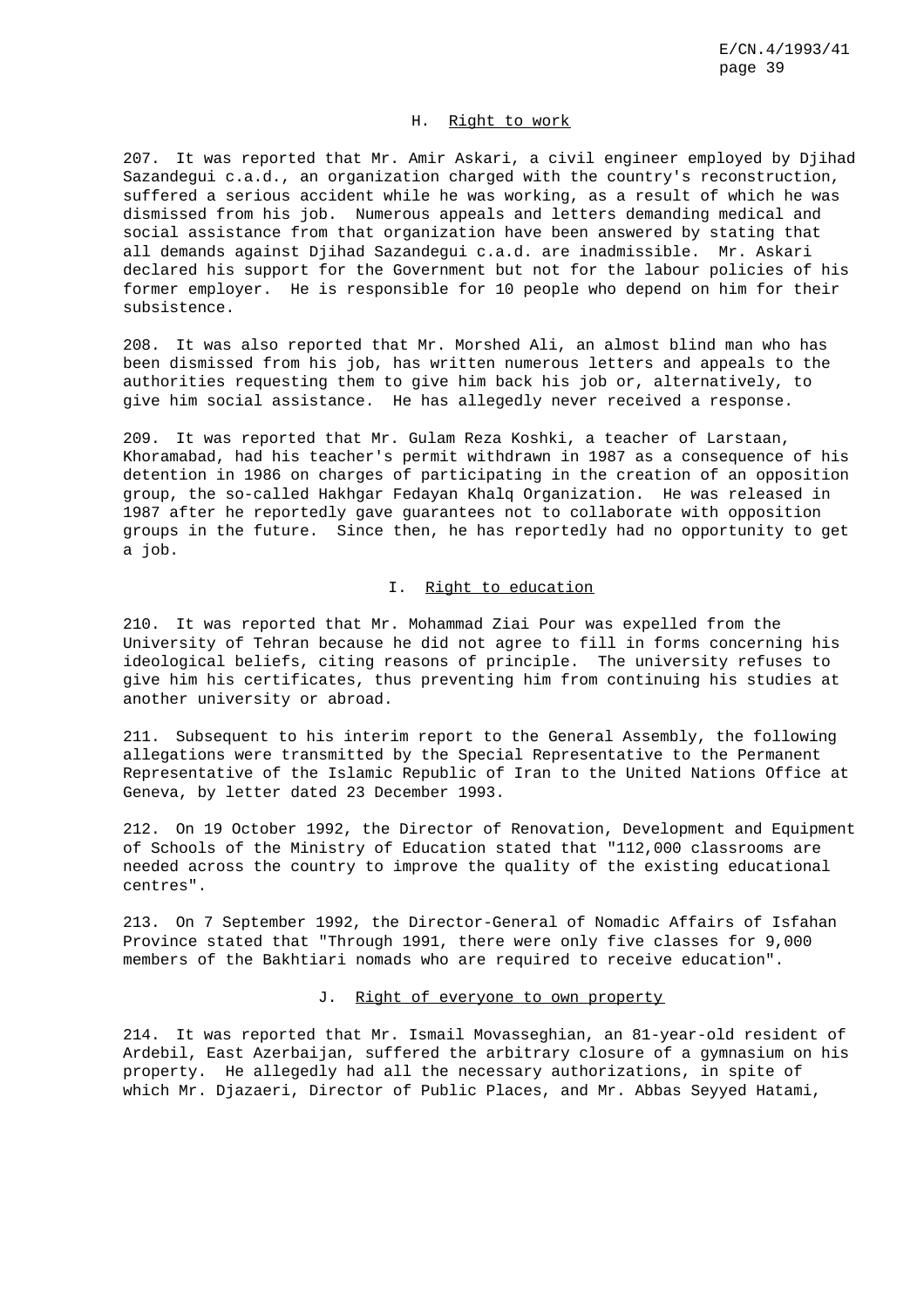### H. Right to work

207. It was reported that Mr. Amir Askari, a civil engineer employed by Djihad Sazandegui c.a.d., an organization charged with the country's reconstruction, suffered a serious accident while he was working, as a result of which he was dismissed from his job. Numerous appeals and letters demanding medical and social assistance from that organization have been answered by stating that all demands against Djihad Sazandegui c.a.d. are inadmissible. Mr. Askari declared his support for the Government but not for the labour policies of his former employer. He is responsible for 10 people who depend on him for their subsistence.

208. It was also reported that Mr. Morshed Ali, an almost blind man who has been dismissed from his job, has written numerous letters and appeals to the authorities requesting them to give him back his job or, alternatively, to give him social assistance. He has allegedly never received a response.

209. It was reported that Mr. Gulam Reza Koshki, a teacher of Larstaan, Khoramabad, had his teacher's permit withdrawn in 1987 as a consequence of his detention in 1986 on charges of participating in the creation of an opposition group, the so-called Hakhgar Fedayan Khalq Organization. He was released in 1987 after he reportedly gave guarantees not to collaborate with opposition groups in the future. Since then, he has reportedly had no opportunity to get a job.

## I. Right to education

210. It was reported that Mr. Mohammad Ziai Pour was expelled from the University of Tehran because he did not agree to fill in forms concerning his ideological beliefs, citing reasons of principle. The university refuses to give him his certificates, thus preventing him from continuing his studies at another university or abroad.

211. Subsequent to his interim report to the General Assembly, the following allegations were transmitted by the Special Representative to the Permanent Representative of the Islamic Republic of Iran to the United Nations Office at Geneva, by letter dated 23 December 1993.

212. On 19 October 1992, the Director of Renovation, Development and Equipment of Schools of the Ministry of Education stated that "112,000 classrooms are needed across the country to improve the quality of the existing educational centres".

213. On 7 September 1992, the Director-General of Nomadic Affairs of Isfahan Province stated that "Through 1991, there were only five classes for 9,000 members of the Bakhtiari nomads who are required to receive education".

### J. Right of everyone to own property

214. It was reported that Mr. Ismail Movasseghian, an 81-year-old resident of Ardebil, East Azerbaijan, suffered the arbitrary closure of a gymnasium on his property. He allegedly had all the necessary authorizations, in spite of which Mr. Djazaeri, Director of Public Places, and Mr. Abbas Seyyed Hatami,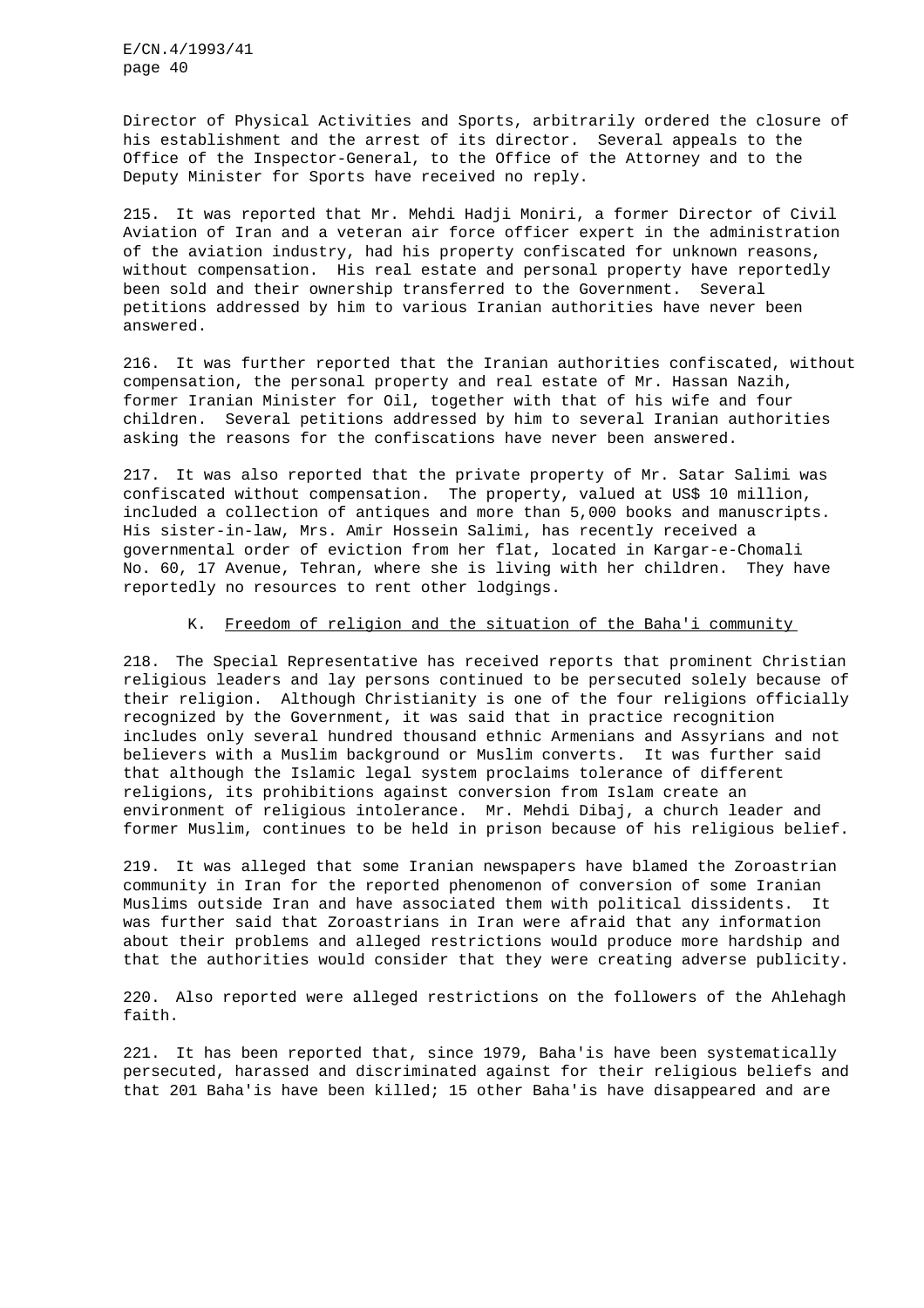Director of Physical Activities and Sports, arbitrarily ordered the closure of his establishment and the arrest of its director. Several appeals to the Office of the Inspector-General, to the Office of the Attorney and to the Deputy Minister for Sports have received no reply.

215. It was reported that Mr. Mehdi Hadji Moniri, a former Director of Civil Aviation of Iran and a veteran air force officer expert in the administration of the aviation industry, had his property confiscated for unknown reasons, without compensation. His real estate and personal property have reportedly been sold and their ownership transferred to the Government. Several petitions addressed by him to various Iranian authorities have never been answered.

216. It was further reported that the Iranian authorities confiscated, without compensation, the personal property and real estate of Mr. Hassan Nazih, former Iranian Minister for Oil, together with that of his wife and four children. Several petitions addressed by him to several Iranian authorities asking the reasons for the confiscations have never been answered.

217. It was also reported that the private property of Mr. Satar Salimi was confiscated without compensation. The property, valued at US\$ 10 million, included a collection of antiques and more than 5,000 books and manuscripts. His sister-in-law, Mrs. Amir Hossein Salimi, has recently received a governmental order of eviction from her flat, located in Kargar-e-Chomali No. 60, 17 Avenue, Tehran, where she is living with her children. They have reportedly no resources to rent other lodgings.

## K. Freedom of religion and the situation of the Baha'i community

218. The Special Representative has received reports that prominent Christian religious leaders and lay persons continued to be persecuted solely because of their religion. Although Christianity is one of the four religions officially recognized by the Government, it was said that in practice recognition includes only several hundred thousand ethnic Armenians and Assyrians and not believers with a Muslim background or Muslim converts. It was further said that although the Islamic legal system proclaims tolerance of different religions, its prohibitions against conversion from Islam create an environment of religious intolerance. Mr. Mehdi Dibaj, a church leader and former Muslim, continues to be held in prison because of his religious belief.

219. It was alleged that some Iranian newspapers have blamed the Zoroastrian community in Iran for the reported phenomenon of conversion of some Iranian Muslims outside Iran and have associated them with political dissidents. It was further said that Zoroastrians in Iran were afraid that any information about their problems and alleged restrictions would produce more hardship and that the authorities would consider that they were creating adverse publicity.

220. Also reported were alleged restrictions on the followers of the Ahlehagh faith.

221. It has been reported that, since 1979, Baha'is have been systematically persecuted, harassed and discriminated against for their religious beliefs and that 201 Baha'is have been killed; 15 other Baha'is have disappeared and are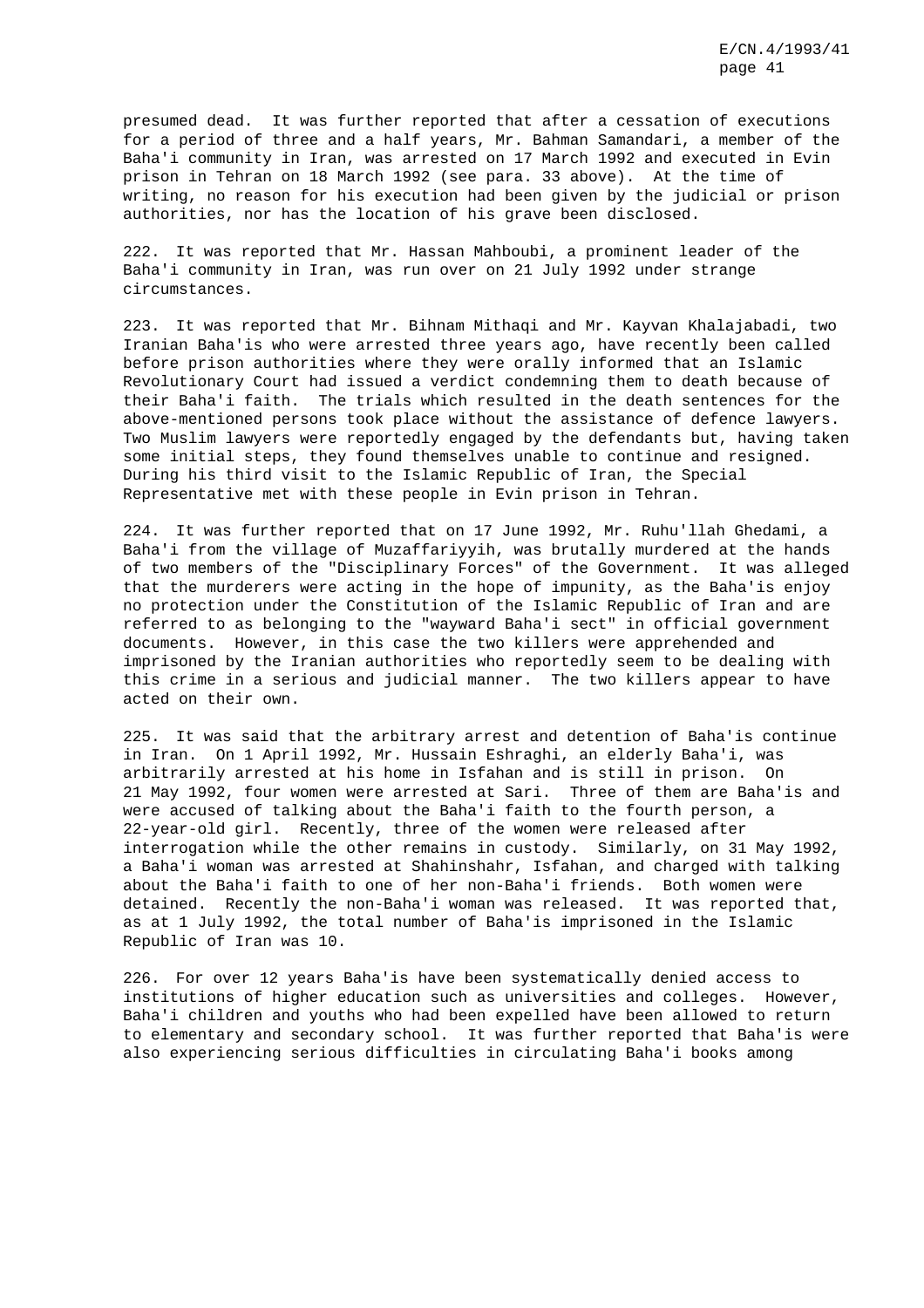presumed dead. It was further reported that after a cessation of executions for a period of three and a half years, Mr. Bahman Samandari, a member of the Baha'i community in Iran, was arrested on 17 March 1992 and executed in Evin prison in Tehran on 18 March 1992 (see para. 33 above). At the time of writing, no reason for his execution had been given by the judicial or prison authorities, nor has the location of his grave been disclosed.

222. It was reported that Mr. Hassan Mahboubi, a prominent leader of the Baha'i community in Iran, was run over on 21 July 1992 under strange circumstances.

223. It was reported that Mr. Bihnam Mithaqi and Mr. Kayvan Khalajabadi, two Iranian Baha'is who were arrested three years ago, have recently been called before prison authorities where they were orally informed that an Islamic Revolutionary Court had issued a verdict condemning them to death because of their Baha'i faith. The trials which resulted in the death sentences for the above-mentioned persons took place without the assistance of defence lawyers. Two Muslim lawyers were reportedly engaged by the defendants but, having taken some initial steps, they found themselves unable to continue and resigned. During his third visit to the Islamic Republic of Iran, the Special Representative met with these people in Evin prison in Tehran.

224. It was further reported that on 17 June 1992, Mr. Ruhu'llah Ghedami, a Baha'i from the village of Muzaffariyyih, was brutally murdered at the hands of two members of the "Disciplinary Forces" of the Government. It was alleged that the murderers were acting in the hope of impunity, as the Baha'is enjoy no protection under the Constitution of the Islamic Republic of Iran and are referred to as belonging to the "wayward Baha'i sect" in official government documents. However, in this case the two killers were apprehended and imprisoned by the Iranian authorities who reportedly seem to be dealing with this crime in a serious and judicial manner. The two killers appear to have acted on their own.

225. It was said that the arbitrary arrest and detention of Baha'is continue in Iran. On 1 April 1992, Mr. Hussain Eshraghi, an elderly Baha'i, was arbitrarily arrested at his home in Isfahan and is still in prison. On 21 May 1992, four women were arrested at Sari. Three of them are Baha'is and were accused of talking about the Baha'i faith to the fourth person, a 22-year-old girl. Recently, three of the women were released after interrogation while the other remains in custody. Similarly, on 31 May 1992, a Baha'i woman was arrested at Shahinshahr, Isfahan, and charged with talking about the Baha'i faith to one of her non-Baha'i friends. Both women were detained. Recently the non-Baha'i woman was released. It was reported that, as at 1 July 1992, the total number of Baha'is imprisoned in the Islamic Republic of Iran was 10.

226. For over 12 years Baha'is have been systematically denied access to institutions of higher education such as universities and colleges. However, Baha'i children and youths who had been expelled have been allowed to return to elementary and secondary school. It was further reported that Baha'is were also experiencing serious difficulties in circulating Baha'i books among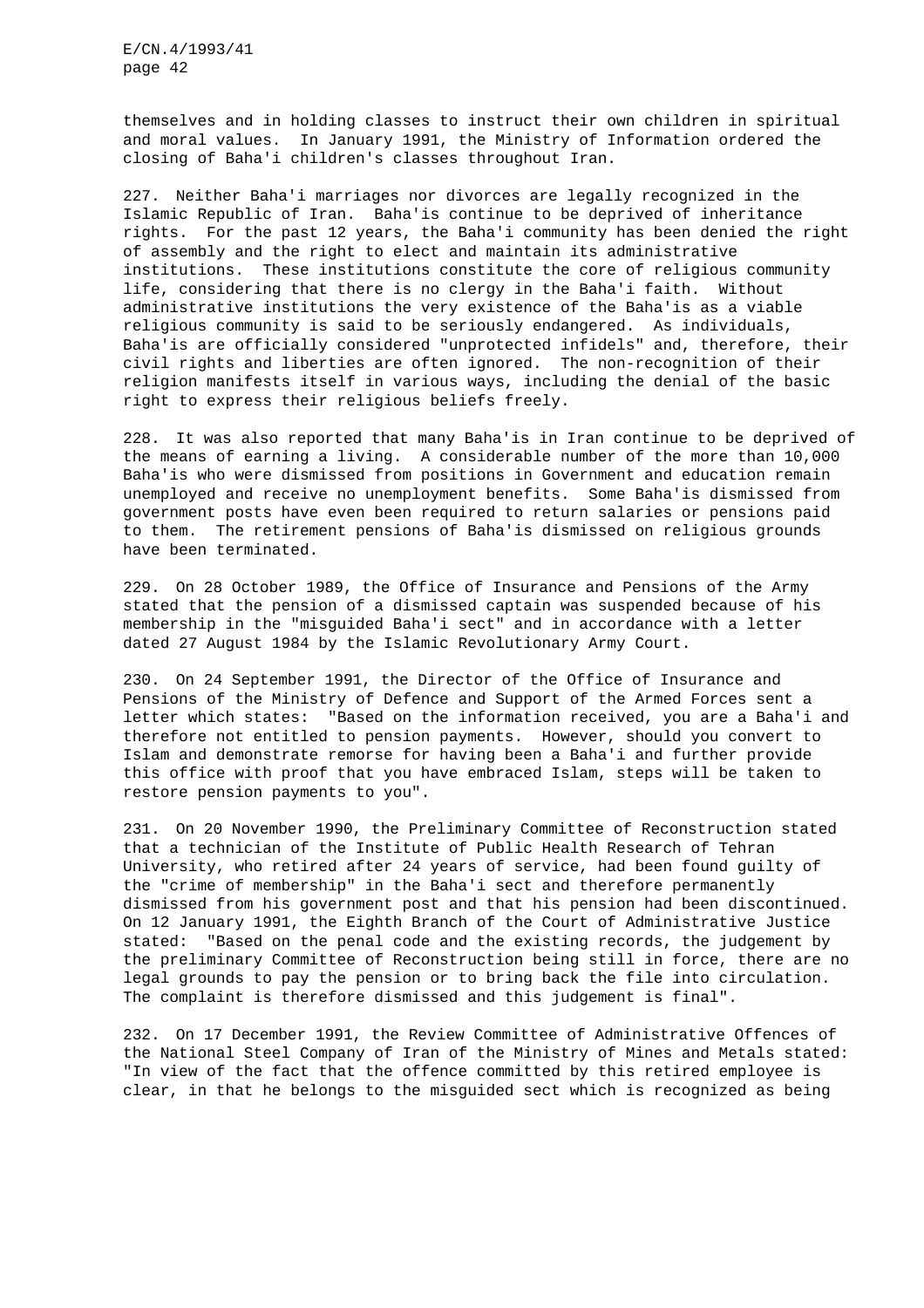themselves and in holding classes to instruct their own children in spiritual and moral values. In January 1991, the Ministry of Information ordered the closing of Baha'i children's classes throughout Iran.

227. Neither Baha'i marriages nor divorces are legally recognized in the Islamic Republic of Iran. Baha'is continue to be deprived of inheritance rights. For the past 12 years, the Baha'i community has been denied the right of assembly and the right to elect and maintain its administrative institutions. These institutions constitute the core of religious community life, considering that there is no clergy in the Baha'i faith. Without administrative institutions the very existence of the Baha'is as a viable religious community is said to be seriously endangered. As individuals, Baha'is are officially considered "unprotected infidels" and, therefore, their civil rights and liberties are often ignored. The non-recognition of their religion manifests itself in various ways, including the denial of the basic right to express their religious beliefs freely.

228. It was also reported that many Baha'is in Iran continue to be deprived of the means of earning a living. A considerable number of the more than 10,000 Baha'is who were dismissed from positions in Government and education remain unemployed and receive no unemployment benefits. Some Baha'is dismissed from government posts have even been required to return salaries or pensions paid to them. The retirement pensions of Baha'is dismissed on religious grounds have been terminated.

229. On 28 October 1989, the Office of Insurance and Pensions of the Army stated that the pension of a dismissed captain was suspended because of his membership in the "misguided Baha'i sect" and in accordance with a letter dated 27 August 1984 by the Islamic Revolutionary Army Court.

230. On 24 September 1991, the Director of the Office of Insurance and Pensions of the Ministry of Defence and Support of the Armed Forces sent a letter which states: "Based on the information received, you are a Baha'i and therefore not entitled to pension payments. However, should you convert to Islam and demonstrate remorse for having been a Baha'i and further provide this office with proof that you have embraced Islam, steps will be taken to restore pension payments to you".

231. On 20 November 1990, the Preliminary Committee of Reconstruction stated that a technician of the Institute of Public Health Research of Tehran University, who retired after 24 years of service, had been found guilty of the "crime of membership" in the Baha'i sect and therefore permanently dismissed from his government post and that his pension had been discontinued. On 12 January 1991, the Eighth Branch of the Court of Administrative Justice stated: "Based on the penal code and the existing records, the judgement by the preliminary Committee of Reconstruction being still in force, there are no legal grounds to pay the pension or to bring back the file into circulation. The complaint is therefore dismissed and this judgement is final".

232. On 17 December 1991, the Review Committee of Administrative Offences of the National Steel Company of Iran of the Ministry of Mines and Metals stated: "In view of the fact that the offence committed by this retired employee is clear, in that he belongs to the misguided sect which is recognized as being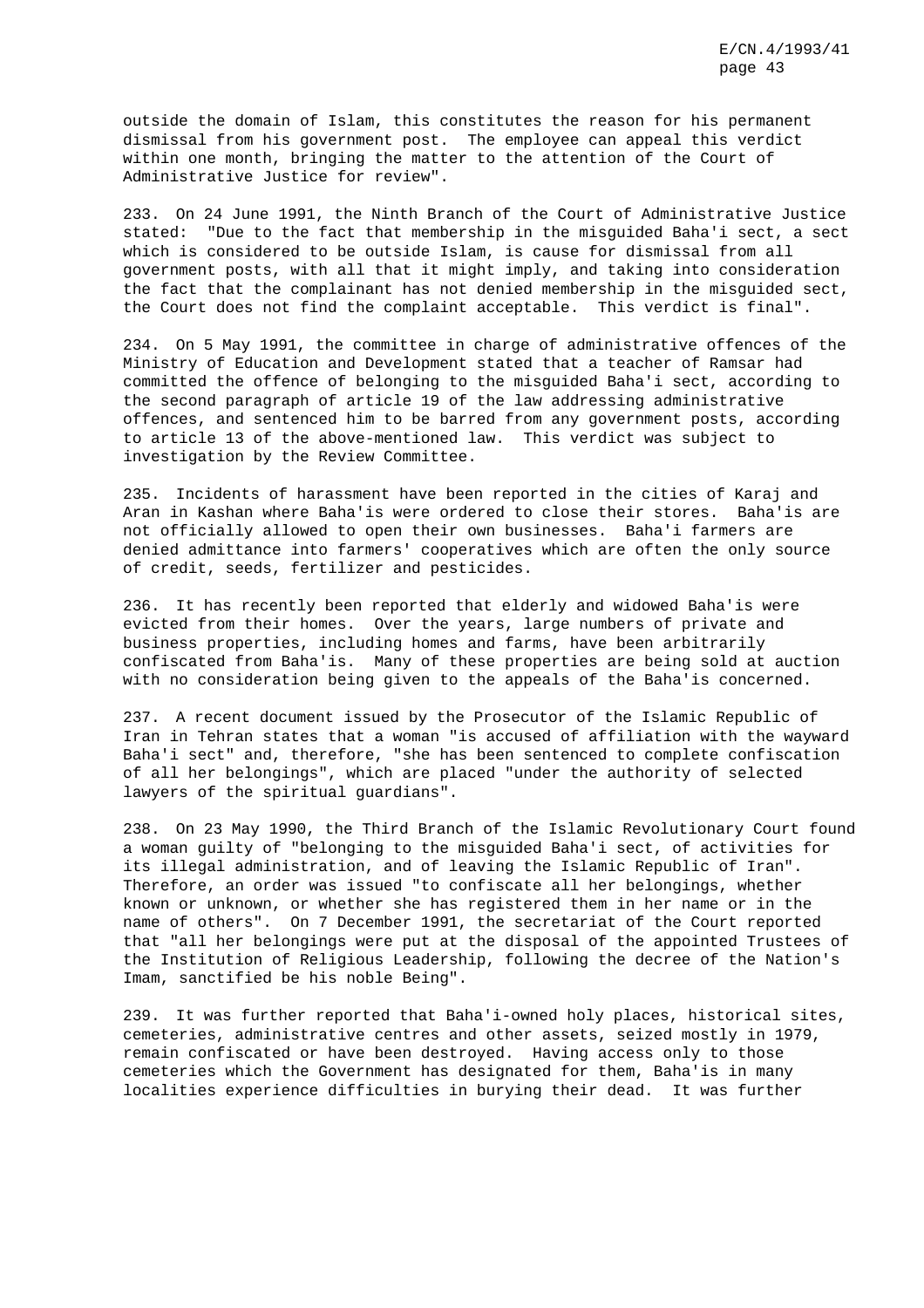outside the domain of Islam, this constitutes the reason for his permanent dismissal from his government post. The employee can appeal this verdict within one month, bringing the matter to the attention of the Court of Administrative Justice for review".

233. On 24 June 1991, the Ninth Branch of the Court of Administrative Justice stated: "Due to the fact that membership in the misguided Baha'i sect, a sect which is considered to be outside Islam, is cause for dismissal from all government posts, with all that it might imply, and taking into consideration the fact that the complainant has not denied membership in the misguided sect, the Court does not find the complaint acceptable. This verdict is final".

234. On 5 May 1991, the committee in charge of administrative offences of the Ministry of Education and Development stated that a teacher of Ramsar had committed the offence of belonging to the misguided Baha'i sect, according to the second paragraph of article 19 of the law addressing administrative offences, and sentenced him to be barred from any government posts, according to article 13 of the above-mentioned law. This verdict was subject to investigation by the Review Committee.

235. Incidents of harassment have been reported in the cities of Karaj and Aran in Kashan where Baha'is were ordered to close their stores. Baha'is are not officially allowed to open their own businesses. Baha'i farmers are denied admittance into farmers' cooperatives which are often the only source of credit, seeds, fertilizer and pesticides.

236. It has recently been reported that elderly and widowed Baha'is were evicted from their homes. Over the years, large numbers of private and business properties, including homes and farms, have been arbitrarily confiscated from Baha'is. Many of these properties are being sold at auction with no consideration being given to the appeals of the Baha'is concerned.

237. A recent document issued by the Prosecutor of the Islamic Republic of Iran in Tehran states that a woman "is accused of affiliation with the wayward Baha'i sect" and, therefore, "she has been sentenced to complete confiscation of all her belongings", which are placed "under the authority of selected lawyers of the spiritual guardians".

238. On 23 May 1990, the Third Branch of the Islamic Revolutionary Court found a woman guilty of "belonging to the misguided Baha'i sect, of activities for its illegal administration, and of leaving the Islamic Republic of Iran". Therefore, an order was issued "to confiscate all her belongings, whether known or unknown, or whether she has registered them in her name or in the name of others". On 7 December 1991, the secretariat of the Court reported that "all her belongings were put at the disposal of the appointed Trustees of the Institution of Religious Leadership, following the decree of the Nation's Imam, sanctified be his noble Being".

239. It was further reported that Baha'i-owned holy places, historical sites, cemeteries, administrative centres and other assets, seized mostly in 1979, remain confiscated or have been destroyed. Having access only to those cemeteries which the Government has designated for them, Baha'is in many localities experience difficulties in burying their dead. It was further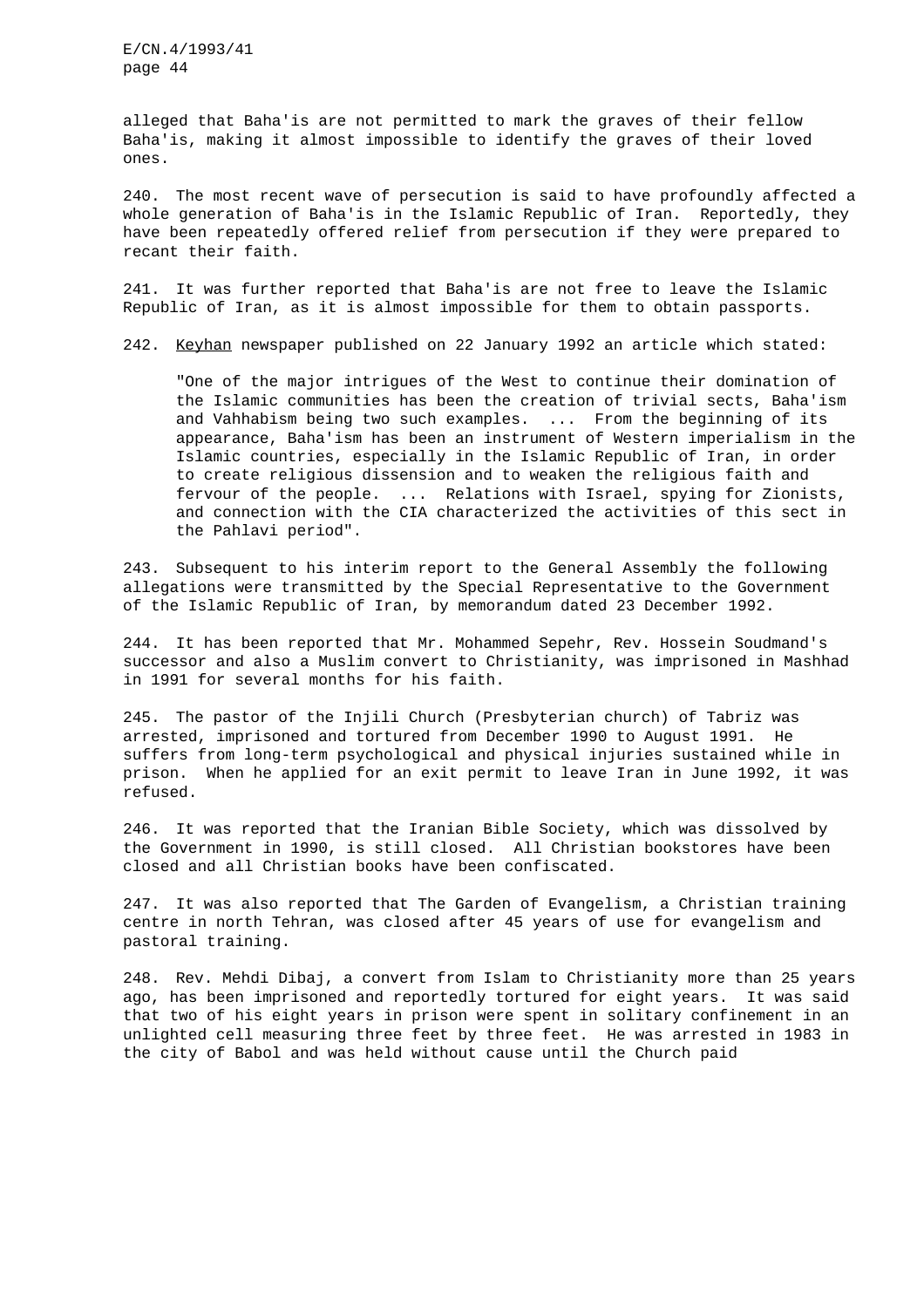alleged that Baha'is are not permitted to mark the graves of their fellow Baha'is, making it almost impossible to identify the graves of their loved ones.

240. The most recent wave of persecution is said to have profoundly affected a whole generation of Baha'is in the Islamic Republic of Iran. Reportedly, they have been repeatedly offered relief from persecution if they were prepared to recant their faith.

241. It was further reported that Baha'is are not free to leave the Islamic Republic of Iran, as it is almost impossible for them to obtain passports.

242. Keyhan newspaper published on 22 January 1992 an article which stated:

"One of the major intrigues of the West to continue their domination of the Islamic communities has been the creation of trivial sects, Baha'ism and Vahhabism being two such examples. ... From the beginning of its appearance, Baha'ism has been an instrument of Western imperialism in the Islamic countries, especially in the Islamic Republic of Iran, in order to create religious dissension and to weaken the religious faith and fervour of the people. ... Relations with Israel, spying for Zionists, and connection with the CIA characterized the activities of this sect in the Pahlavi period".

243. Subsequent to his interim report to the General Assembly the following allegations were transmitted by the Special Representative to the Government of the Islamic Republic of Iran, by memorandum dated 23 December 1992.

244. It has been reported that Mr. Mohammed Sepehr, Rev. Hossein Soudmand's successor and also a Muslim convert to Christianity, was imprisoned in Mashhad in 1991 for several months for his faith.

245. The pastor of the Injili Church (Presbyterian church) of Tabriz was arrested, imprisoned and tortured from December 1990 to August 1991. He suffers from long-term psychological and physical injuries sustained while in prison. When he applied for an exit permit to leave Iran in June 1992, it was refused.

246. It was reported that the Iranian Bible Society, which was dissolved by the Government in 1990, is still closed. All Christian bookstores have been closed and all Christian books have been confiscated.

247. It was also reported that The Garden of Evangelism, a Christian training centre in north Tehran, was closed after 45 years of use for evangelism and pastoral training.

248. Rev. Mehdi Dibaj, a convert from Islam to Christianity more than 25 years ago, has been imprisoned and reportedly tortured for eight years. It was said that two of his eight years in prison were spent in solitary confinement in an unlighted cell measuring three feet by three feet. He was arrested in 1983 in the city of Babol and was held without cause until the Church paid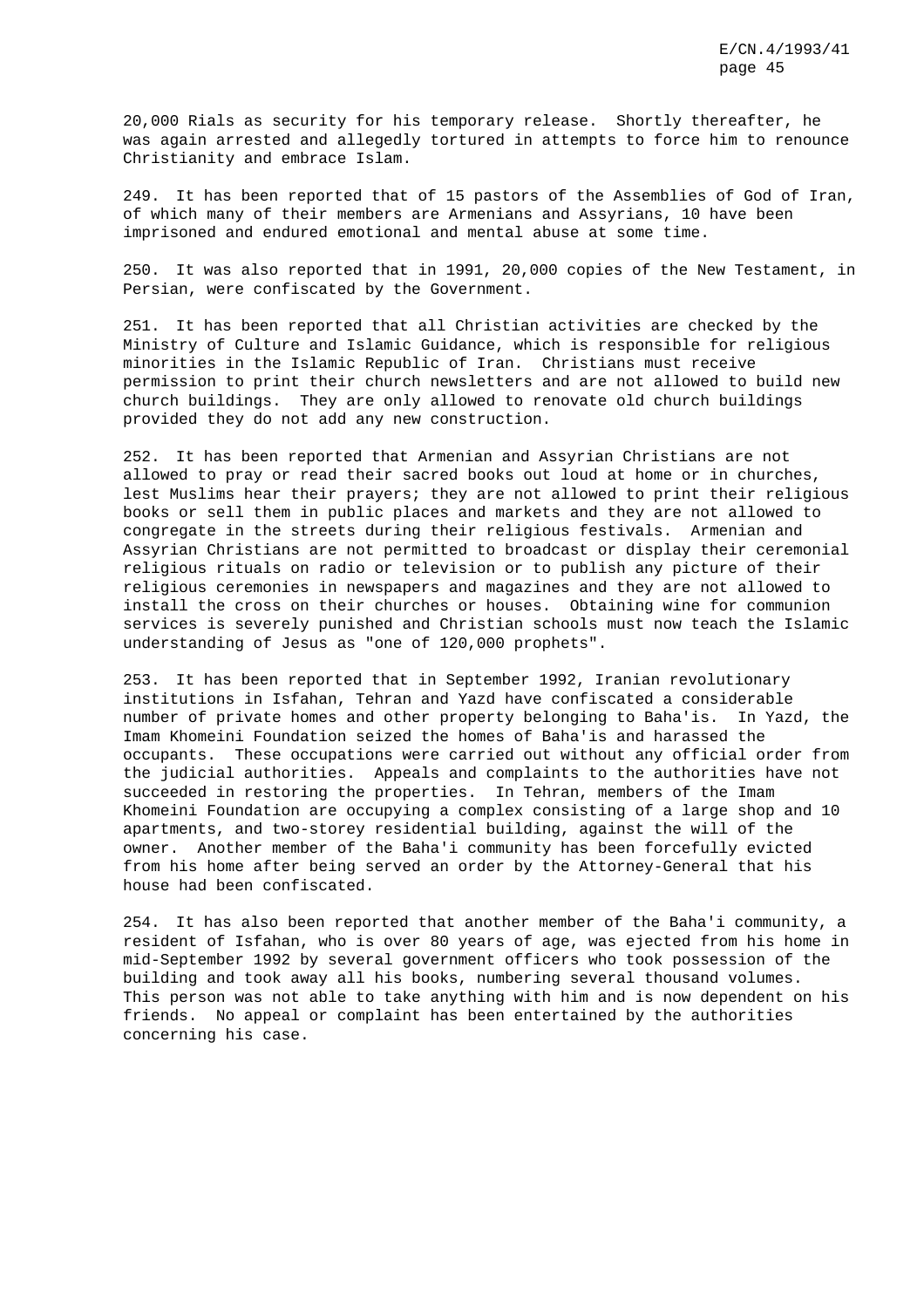20,000 Rials as security for his temporary release. Shortly thereafter, he was again arrested and allegedly tortured in attempts to force him to renounce Christianity and embrace Islam.

249. It has been reported that of 15 pastors of the Assemblies of God of Iran, of which many of their members are Armenians and Assyrians, 10 have been imprisoned and endured emotional and mental abuse at some time.

250. It was also reported that in 1991, 20,000 copies of the New Testament, in Persian, were confiscated by the Government.

251. It has been reported that all Christian activities are checked by the Ministry of Culture and Islamic Guidance, which is responsible for religious minorities in the Islamic Republic of Iran. Christians must receive permission to print their church newsletters and are not allowed to build new church buildings. They are only allowed to renovate old church buildings provided they do not add any new construction.

252. It has been reported that Armenian and Assyrian Christians are not allowed to pray or read their sacred books out loud at home or in churches, lest Muslims hear their prayers; they are not allowed to print their religious books or sell them in public places and markets and they are not allowed to congregate in the streets during their religious festivals. Armenian and Assyrian Christians are not permitted to broadcast or display their ceremonial religious rituals on radio or television or to publish any picture of their religious ceremonies in newspapers and magazines and they are not allowed to install the cross on their churches or houses. Obtaining wine for communion services is severely punished and Christian schools must now teach the Islamic understanding of Jesus as "one of 120,000 prophets".

253. It has been reported that in September 1992, Iranian revolutionary institutions in Isfahan, Tehran and Yazd have confiscated a considerable number of private homes and other property belonging to Baha'is. In Yazd, the Imam Khomeini Foundation seized the homes of Baha'is and harassed the occupants. These occupations were carried out without any official order from the judicial authorities. Appeals and complaints to the authorities have not succeeded in restoring the properties. In Tehran, members of the Imam Khomeini Foundation are occupying a complex consisting of a large shop and 10 apartments, and two-storey residential building, against the will of the owner. Another member of the Baha'i community has been forcefully evicted from his home after being served an order by the Attorney-General that his house had been confiscated.

254. It has also been reported that another member of the Baha'i community, a resident of Isfahan, who is over 80 years of age, was ejected from his home in mid-September 1992 by several government officers who took possession of the building and took away all his books, numbering several thousand volumes. This person was not able to take anything with him and is now dependent on his friends. No appeal or complaint has been entertained by the authorities concerning his case.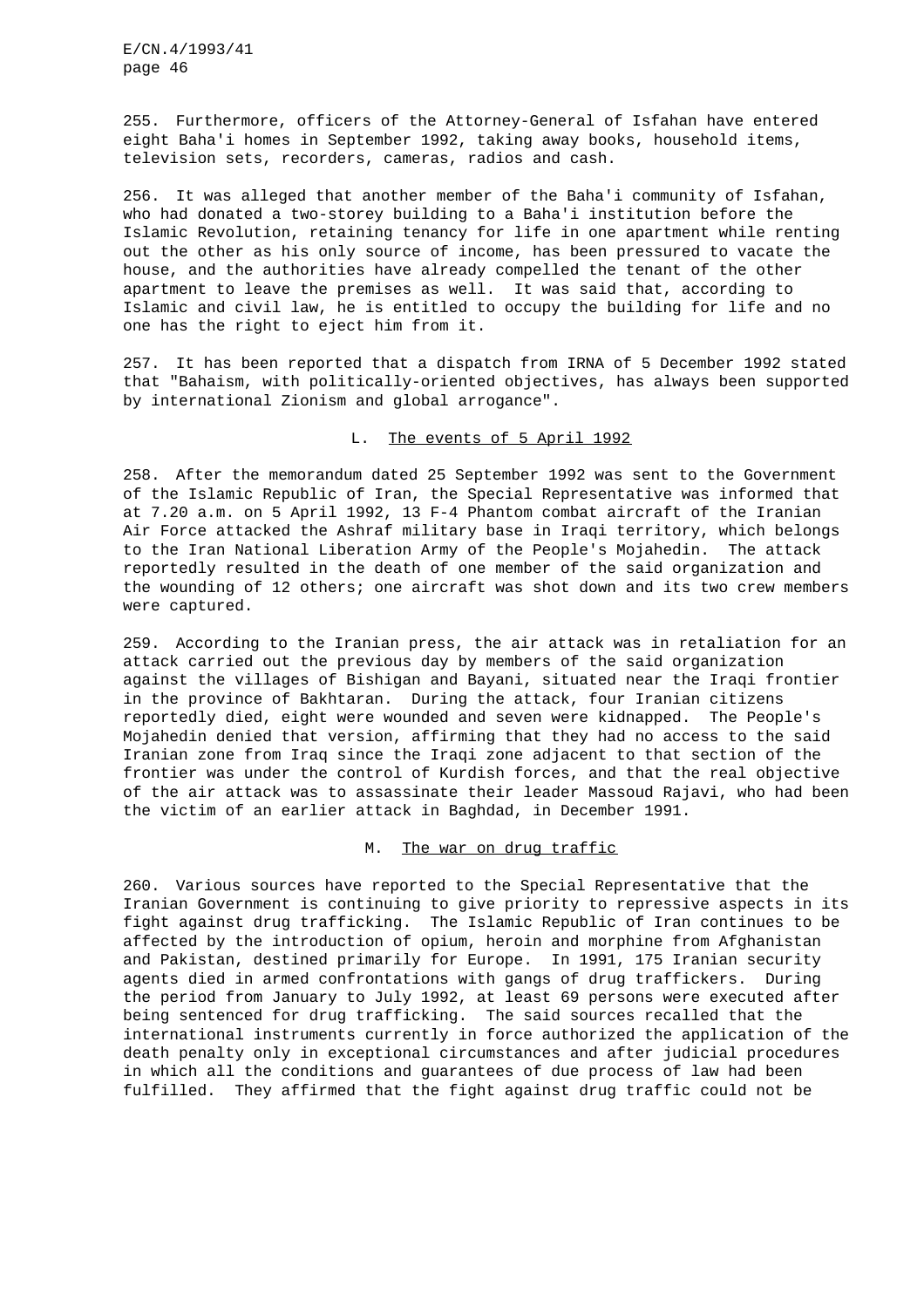255. Furthermore, officers of the Attorney-General of Isfahan have entered eight Baha'i homes in September 1992, taking away books, household items, television sets, recorders, cameras, radios and cash.

256. It was alleged that another member of the Baha'i community of Isfahan, who had donated a two-storey building to a Baha'i institution before the Islamic Revolution, retaining tenancy for life in one apartment while renting out the other as his only source of income, has been pressured to vacate the house, and the authorities have already compelled the tenant of the other apartment to leave the premises as well. It was said that, according to Islamic and civil law, he is entitled to occupy the building for life and no one has the right to eject him from it.

257. It has been reported that a dispatch from IRNA of 5 December 1992 stated that "Bahaism, with politically-oriented objectives, has always been supported by international Zionism and global arrogance".

## L. The events of 5 April 1992

258. After the memorandum dated 25 September 1992 was sent to the Government of the Islamic Republic of Iran, the Special Representative was informed that at 7.20 a.m. on 5 April 1992, 13 F-4 Phantom combat aircraft of the Iranian Air Force attacked the Ashraf military base in Iraqi territory, which belongs to the Iran National Liberation Army of the People's Mojahedin. The attack reportedly resulted in the death of one member of the said organization and the wounding of 12 others; one aircraft was shot down and its two crew members were captured.

259. According to the Iranian press, the air attack was in retaliation for an attack carried out the previous day by members of the said organization against the villages of Bishigan and Bayani, situated near the Iraqi frontier in the province of Bakhtaran. During the attack, four Iranian citizens reportedly died, eight were wounded and seven were kidnapped. The People's Mojahedin denied that version, affirming that they had no access to the said Iranian zone from Iraq since the Iraqi zone adjacent to that section of the frontier was under the control of Kurdish forces, and that the real objective of the air attack was to assassinate their leader Massoud Rajavi, who had been the victim of an earlier attack in Baghdad, in December 1991.

### M. The war on drug traffic

260. Various sources have reported to the Special Representative that the Iranian Government is continuing to give priority to repressive aspects in its fight against drug trafficking. The Islamic Republic of Iran continues to be affected by the introduction of opium, heroin and morphine from Afghanistan and Pakistan, destined primarily for Europe. In 1991, 175 Iranian security agents died in armed confrontations with gangs of drug traffickers. During the period from January to July 1992, at least 69 persons were executed after being sentenced for drug trafficking. The said sources recalled that the international instruments currently in force authorized the application of the death penalty only in exceptional circumstances and after judicial procedures in which all the conditions and guarantees of due process of law had been fulfilled. They affirmed that the fight against drug traffic could not be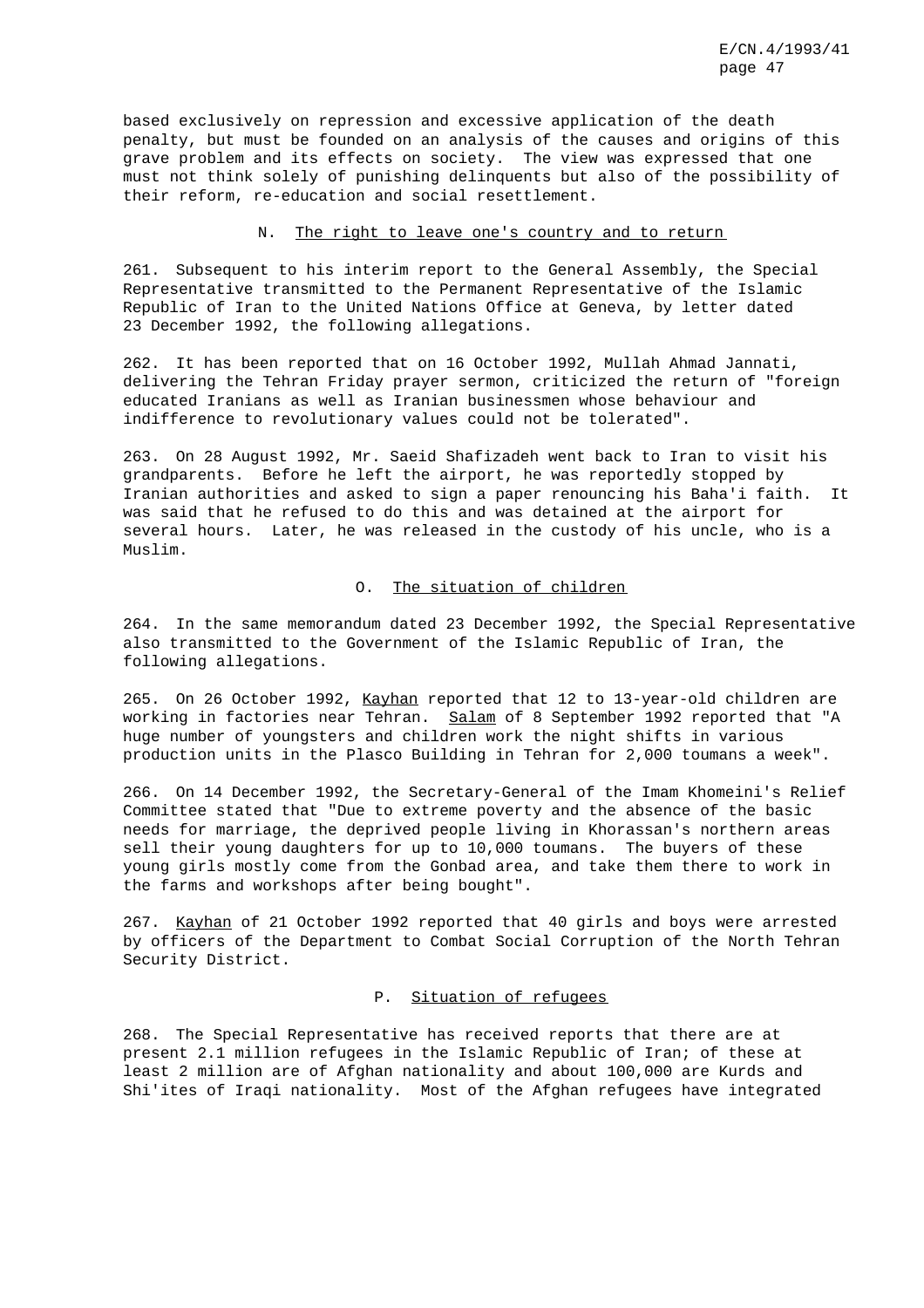based exclusively on repression and excessive application of the death penalty, but must be founded on an analysis of the causes and origins of this grave problem and its effects on society. The view was expressed that one must not think solely of punishing delinquents but also of the possibility of their reform, re-education and social resettlement.

## N. The right to leave one's country and to return

261. Subsequent to his interim report to the General Assembly, the Special Representative transmitted to the Permanent Representative of the Islamic Republic of Iran to the United Nations Office at Geneva, by letter dated 23 December 1992, the following allegations.

262. It has been reported that on 16 October 1992, Mullah Ahmad Jannati, delivering the Tehran Friday prayer sermon, criticized the return of "foreign educated Iranians as well as Iranian businessmen whose behaviour and indifference to revolutionary values could not be tolerated".

263. On 28 August 1992, Mr. Saeid Shafizadeh went back to Iran to visit his grandparents. Before he left the airport, he was reportedly stopped by Iranian authorities and asked to sign a paper renouncing his Baha'i faith. It was said that he refused to do this and was detained at the airport for several hours. Later, he was released in the custody of his uncle, who is a Muslim.

## O. The situation of children

264. In the same memorandum dated 23 December 1992, the Special Representative also transmitted to the Government of the Islamic Republic of Iran, the following allegations.

265. On 26 October 1992, Kayhan reported that 12 to 13-year-old children are working in factories near Tehran. Salam of 8 September 1992 reported that "A huge number of youngsters and children work the night shifts in various production units in the Plasco Building in Tehran for 2,000 toumans a week".

266. On 14 December 1992, the Secretary-General of the Imam Khomeini's Relief Committee stated that "Due to extreme poverty and the absence of the basic needs for marriage, the deprived people living in Khorassan's northern areas sell their young daughters for up to 10,000 toumans. The buyers of these young girls mostly come from the Gonbad area, and take them there to work in the farms and workshops after being bought".

267. Kayhan of 21 October 1992 reported that 40 girls and boys were arrested by officers of the Department to Combat Social Corruption of the North Tehran Security District.

## P. Situation of refugees

268. The Special Representative has received reports that there are at present 2.1 million refugees in the Islamic Republic of Iran; of these at least 2 million are of Afghan nationality and about 100,000 are Kurds and Shi'ites of Iraqi nationality. Most of the Afghan refugees have integrated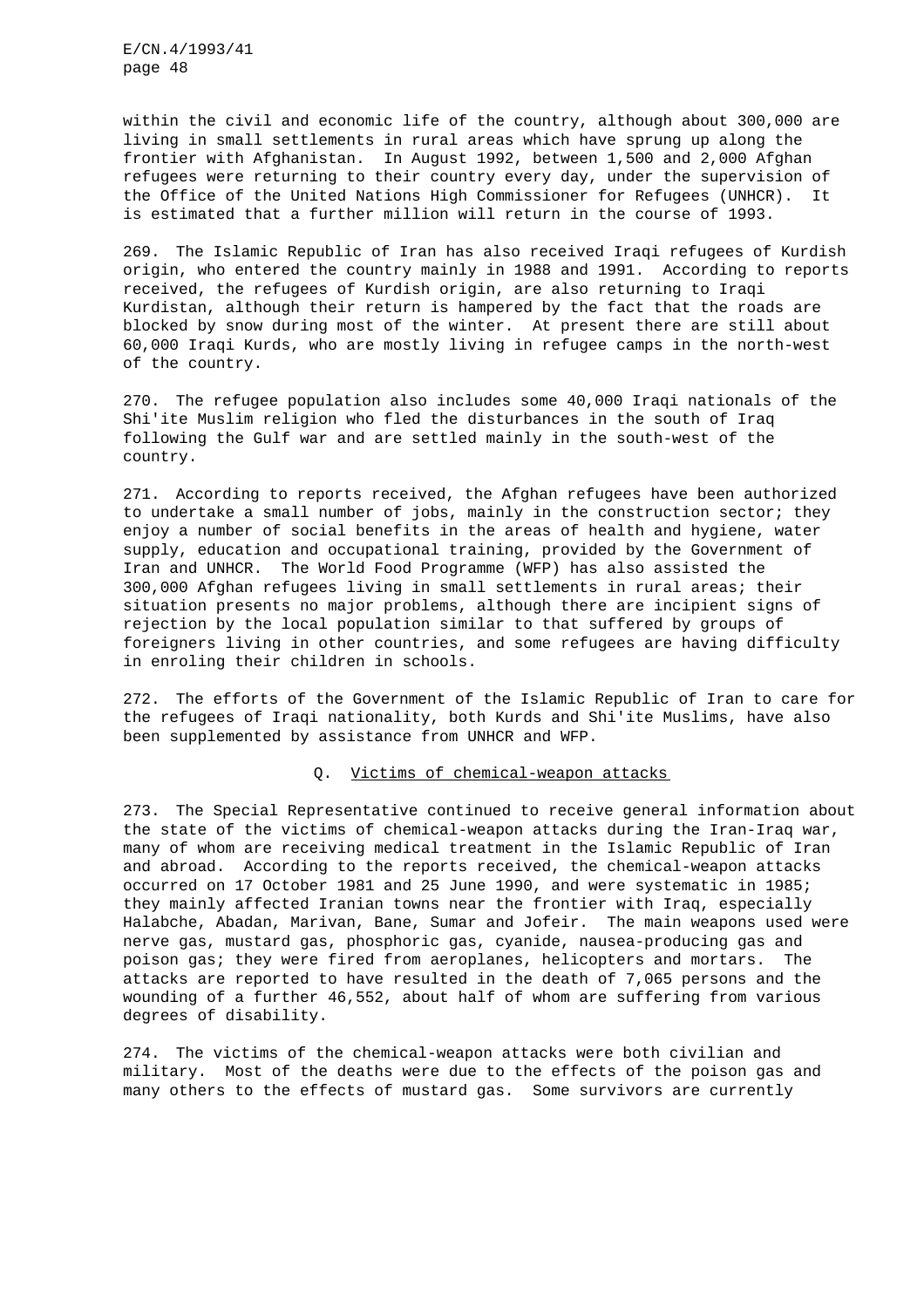within the civil and economic life of the country, although about 300,000 are living in small settlements in rural areas which have sprung up along the frontier with Afghanistan. In August 1992, between 1,500 and 2,000 Afghan refugees were returning to their country every day, under the supervision of the Office of the United Nations High Commissioner for Refugees (UNHCR). It is estimated that a further million will return in the course of 1993.

269. The Islamic Republic of Iran has also received Iraqi refugees of Kurdish origin, who entered the country mainly in 1988 and 1991. According to reports received, the refugees of Kurdish origin, are also returning to Iraqi Kurdistan, although their return is hampered by the fact that the roads are blocked by snow during most of the winter. At present there are still about 60,000 Iraqi Kurds, who are mostly living in refugee camps in the north-west of the country.

270. The refugee population also includes some 40,000 Iraqi nationals of the Shi'ite Muslim religion who fled the disturbances in the south of Iraq following the Gulf war and are settled mainly in the south-west of the country.

271. According to reports received, the Afghan refugees have been authorized to undertake a small number of jobs, mainly in the construction sector; they enjoy a number of social benefits in the areas of health and hygiene, water supply, education and occupational training, provided by the Government of Iran and UNHCR. The World Food Programme (WFP) has also assisted the 300,000 Afghan refugees living in small settlements in rural areas; their situation presents no major problems, although there are incipient signs of rejection by the local population similar to that suffered by groups of foreigners living in other countries, and some refugees are having difficulty in enroling their children in schools.

272. The efforts of the Government of the Islamic Republic of Iran to care for the refugees of Iraqi nationality, both Kurds and Shi'ite Muslims, have also been supplemented by assistance from UNHCR and WFP.

## Q. Victims of chemical-weapon attacks

273. The Special Representative continued to receive general information about the state of the victims of chemical-weapon attacks during the Iran-Iraq war, many of whom are receiving medical treatment in the Islamic Republic of Iran and abroad. According to the reports received, the chemical-weapon attacks occurred on 17 October 1981 and 25 June 1990, and were systematic in 1985; they mainly affected Iranian towns near the frontier with Iraq, especially Halabche, Abadan, Marivan, Bane, Sumar and Jofeir. The main weapons used were nerve gas, mustard gas, phosphoric gas, cyanide, nausea-producing gas and poison gas; they were fired from aeroplanes, helicopters and mortars. The attacks are reported to have resulted in the death of 7,065 persons and the wounding of a further 46,552, about half of whom are suffering from various degrees of disability.

274. The victims of the chemical-weapon attacks were both civilian and military. Most of the deaths were due to the effects of the poison gas and many others to the effects of mustard gas. Some survivors are currently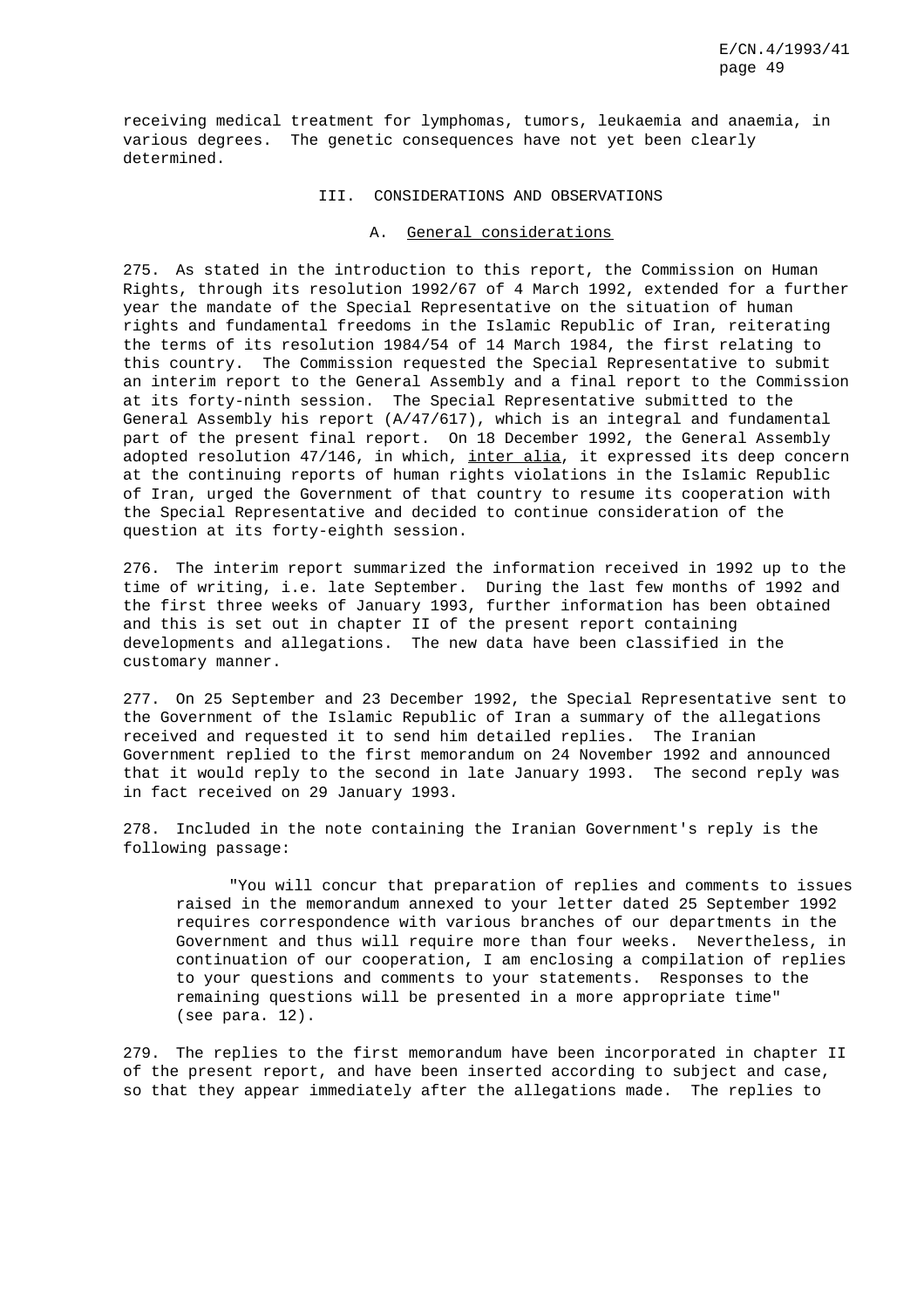receiving medical treatment for lymphomas, tumors, leukaemia and anaemia, in various degrees. The genetic consequences have not yet been clearly determined.

## III. CONSIDERATIONS AND OBSERVATIONS

## A. General considerations

275. As stated in the introduction to this report, the Commission on Human Rights, through its resolution 1992/67 of 4 March 1992, extended for a further year the mandate of the Special Representative on the situation of human rights and fundamental freedoms in the Islamic Republic of Iran, reiterating the terms of its resolution 1984/54 of 14 March 1984, the first relating to this country. The Commission requested the Special Representative to submit an interim report to the General Assembly and a final report to the Commission at its forty-ninth session. The Special Representative submitted to the General Assembly his report (A/47/617), which is an integral and fundamental part of the present final report. On 18 December 1992, the General Assembly adopted resolution 47/146, in which, inter alia, it expressed its deep concern at the continuing reports of human rights violations in the Islamic Republic of Iran, urged the Government of that country to resume its cooperation with the Special Representative and decided to continue consideration of the question at its forty-eighth session.

276. The interim report summarized the information received in 1992 up to the time of writing, i.e. late September. During the last few months of 1992 and the first three weeks of January 1993, further information has been obtained and this is set out in chapter II of the present report containing developments and allegations. The new data have been classified in the customary manner.

277. On 25 September and 23 December 1992, the Special Representative sent to the Government of the Islamic Republic of Iran a summary of the allegations received and requested it to send him detailed replies. The Iranian Government replied to the first memorandum on 24 November 1992 and announced that it would reply to the second in late January 1993. The second reply was in fact received on 29 January 1993.

278. Included in the note containing the Iranian Government's reply is the following passage:

"You will concur that preparation of replies and comments to issues raised in the memorandum annexed to your letter dated 25 September 1992 requires correspondence with various branches of our departments in the Government and thus will require more than four weeks. Nevertheless, in continuation of our cooperation, I am enclosing a compilation of replies to your questions and comments to your statements. Responses to the remaining questions will be presented in a more appropriate time" (see para. 12).

279. The replies to the first memorandum have been incorporated in chapter II of the present report, and have been inserted according to subject and case, so that they appear immediately after the allegations made. The replies to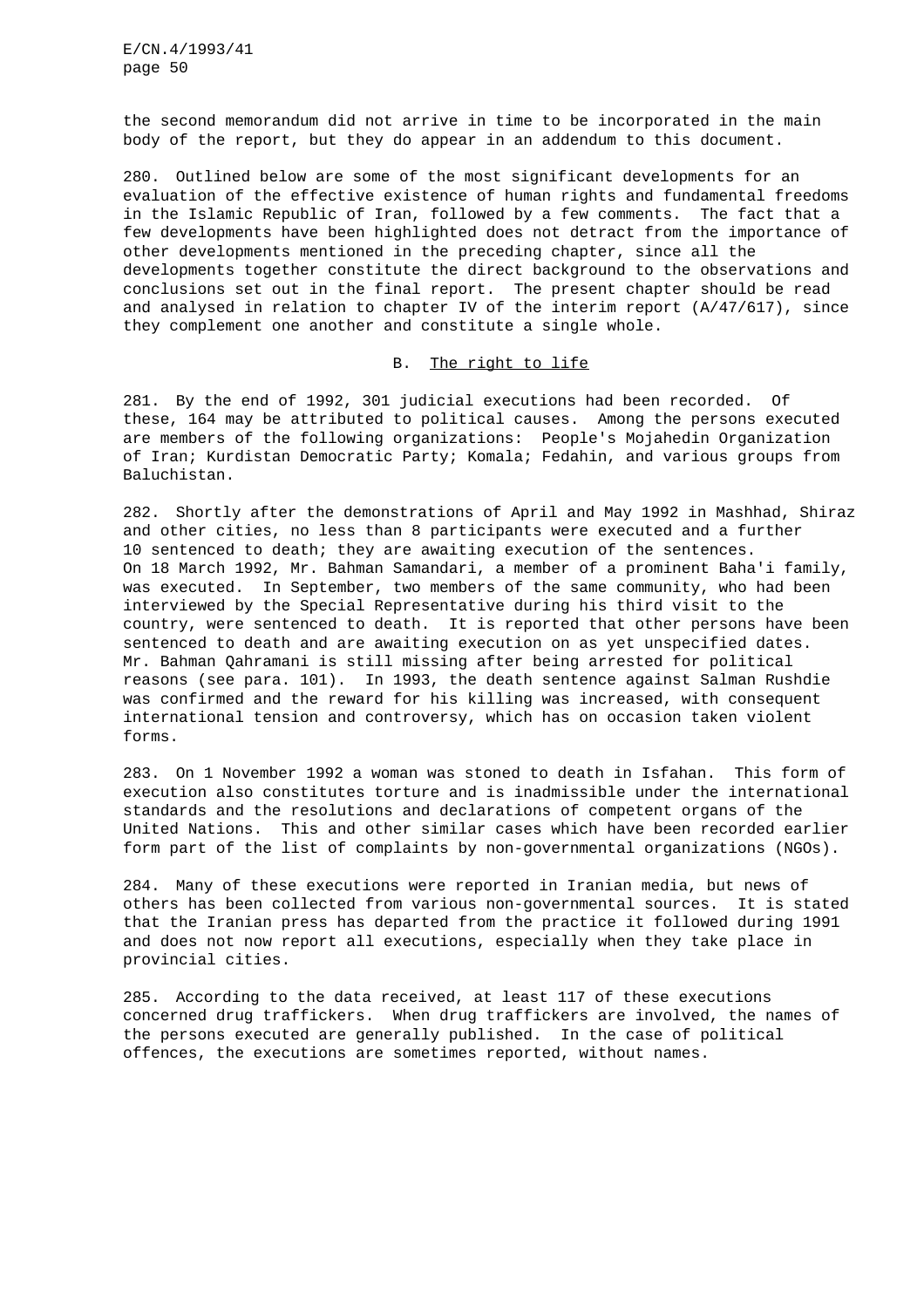the second memorandum did not arrive in time to be incorporated in the main body of the report, but they do appear in an addendum to this document.

280. Outlined below are some of the most significant developments for an evaluation of the effective existence of human rights and fundamental freedoms in the Islamic Republic of Iran, followed by a few comments. The fact that a few developments have been highlighted does not detract from the importance of other developments mentioned in the preceding chapter, since all the developments together constitute the direct background to the observations and conclusions set out in the final report. The present chapter should be read and analysed in relation to chapter IV of the interim report  $(A/47/617)$ , since they complement one another and constitute a single whole.

## B. The right to life

281. By the end of 1992, 301 judicial executions had been recorded. Of these, 164 may be attributed to political causes. Among the persons executed are members of the following organizations: People's Mojahedin Organization of Iran; Kurdistan Democratic Party; Komala; Fedahin, and various groups from Baluchistan.

282. Shortly after the demonstrations of April and May 1992 in Mashhad, Shiraz and other cities, no less than 8 participants were executed and a further 10 sentenced to death; they are awaiting execution of the sentences. On 18 March 1992, Mr. Bahman Samandari, a member of a prominent Baha'i family, was executed. In September, two members of the same community, who had been interviewed by the Special Representative during his third visit to the country, were sentenced to death. It is reported that other persons have been sentenced to death and are awaiting execution on as yet unspecified dates. Mr. Bahman Qahramani is still missing after being arrested for political reasons (see para. 101). In 1993, the death sentence against Salman Rushdie was confirmed and the reward for his killing was increased, with consequent international tension and controversy, which has on occasion taken violent forms.

283. On 1 November 1992 a woman was stoned to death in Isfahan. This form of execution also constitutes torture and is inadmissible under the international standards and the resolutions and declarations of competent organs of the United Nations. This and other similar cases which have been recorded earlier form part of the list of complaints by non-governmental organizations (NGOs).

284. Many of these executions were reported in Iranian media, but news of others has been collected from various non-governmental sources. It is stated that the Iranian press has departed from the practice it followed during 1991 and does not now report all executions, especially when they take place in provincial cities.

285. According to the data received, at least 117 of these executions concerned drug traffickers. When drug traffickers are involved, the names of the persons executed are generally published. In the case of political offences, the executions are sometimes reported, without names.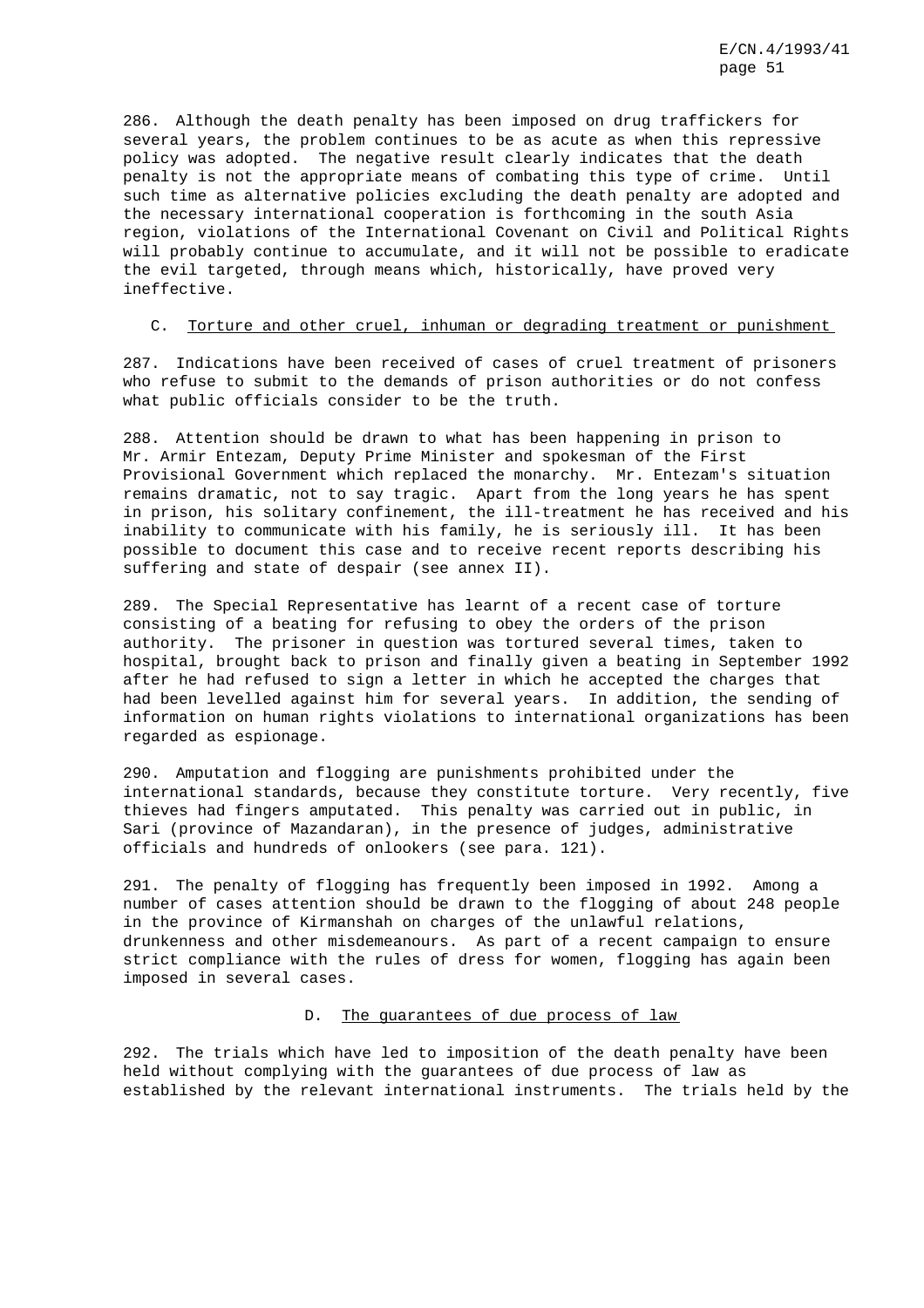286. Although the death penalty has been imposed on drug traffickers for several years, the problem continues to be as acute as when this repressive policy was adopted. The negative result clearly indicates that the death penalty is not the appropriate means of combating this type of crime. Until such time as alternative policies excluding the death penalty are adopted and the necessary international cooperation is forthcoming in the south Asia region, violations of the International Covenant on Civil and Political Rights will probably continue to accumulate, and it will not be possible to eradicate the evil targeted, through means which, historically, have proved very ineffective.

### C. Torture and other cruel, inhuman or degrading treatment or punishment

287. Indications have been received of cases of cruel treatment of prisoners who refuse to submit to the demands of prison authorities or do not confess what public officials consider to be the truth.

288. Attention should be drawn to what has been happening in prison to Mr. Armir Entezam, Deputy Prime Minister and spokesman of the First Provisional Government which replaced the monarchy. Mr. Entezam's situation remains dramatic, not to say tragic. Apart from the long years he has spent in prison, his solitary confinement, the ill-treatment he has received and his inability to communicate with his family, he is seriously ill. It has been possible to document this case and to receive recent reports describing his suffering and state of despair (see annex II).

289. The Special Representative has learnt of a recent case of torture consisting of a beating for refusing to obey the orders of the prison authority. The prisoner in question was tortured several times, taken to hospital, brought back to prison and finally given a beating in September 1992 after he had refused to sign a letter in which he accepted the charges that had been levelled against him for several years. In addition, the sending of information on human rights violations to international organizations has been regarded as espionage.

290. Amputation and flogging are punishments prohibited under the international standards, because they constitute torture. Very recently, five thieves had fingers amputated. This penalty was carried out in public, in Sari (province of Mazandaran), in the presence of judges, administrative officials and hundreds of onlookers (see para. 121).

291. The penalty of flogging has frequently been imposed in 1992. Among a number of cases attention should be drawn to the flogging of about 248 people in the province of Kirmanshah on charges of the unlawful relations, drunkenness and other misdemeanours. As part of a recent campaign to ensure strict compliance with the rules of dress for women, flogging has again been imposed in several cases.

## D. The guarantees of due process of law

292. The trials which have led to imposition of the death penalty have been held without complying with the guarantees of due process of law as established by the relevant international instruments. The trials held by the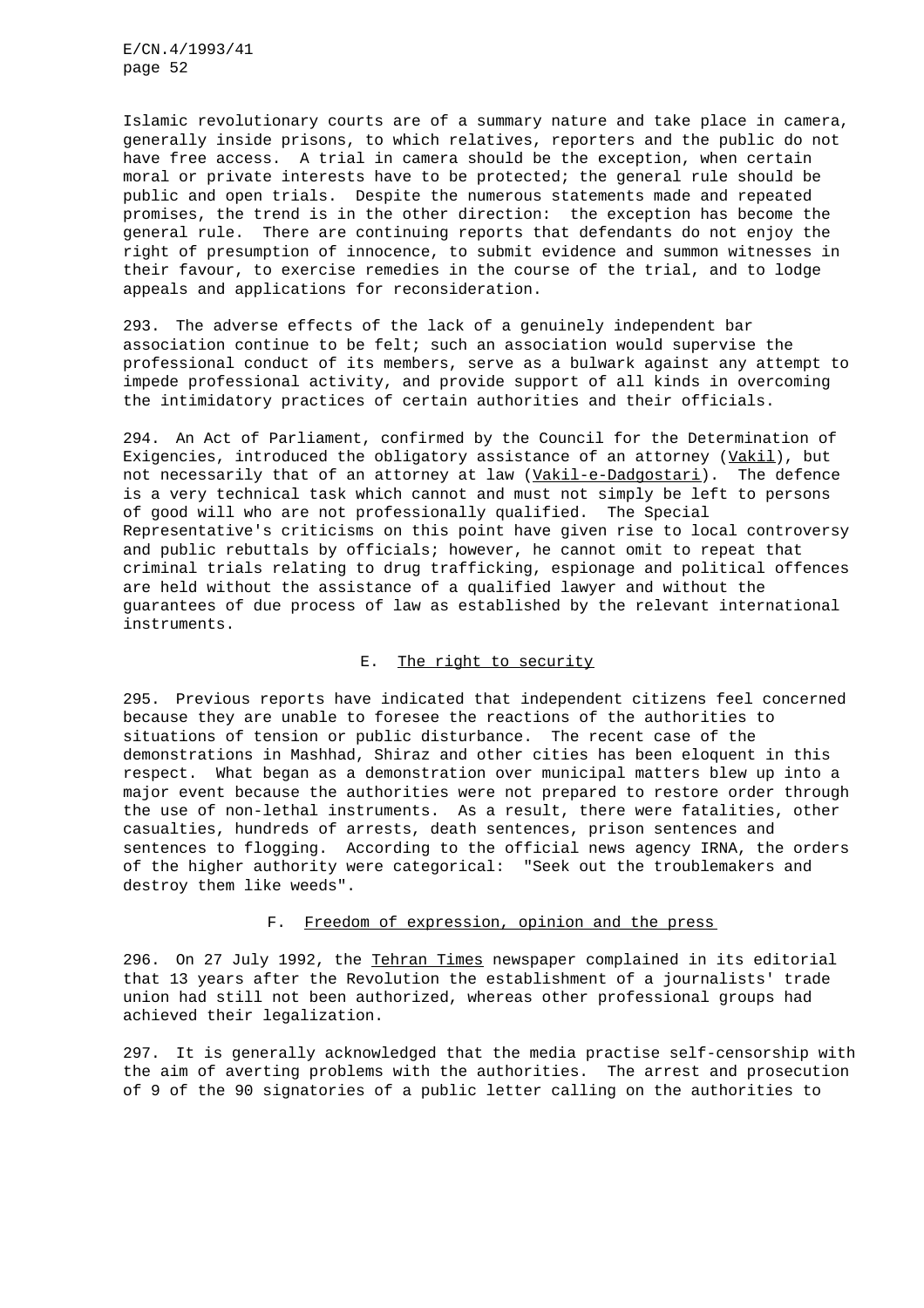Islamic revolutionary courts are of a summary nature and take place in camera, generally inside prisons, to which relatives, reporters and the public do not have free access. A trial in camera should be the exception, when certain moral or private interests have to be protected; the general rule should be public and open trials. Despite the numerous statements made and repeated promises, the trend is in the other direction: the exception has become the general rule. There are continuing reports that defendants do not enjoy the right of presumption of innocence, to submit evidence and summon witnesses in their favour, to exercise remedies in the course of the trial, and to lodge appeals and applications for reconsideration.

293. The adverse effects of the lack of a genuinely independent bar association continue to be felt; such an association would supervise the professional conduct of its members, serve as a bulwark against any attempt to impede professional activity, and provide support of all kinds in overcoming the intimidatory practices of certain authorities and their officials.

294. An Act of Parliament, confirmed by the Council for the Determination of Exigencies, introduced the obligatory assistance of an attorney  $(yaki)$ , but not necessarily that of an attorney at law (Vakil-e-Dadgostari). The defence is a very technical task which cannot and must not simply be left to persons of good will who are not professionally qualified. The Special Representative's criticisms on this point have given rise to local controversy and public rebuttals by officials; however, he cannot omit to repeat that criminal trials relating to drug trafficking, espionage and political offences are held without the assistance of a qualified lawyer and without the guarantees of due process of law as established by the relevant international instruments.

## E. The right to security

295. Previous reports have indicated that independent citizens feel concerned because they are unable to foresee the reactions of the authorities to situations of tension or public disturbance. The recent case of the demonstrations in Mashhad, Shiraz and other cities has been eloquent in this respect. What began as a demonstration over municipal matters blew up into a major event because the authorities were not prepared to restore order through the use of non-lethal instruments. As a result, there were fatalities, other casualties, hundreds of arrests, death sentences, prison sentences and sentences to flogging. According to the official news agency IRNA, the orders of the higher authority were categorical: "Seek out the troublemakers and destroy them like weeds".

# F. Freedom of expression, opinion and the press

296. On 27 July 1992, the Tehran Times newspaper complained in its editorial that 13 years after the Revolution the establishment of a journalists' trade union had still not been authorized, whereas other professional groups had achieved their legalization.

297. It is generally acknowledged that the media practise self-censorship with the aim of averting problems with the authorities. The arrest and prosecution of 9 of the 90 signatories of a public letter calling on the authorities to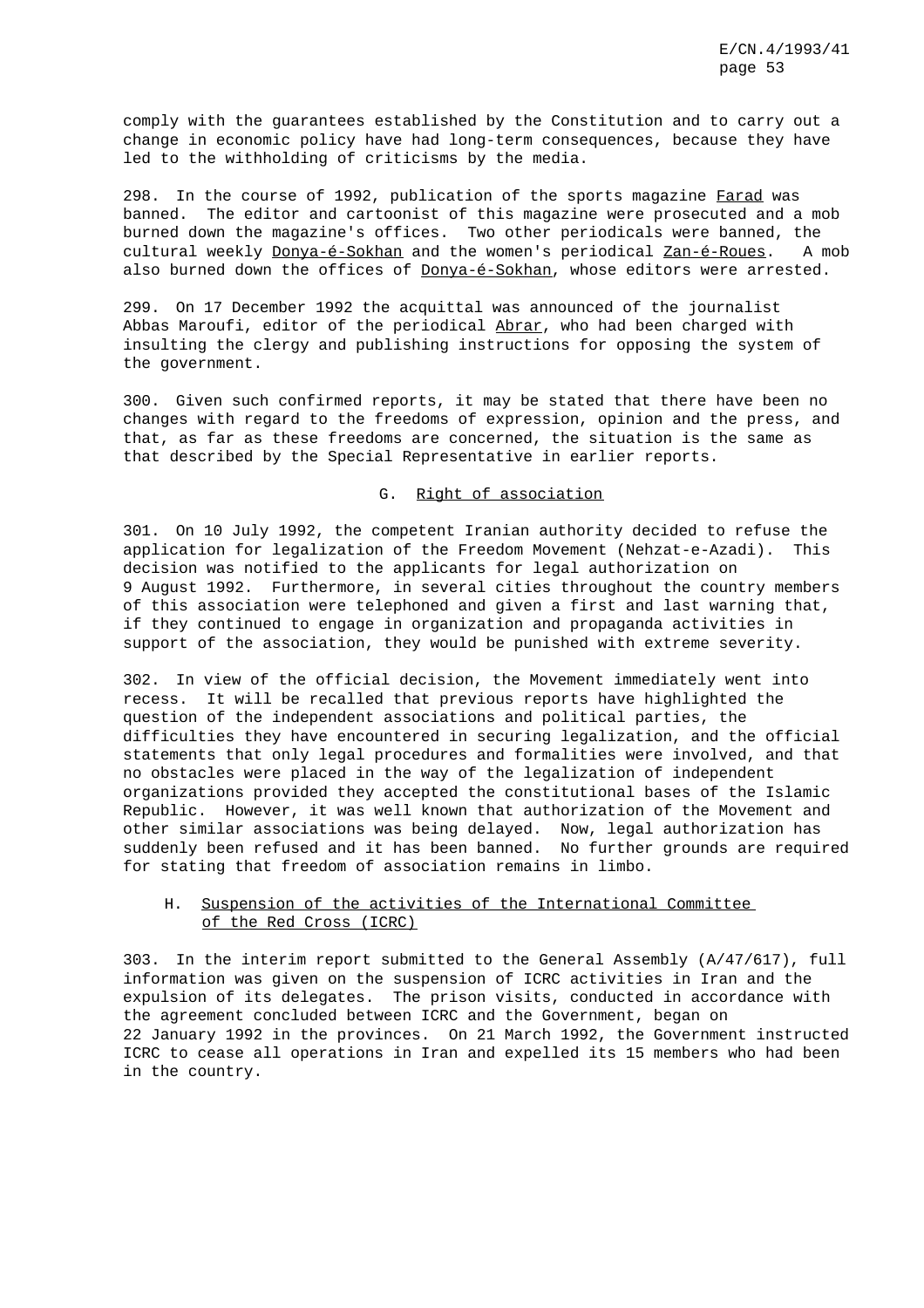comply with the guarantees established by the Constitution and to carry out a change in economic policy have had long-term consequences, because they have led to the withholding of criticisms by the media.

298. In the course of 1992, publication of the sports magazine Farad was banned. The editor and cartoonist of this magazine were prosecuted and a mob burned down the magazine's offices. Two other periodicals were banned, the cultural weekly Donya-é-Sokhan and the women's periodical Zan-é-Roues. A mob also burned down the offices of Donya-é-Sokhan, whose editors were arrested.

299. On 17 December 1992 the acquittal was announced of the journalist Abbas Maroufi, editor of the periodical Abrar, who had been charged with insulting the clergy and publishing instructions for opposing the system of the government.

300. Given such confirmed reports, it may be stated that there have been no changes with regard to the freedoms of expression, opinion and the press, and that, as far as these freedoms are concerned, the situation is the same as that described by the Special Representative in earlier reports.

## G. Right of association

301. On 10 July 1992, the competent Iranian authority decided to refuse the application for legalization of the Freedom Movement (Nehzat-e-Azadi). This decision was notified to the applicants for legal authorization on 9 August 1992. Furthermore, in several cities throughout the country members of this association were telephoned and given a first and last warning that, if they continued to engage in organization and propaganda activities in support of the association, they would be punished with extreme severity.

302. In view of the official decision, the Movement immediately went into recess. It will be recalled that previous reports have highlighted the question of the independent associations and political parties, the difficulties they have encountered in securing legalization, and the official statements that only legal procedures and formalities were involved, and that no obstacles were placed in the way of the legalization of independent organizations provided they accepted the constitutional bases of the Islamic Republic. However, it was well known that authorization of the Movement and other similar associations was being delayed. Now, legal authorization has suddenly been refused and it has been banned. No further grounds are required for stating that freedom of association remains in limbo.

## H. Suspension of the activities of the International Committee of the Red Cross (ICRC)

303. In the interim report submitted to the General Assembly (A/47/617), full information was given on the suspension of ICRC activities in Iran and the expulsion of its delegates. The prison visits, conducted in accordance with the agreement concluded between ICRC and the Government, began on 22 January 1992 in the provinces. On 21 March 1992, the Government instructed ICRC to cease all operations in Iran and expelled its 15 members who had been in the country.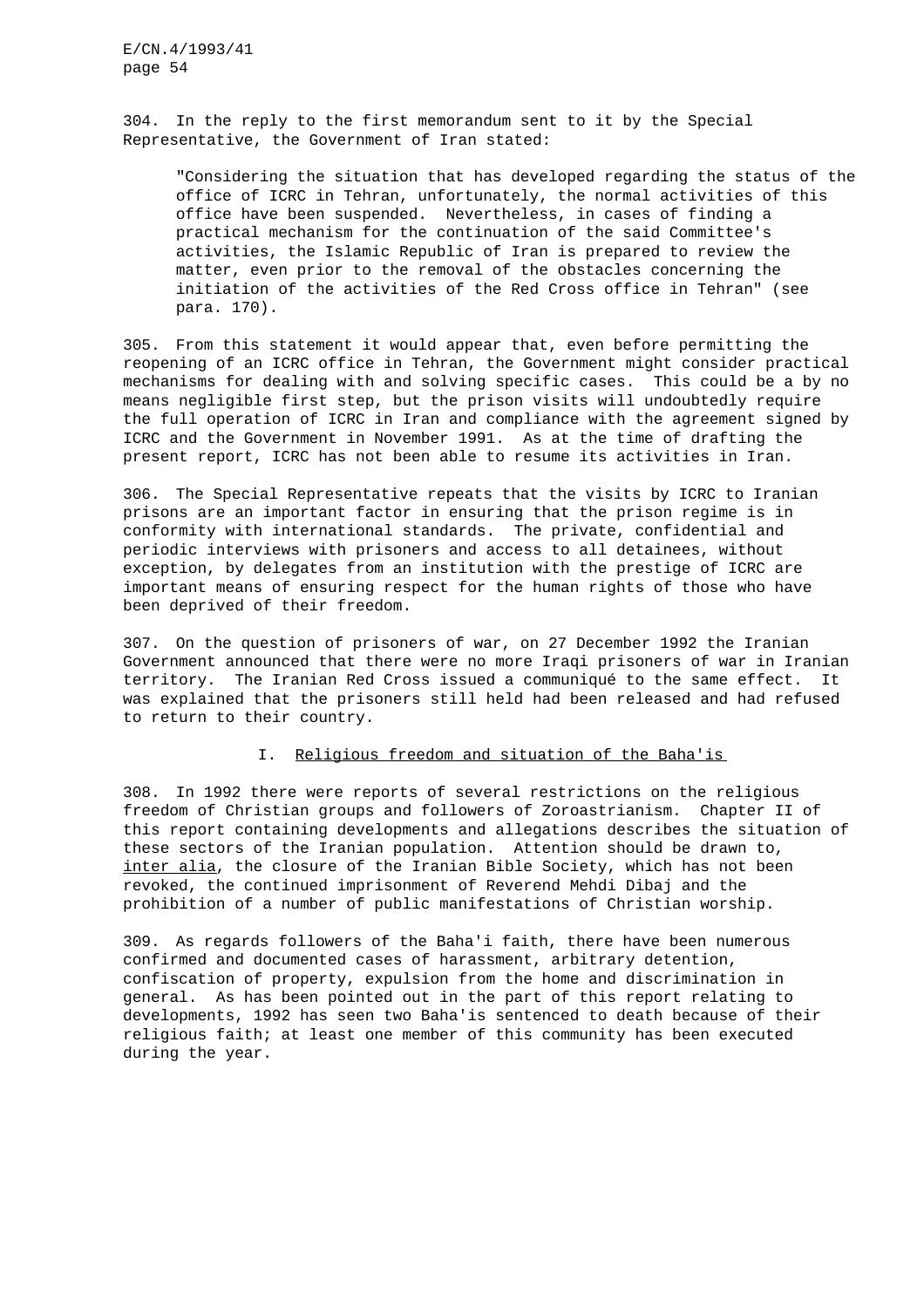304. In the reply to the first memorandum sent to it by the Special Representative, the Government of Iran stated:

"Considering the situation that has developed regarding the status of the office of ICRC in Tehran, unfortunately, the normal activities of this office have been suspended. Nevertheless, in cases of finding a practical mechanism for the continuation of the said Committee's activities, the Islamic Republic of Iran is prepared to review the matter, even prior to the removal of the obstacles concerning the initiation of the activities of the Red Cross office in Tehran" (see para. 170).

305. From this statement it would appear that, even before permitting the reopening of an ICRC office in Tehran, the Government might consider practical mechanisms for dealing with and solving specific cases. This could be a by no means negligible first step, but the prison visits will undoubtedly require the full operation of ICRC in Iran and compliance with the agreement signed by ICRC and the Government in November 1991. As at the time of drafting the present report, ICRC has not been able to resume its activities in Iran.

306. The Special Representative repeats that the visits by ICRC to Iranian prisons are an important factor in ensuring that the prison regime is in conformity with international standards. The private, confidential and periodic interviews with prisoners and access to all detainees, without exception, by delegates from an institution with the prestige of ICRC are important means of ensuring respect for the human rights of those who have been deprived of their freedom.

307. On the question of prisoners of war, on 27 December 1992 the Iranian Government announced that there were no more Iraqi prisoners of war in Iranian territory. The Iranian Red Cross issued a communiqué to the same effect. It was explained that the prisoners still held had been released and had refused to return to their country.

## I. Religious freedom and situation of the Baha'is

308. In 1992 there were reports of several restrictions on the religious freedom of Christian groups and followers of Zoroastrianism. Chapter II of this report containing developments and allegations describes the situation of these sectors of the Iranian population. Attention should be drawn to, inter alia, the closure of the Iranian Bible Society, which has not been revoked, the continued imprisonment of Reverend Mehdi Dibaj and the prohibition of a number of public manifestations of Christian worship.

309. As regards followers of the Baha'i faith, there have been numerous confirmed and documented cases of harassment, arbitrary detention, confiscation of property, expulsion from the home and discrimination in general. As has been pointed out in the part of this report relating to developments, 1992 has seen two Baha'is sentenced to death because of their religious faith; at least one member of this community has been executed during the year.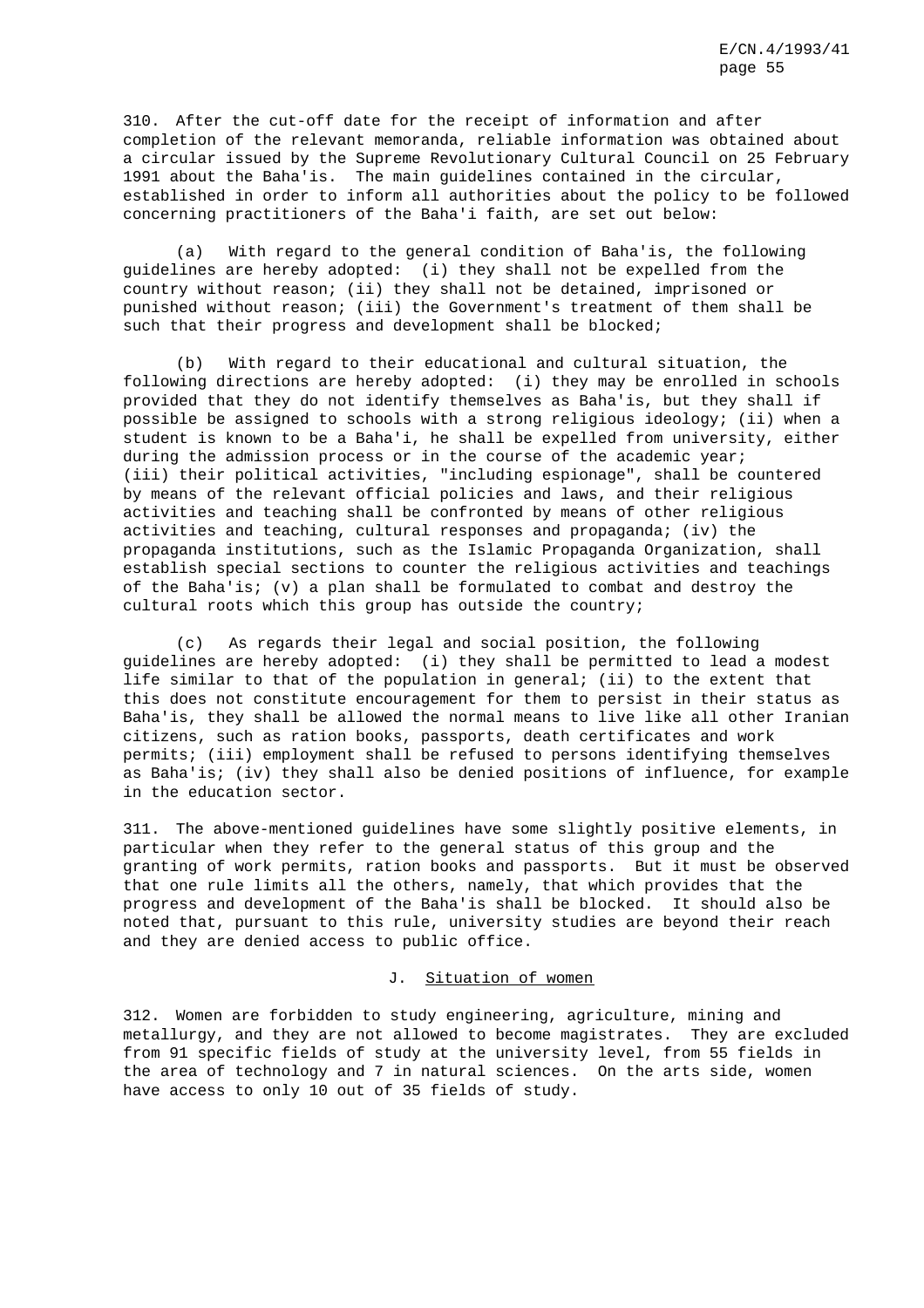310. After the cut-off date for the receipt of information and after completion of the relevant memoranda, reliable information was obtained about a circular issued by the Supreme Revolutionary Cultural Council on 25 February 1991 about the Baha'is. The main guidelines contained in the circular, established in order to inform all authorities about the policy to be followed concerning practitioners of the Baha'i faith, are set out below:

(a) With regard to the general condition of Baha'is, the following guidelines are hereby adopted: (i) they shall not be expelled from the country without reason; (ii) they shall not be detained, imprisoned or punished without reason; (iii) the Government's treatment of them shall be such that their progress and development shall be blocked;

(b) With regard to their educational and cultural situation, the following directions are hereby adopted: (i) they may be enrolled in schools provided that they do not identify themselves as Baha'is, but they shall if possible be assigned to schools with a strong religious ideology; (ii) when a student is known to be a Baha'i, he shall be expelled from university, either during the admission process or in the course of the academic year; (iii) their political activities, "including espionage", shall be countered by means of the relevant official policies and laws, and their religious activities and teaching shall be confronted by means of other religious activities and teaching, cultural responses and propaganda; (iv) the propaganda institutions, such as the Islamic Propaganda Organization, shall establish special sections to counter the religious activities and teachings of the Baha'is; (v) a plan shall be formulated to combat and destroy the cultural roots which this group has outside the country;

(c) As regards their legal and social position, the following guidelines are hereby adopted: (i) they shall be permitted to lead a modest life similar to that of the population in general; (ii) to the extent that this does not constitute encouragement for them to persist in their status as Baha'is, they shall be allowed the normal means to live like all other Iranian citizens, such as ration books, passports, death certificates and work permits; (iii) employment shall be refused to persons identifying themselves as Baha'is; (iv) they shall also be denied positions of influence, for example in the education sector.

311. The above-mentioned guidelines have some slightly positive elements, in particular when they refer to the general status of this group and the granting of work permits, ration books and passports. But it must be observed that one rule limits all the others, namely, that which provides that the progress and development of the Baha'is shall be blocked. It should also be noted that, pursuant to this rule, university studies are beyond their reach and they are denied access to public office.

## J. Situation of women

312. Women are forbidden to study engineering, agriculture, mining and metallurgy, and they are not allowed to become magistrates. They are excluded from 91 specific fields of study at the university level, from 55 fields in the area of technology and 7 in natural sciences. On the arts side, women have access to only 10 out of 35 fields of study.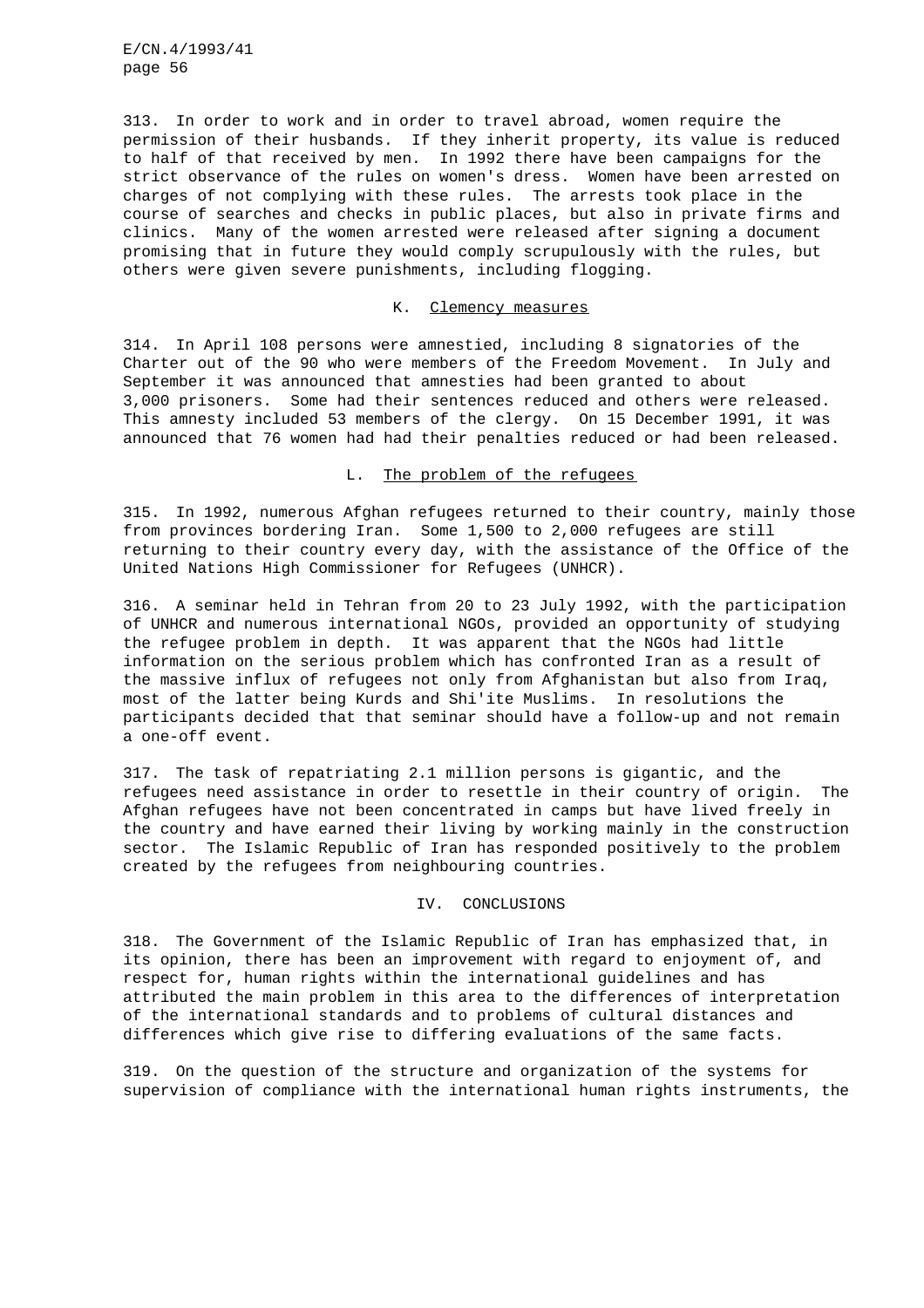313. In order to work and in order to travel abroad, women require the permission of their husbands. If they inherit property, its value is reduced to half of that received by men. In 1992 there have been campaigns for the strict observance of the rules on women's dress. Women have been arrested on charges of not complying with these rules. The arrests took place in the course of searches and checks in public places, but also in private firms and clinics. Many of the women arrested were released after signing a document promising that in future they would comply scrupulously with the rules, but others were given severe punishments, including flogging.

#### K. Clemency measures

314. In April 108 persons were amnestied, including 8 signatories of the Charter out of the 90 who were members of the Freedom Movement. In July and September it was announced that amnesties had been granted to about 3,000 prisoners. Some had their sentences reduced and others were released. This amnesty included 53 members of the clergy. On 15 December 1991, it was announced that 76 women had had their penalties reduced or had been released.

### L. The problem of the refugees

315. In 1992, numerous Afghan refugees returned to their country, mainly those from provinces bordering Iran. Some 1,500 to 2,000 refugees are still returning to their country every day, with the assistance of the Office of the United Nations High Commissioner for Refugees (UNHCR).

316. A seminar held in Tehran from 20 to 23 July 1992, with the participation of UNHCR and numerous international NGOs, provided an opportunity of studying the refugee problem in depth. It was apparent that the NGOs had little information on the serious problem which has confronted Iran as a result of the massive influx of refugees not only from Afghanistan but also from Iraq, most of the latter being Kurds and Shi'ite Muslims. In resolutions the participants decided that that seminar should have a follow-up and not remain a one-off event.

317. The task of repatriating 2.1 million persons is gigantic, and the refugees need assistance in order to resettle in their country of origin. The Afghan refugees have not been concentrated in camps but have lived freely in the country and have earned their living by working mainly in the construction sector. The Islamic Republic of Iran has responded positively to the problem created by the refugees from neighbouring countries.

### IV. CONCLUSIONS

318. The Government of the Islamic Republic of Iran has emphasized that, in its opinion, there has been an improvement with regard to enjoyment of, and respect for, human rights within the international guidelines and has attributed the main problem in this area to the differences of interpretation of the international standards and to problems of cultural distances and differences which give rise to differing evaluations of the same facts.

319. On the question of the structure and organization of the systems for supervision of compliance with the international human rights instruments, the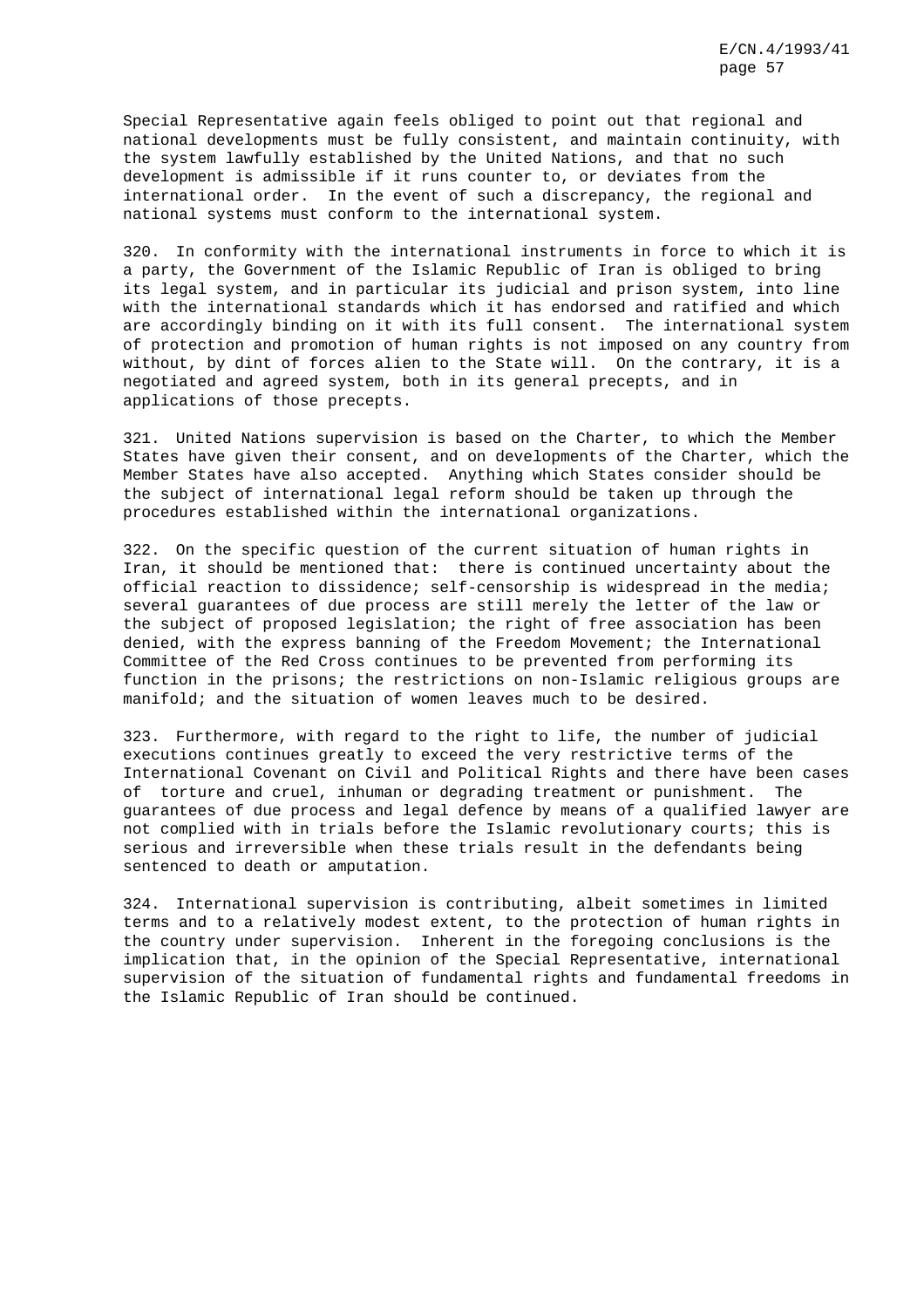Special Representative again feels obliged to point out that regional and national developments must be fully consistent, and maintain continuity, with the system lawfully established by the United Nations, and that no such development is admissible if it runs counter to, or deviates from the international order. In the event of such a discrepancy, the regional and national systems must conform to the international system.

320. In conformity with the international instruments in force to which it is a party, the Government of the Islamic Republic of Iran is obliged to bring its legal system, and in particular its judicial and prison system, into line with the international standards which it has endorsed and ratified and which are accordingly binding on it with its full consent. The international system of protection and promotion of human rights is not imposed on any country from without, by dint of forces alien to the State will. On the contrary, it is a negotiated and agreed system, both in its general precepts, and in applications of those precepts.

321. United Nations supervision is based on the Charter, to which the Member States have given their consent, and on developments of the Charter, which the Member States have also accepted. Anything which States consider should be the subject of international legal reform should be taken up through the procedures established within the international organizations.

322. On the specific question of the current situation of human rights in Iran, it should be mentioned that: there is continued uncertainty about the official reaction to dissidence; self-censorship is widespread in the media; several guarantees of due process are still merely the letter of the law or the subject of proposed legislation; the right of free association has been denied, with the express banning of the Freedom Movement; the International Committee of the Red Cross continues to be prevented from performing its function in the prisons; the restrictions on non-Islamic religious groups are manifold; and the situation of women leaves much to be desired.

323. Furthermore, with regard to the right to life, the number of judicial executions continues greatly to exceed the very restrictive terms of the International Covenant on Civil and Political Rights and there have been cases of torture and cruel, inhuman or degrading treatment or punishment. The guarantees of due process and legal defence by means of a qualified lawyer are not complied with in trials before the Islamic revolutionary courts; this is serious and irreversible when these trials result in the defendants being sentenced to death or amputation.

324. International supervision is contributing, albeit sometimes in limited terms and to a relatively modest extent, to the protection of human rights in the country under supervision. Inherent in the foregoing conclusions is the implication that, in the opinion of the Special Representative, international supervision of the situation of fundamental rights and fundamental freedoms in the Islamic Republic of Iran should be continued.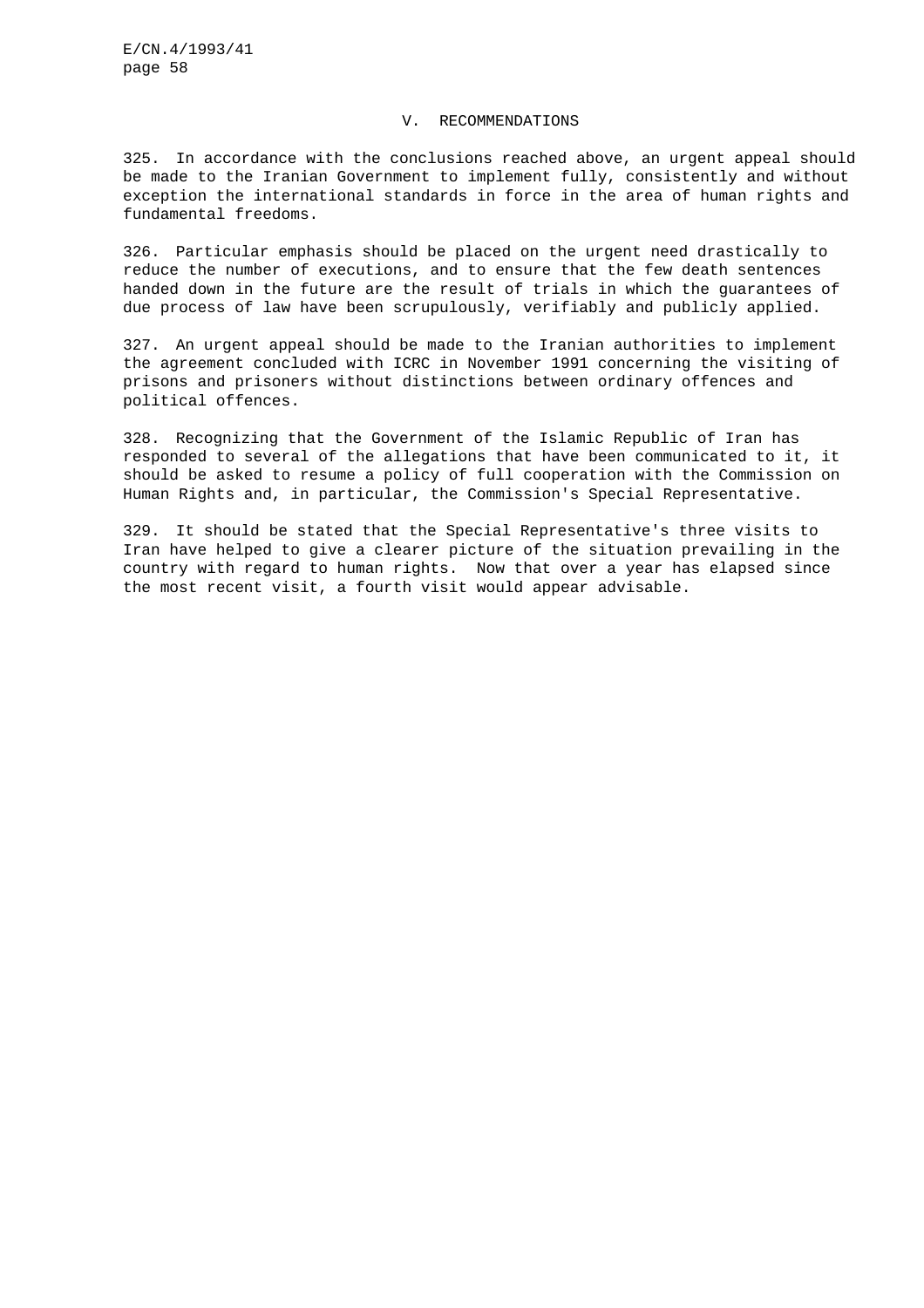#### V. RECOMMENDATIONS

325. In accordance with the conclusions reached above, an urgent appeal should be made to the Iranian Government to implement fully, consistently and without exception the international standards in force in the area of human rights and fundamental freedoms.

326. Particular emphasis should be placed on the urgent need drastically to reduce the number of executions, and to ensure that the few death sentences handed down in the future are the result of trials in which the guarantees of due process of law have been scrupulously, verifiably and publicly applied.

327. An urgent appeal should be made to the Iranian authorities to implement the agreement concluded with ICRC in November 1991 concerning the visiting of prisons and prisoners without distinctions between ordinary offences and political offences.

328. Recognizing that the Government of the Islamic Republic of Iran has responded to several of the allegations that have been communicated to it, it should be asked to resume a policy of full cooperation with the Commission on Human Rights and, in particular, the Commission's Special Representative.

329. It should be stated that the Special Representative's three visits to Iran have helped to give a clearer picture of the situation prevailing in the country with regard to human rights. Now that over a year has elapsed since the most recent visit, a fourth visit would appear advisable.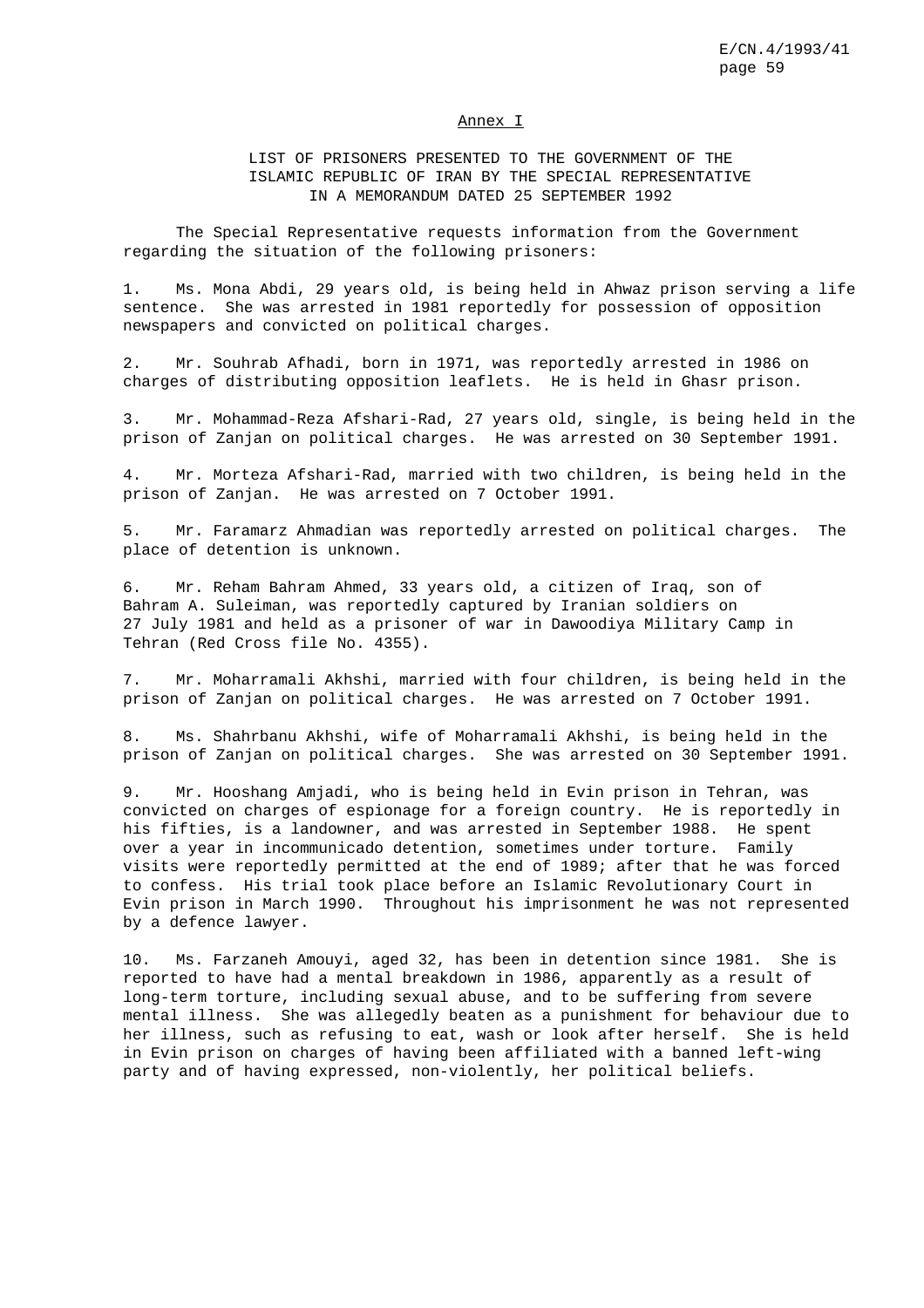#### Annex I

## LIST OF PRISONERS PRESENTED TO THE GOVERNMENT OF THE ISLAMIC REPUBLIC OF IRAN BY THE SPECIAL REPRESENTATIVE IN A MEMORANDUM DATED 25 SEPTEMBER 1992

The Special Representative requests information from the Government regarding the situation of the following prisoners:

1. Ms. Mona Abdi, 29 years old, is being held in Ahwaz prison serving a life sentence. She was arrested in 1981 reportedly for possession of opposition newspapers and convicted on political charges.

2. Mr. Souhrab Afhadi, born in 1971, was reportedly arrested in 1986 on charges of distributing opposition leaflets. He is held in Ghasr prison.

3. Mr. Mohammad-Reza Afshari-Rad, 27 years old, single, is being held in the prison of Zanjan on political charges. He was arrested on 30 September 1991.

4. Mr. Morteza Afshari-Rad, married with two children, is being held in the prison of Zanjan. He was arrested on 7 October 1991.

5. Mr. Faramarz Ahmadian was reportedly arrested on political charges. The place of detention is unknown.

6. Mr. Reham Bahram Ahmed, 33 years old, a citizen of Iraq, son of Bahram A. Suleiman, was reportedly captured by Iranian soldiers on 27 July 1981 and held as a prisoner of war in Dawoodiya Military Camp in Tehran (Red Cross file No. 4355).

7. Mr. Moharramali Akhshi, married with four children, is being held in the prison of Zanjan on political charges. He was arrested on 7 October 1991.

8. Ms. Shahrbanu Akhshi, wife of Moharramali Akhshi, is being held in the prison of Zanjan on political charges. She was arrested on 30 September 1991.

9. Mr. Hooshang Amjadi, who is being held in Evin prison in Tehran, was convicted on charges of espionage for a foreign country. He is reportedly in his fifties, is a landowner, and was arrested in September 1988. He spent over a year in incommunicado detention, sometimes under torture. Family visits were reportedly permitted at the end of 1989; after that he was forced to confess. His trial took place before an Islamic Revolutionary Court in Evin prison in March 1990. Throughout his imprisonment he was not represented by a defence lawyer.

10. Ms. Farzaneh Amouyi, aged 32, has been in detention since 1981. She is reported to have had a mental breakdown in 1986, apparently as a result of long-term torture, including sexual abuse, and to be suffering from severe mental illness. She was allegedly beaten as a punishment for behaviour due to her illness, such as refusing to eat, wash or look after herself. She is held in Evin prison on charges of having been affiliated with a banned left-wing party and of having expressed, non-violently, her political beliefs.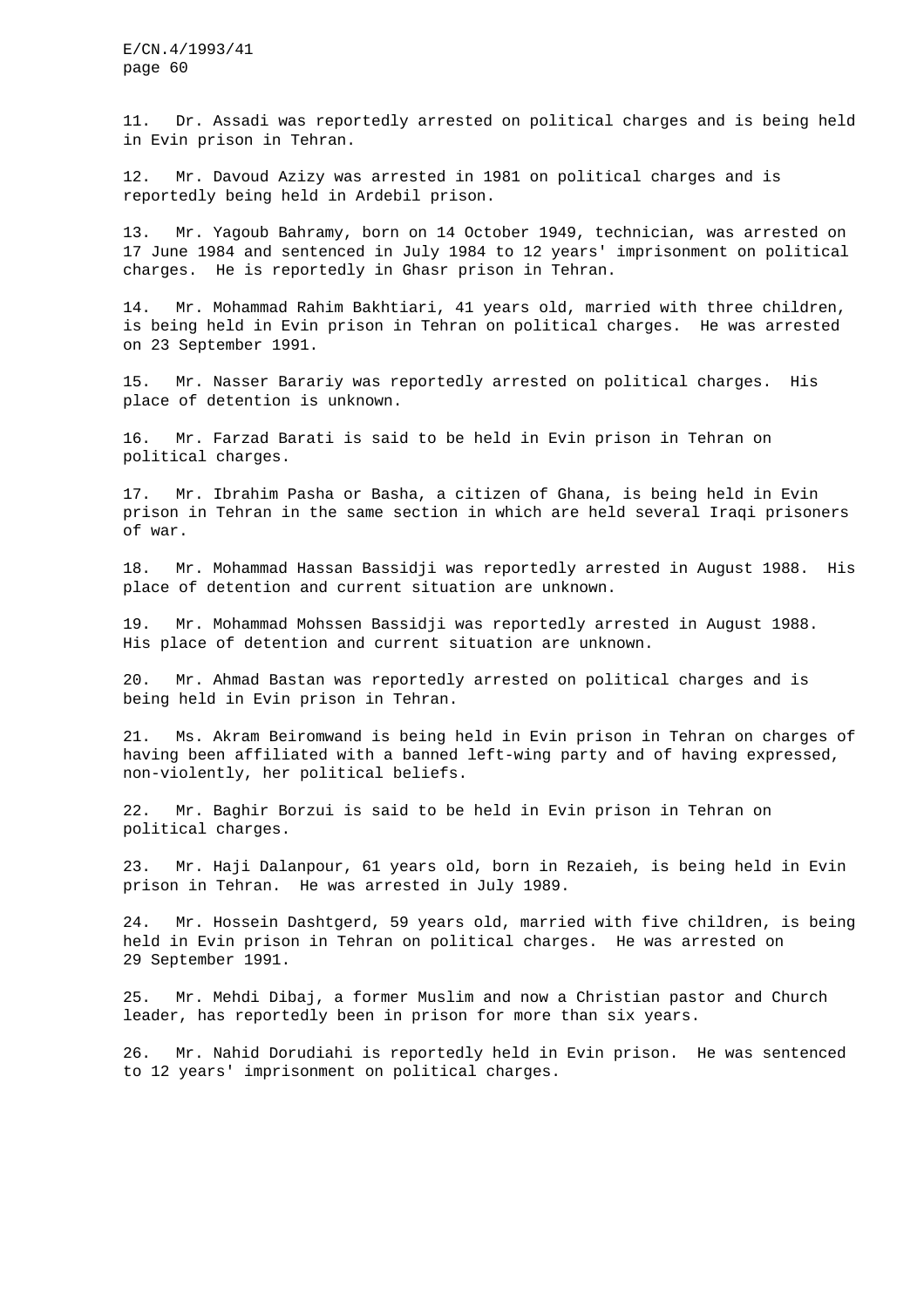11. Dr. Assadi was reportedly arrested on political charges and is being held in Evin prison in Tehran.

12. Mr. Davoud Azizy was arrested in 1981 on political charges and is reportedly being held in Ardebil prison.

13. Mr. Yagoub Bahramy, born on 14 October 1949, technician, was arrested on 17 June 1984 and sentenced in July 1984 to 12 years' imprisonment on political charges. He is reportedly in Ghasr prison in Tehran.

14. Mr. Mohammad Rahim Bakhtiari, 41 years old, married with three children, is being held in Evin prison in Tehran on political charges. He was arrested on 23 September 1991.

15. Mr. Nasser Barariy was reportedly arrested on political charges. His place of detention is unknown.

16. Mr. Farzad Barati is said to be held in Evin prison in Tehran on political charges.

17. Mr. Ibrahim Pasha or Basha, a citizen of Ghana, is being held in Evin prison in Tehran in the same section in which are held several Iraqi prisoners of war.

18. Mr. Mohammad Hassan Bassidji was reportedly arrested in August 1988. His place of detention and current situation are unknown.

19. Mr. Mohammad Mohssen Bassidji was reportedly arrested in August 1988. His place of detention and current situation are unknown.

20. Mr. Ahmad Bastan was reportedly arrested on political charges and is being held in Evin prison in Tehran.

21. Ms. Akram Beiromwand is being held in Evin prison in Tehran on charges of having been affiliated with a banned left-wing party and of having expressed, non-violently, her political beliefs.

22. Mr. Baghir Borzui is said to be held in Evin prison in Tehran on political charges.

23. Mr. Haji Dalanpour, 61 years old, born in Rezaieh, is being held in Evin prison in Tehran. He was arrested in July 1989.

24. Mr. Hossein Dashtgerd, 59 years old, married with five children, is being held in Evin prison in Tehran on political charges. He was arrested on 29 September 1991.

25. Mr. Mehdi Dibaj, a former Muslim and now a Christian pastor and Church leader, has reportedly been in prison for more than six years.

26. Mr. Nahid Dorudiahi is reportedly held in Evin prison. He was sentenced to 12 years' imprisonment on political charges.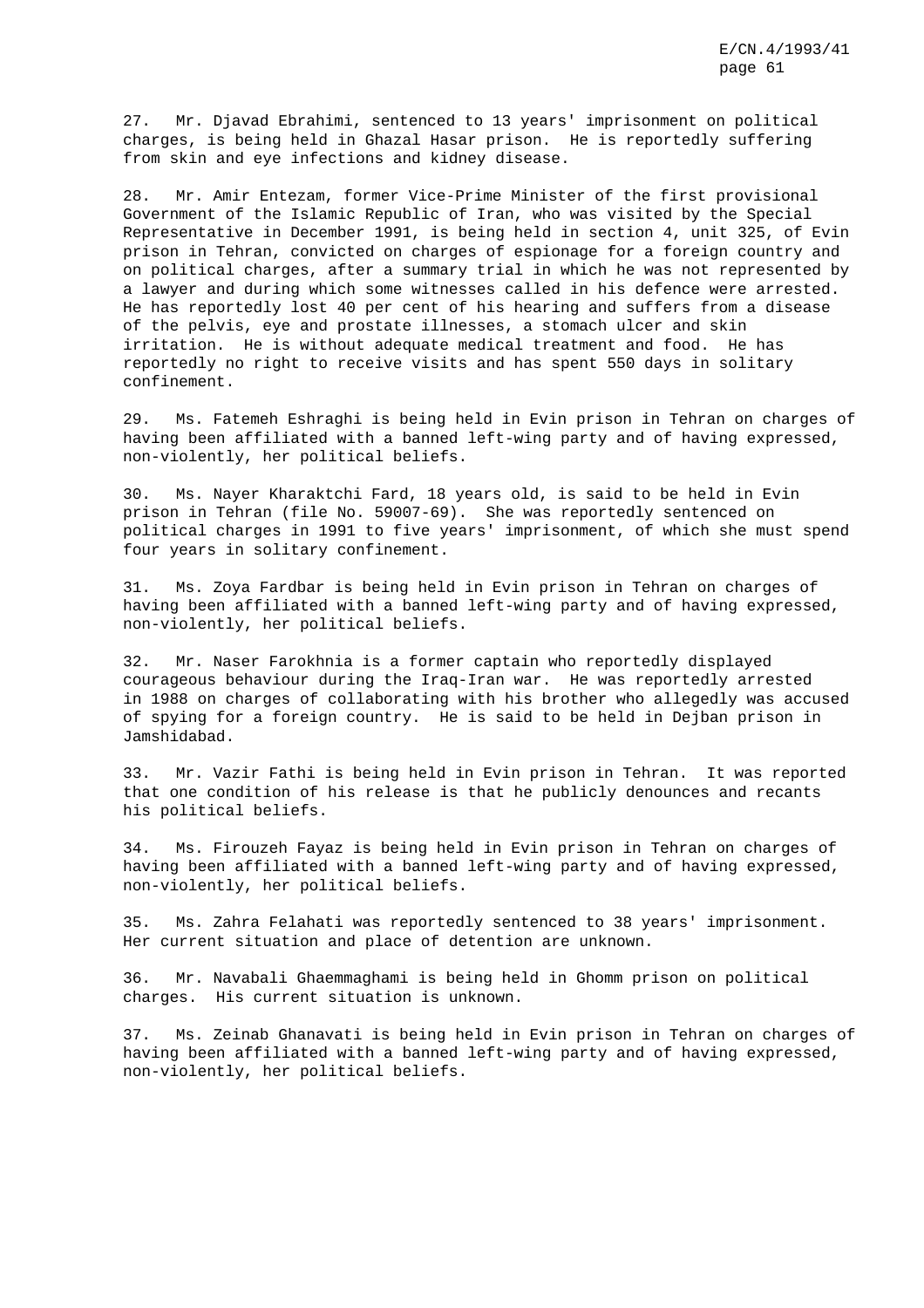27. Mr. Djavad Ebrahimi, sentenced to 13 years' imprisonment on political charges, is being held in Ghazal Hasar prison. He is reportedly suffering from skin and eye infections and kidney disease.

28. Mr. Amir Entezam, former Vice-Prime Minister of the first provisional Government of the Islamic Republic of Iran, who was visited by the Special Representative in December 1991, is being held in section 4, unit 325, of Evin prison in Tehran, convicted on charges of espionage for a foreign country and on political charges, after a summary trial in which he was not represented by a lawyer and during which some witnesses called in his defence were arrested. He has reportedly lost 40 per cent of his hearing and suffers from a disease of the pelvis, eye and prostate illnesses, a stomach ulcer and skin irritation. He is without adequate medical treatment and food. He has reportedly no right to receive visits and has spent 550 days in solitary confinement.

29. Ms. Fatemeh Eshraghi is being held in Evin prison in Tehran on charges of having been affiliated with a banned left-wing party and of having expressed, non-violently, her political beliefs.

30. Ms. Nayer Kharaktchi Fard, 18 years old, is said to be held in Evin prison in Tehran (file No. 59007-69). She was reportedly sentenced on political charges in 1991 to five years' imprisonment, of which she must spend four years in solitary confinement.

31. Ms. Zoya Fardbar is being held in Evin prison in Tehran on charges of having been affiliated with a banned left-wing party and of having expressed, non-violently, her political beliefs.

32. Mr. Naser Farokhnia is a former captain who reportedly displayed courageous behaviour during the Iraq-Iran war. He was reportedly arrested in 1988 on charges of collaborating with his brother who allegedly was accused of spying for a foreign country. He is said to be held in Dejban prison in Jamshidabad.

33. Mr. Vazir Fathi is being held in Evin prison in Tehran. It was reported that one condition of his release is that he publicly denounces and recants his political beliefs.

34. Ms. Firouzeh Fayaz is being held in Evin prison in Tehran on charges of having been affiliated with a banned left-wing party and of having expressed, non-violently, her political beliefs.

35. Ms. Zahra Felahati was reportedly sentenced to 38 years' imprisonment. Her current situation and place of detention are unknown.

36. Mr. Navabali Ghaemmaghami is being held in Ghomm prison on political charges. His current situation is unknown.

37. Ms. Zeinab Ghanavati is being held in Evin prison in Tehran on charges of having been affiliated with a banned left-wing party and of having expressed, non-violently, her political beliefs.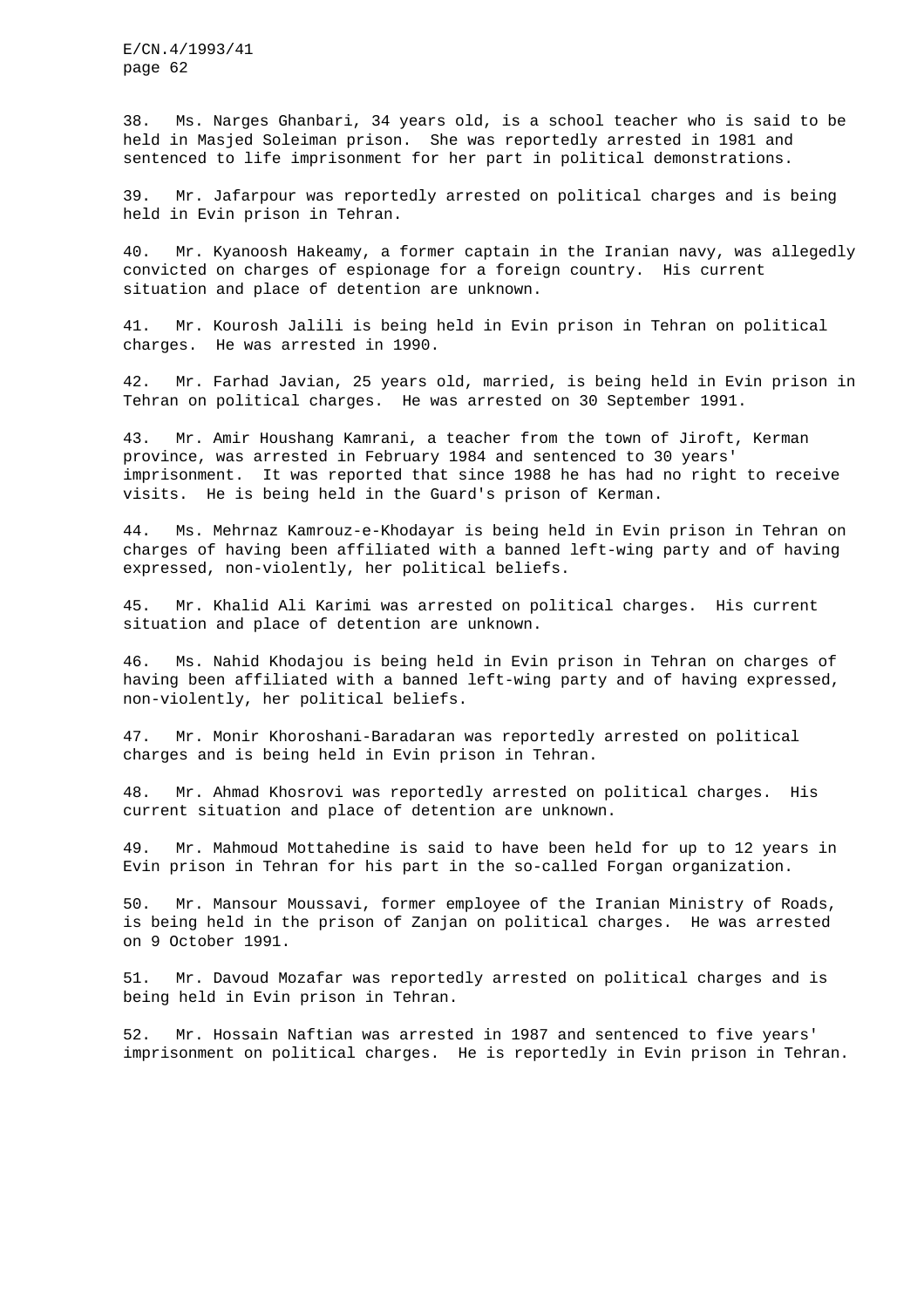38. Ms. Narges Ghanbari, 34 years old, is a school teacher who is said to be held in Masjed Soleiman prison. She was reportedly arrested in 1981 and sentenced to life imprisonment for her part in political demonstrations.

39. Mr. Jafarpour was reportedly arrested on political charges and is being held in Evin prison in Tehran.

40. Mr. Kyanoosh Hakeamy, a former captain in the Iranian navy, was allegedly convicted on charges of espionage for a foreign country. His current situation and place of detention are unknown.

41. Mr. Kourosh Jalili is being held in Evin prison in Tehran on political charges. He was arrested in 1990.

42. Mr. Farhad Javian, 25 years old, married, is being held in Evin prison in Tehran on political charges. He was arrested on 30 September 1991.

43. Mr. Amir Houshang Kamrani, a teacher from the town of Jiroft, Kerman province, was arrested in February 1984 and sentenced to 30 years' imprisonment. It was reported that since 1988 he has had no right to receive visits. He is being held in the Guard's prison of Kerman.

44. Ms. Mehrnaz Kamrouz-e-Khodayar is being held in Evin prison in Tehran on charges of having been affiliated with a banned left-wing party and of having expressed, non-violently, her political beliefs.

45. Mr. Khalid Ali Karimi was arrested on political charges. His current situation and place of detention are unknown.

46. Ms. Nahid Khodajou is being held in Evin prison in Tehran on charges of having been affiliated with a banned left-wing party and of having expressed, non-violently, her political beliefs.

47. Mr. Monir Khoroshani-Baradaran was reportedly arrested on political charges and is being held in Evin prison in Tehran.

48. Mr. Ahmad Khosrovi was reportedly arrested on political charges. His current situation and place of detention are unknown.

49. Mr. Mahmoud Mottahedine is said to have been held for up to 12 years in Evin prison in Tehran for his part in the so-called Forgan organization.

50. Mr. Mansour Moussavi, former employee of the Iranian Ministry of Roads, is being held in the prison of Zanjan on political charges. He was arrested on 9 October 1991.

51. Mr. Davoud Mozafar was reportedly arrested on political charges and is being held in Evin prison in Tehran.

52. Mr. Hossain Naftian was arrested in 1987 and sentenced to five years' imprisonment on political charges. He is reportedly in Evin prison in Tehran.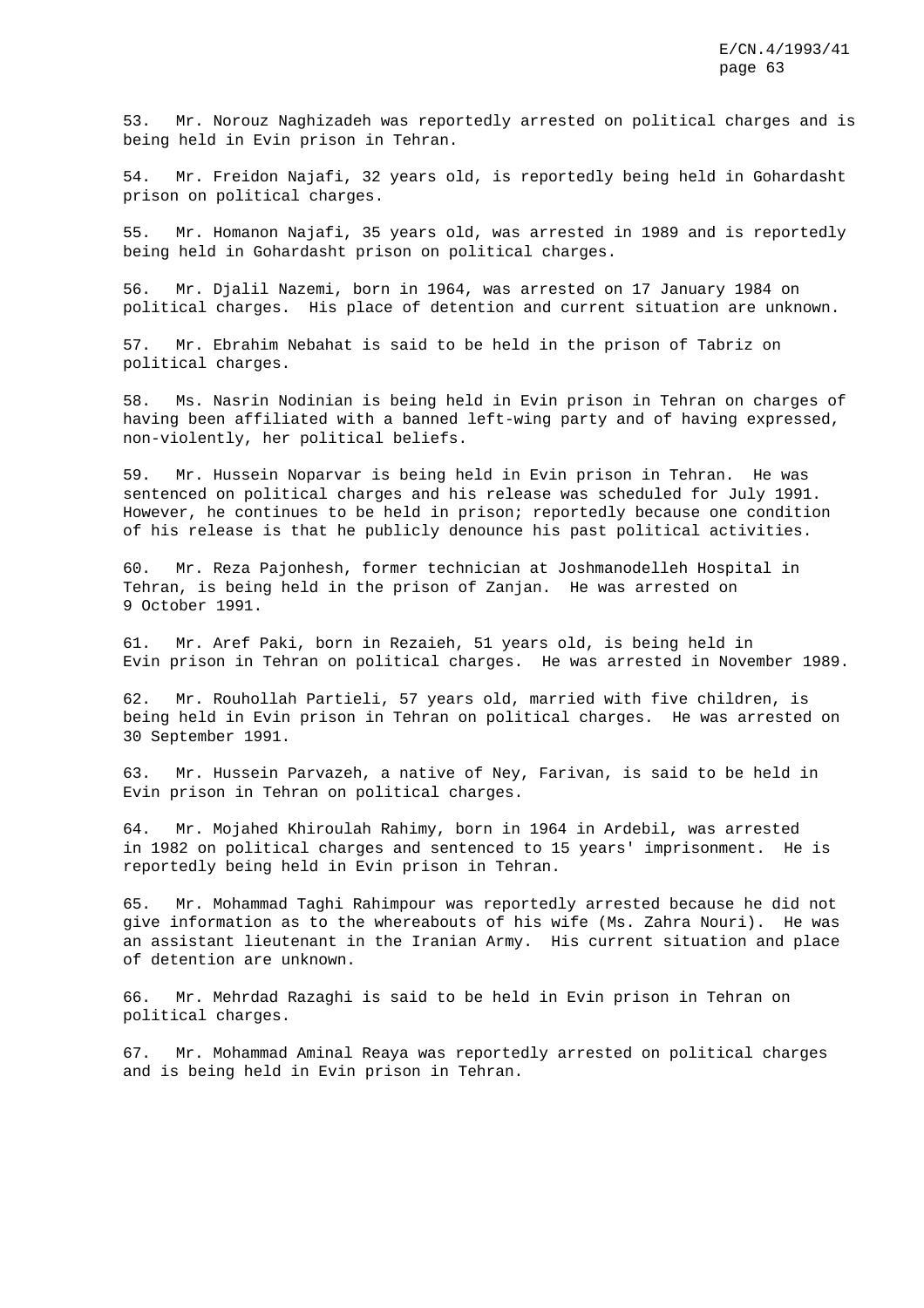53. Mr. Norouz Naghizadeh was reportedly arrested on political charges and is being held in Evin prison in Tehran.

54. Mr. Freidon Najafi, 32 years old, is reportedly being held in Gohardasht prison on political charges.

55. Mr. Homanon Najafi, 35 years old, was arrested in 1989 and is reportedly being held in Gohardasht prison on political charges.

56. Mr. Djalil Nazemi, born in 1964, was arrested on 17 January 1984 on political charges. His place of detention and current situation are unknown.

57. Mr. Ebrahim Nebahat is said to be held in the prison of Tabriz on political charges.

58. Ms. Nasrin Nodinian is being held in Evin prison in Tehran on charges of having been affiliated with a banned left-wing party and of having expressed, non-violently, her political beliefs.

59. Mr. Hussein Noparvar is being held in Evin prison in Tehran. He was sentenced on political charges and his release was scheduled for July 1991. However, he continues to be held in prison; reportedly because one condition of his release is that he publicly denounce his past political activities.

60. Mr. Reza Pajonhesh, former technician at Joshmanodelleh Hospital in Tehran, is being held in the prison of Zanjan. He was arrested on 9 October 1991.

61. Mr. Aref Paki, born in Rezaieh, 51 years old, is being held in Evin prison in Tehran on political charges. He was arrested in November 1989.

62. Mr. Rouhollah Partieli, 57 years old, married with five children, is being held in Evin prison in Tehran on political charges. He was arrested on 30 September 1991.

63. Mr. Hussein Parvazeh, a native of Ney, Farivan, is said to be held in Evin prison in Tehran on political charges.

64. Mr. Mojahed Khiroulah Rahimy, born in 1964 in Ardebil, was arrested in 1982 on political charges and sentenced to 15 years' imprisonment. He is reportedly being held in Evin prison in Tehran.

65. Mr. Mohammad Taghi Rahimpour was reportedly arrested because he did not give information as to the whereabouts of his wife (Ms. Zahra Nouri). He was an assistant lieutenant in the Iranian Army. His current situation and place of detention are unknown.

66. Mr. Mehrdad Razaghi is said to be held in Evin prison in Tehran on political charges.

67. Mr. Mohammad Aminal Reaya was reportedly arrested on political charges and is being held in Evin prison in Tehran.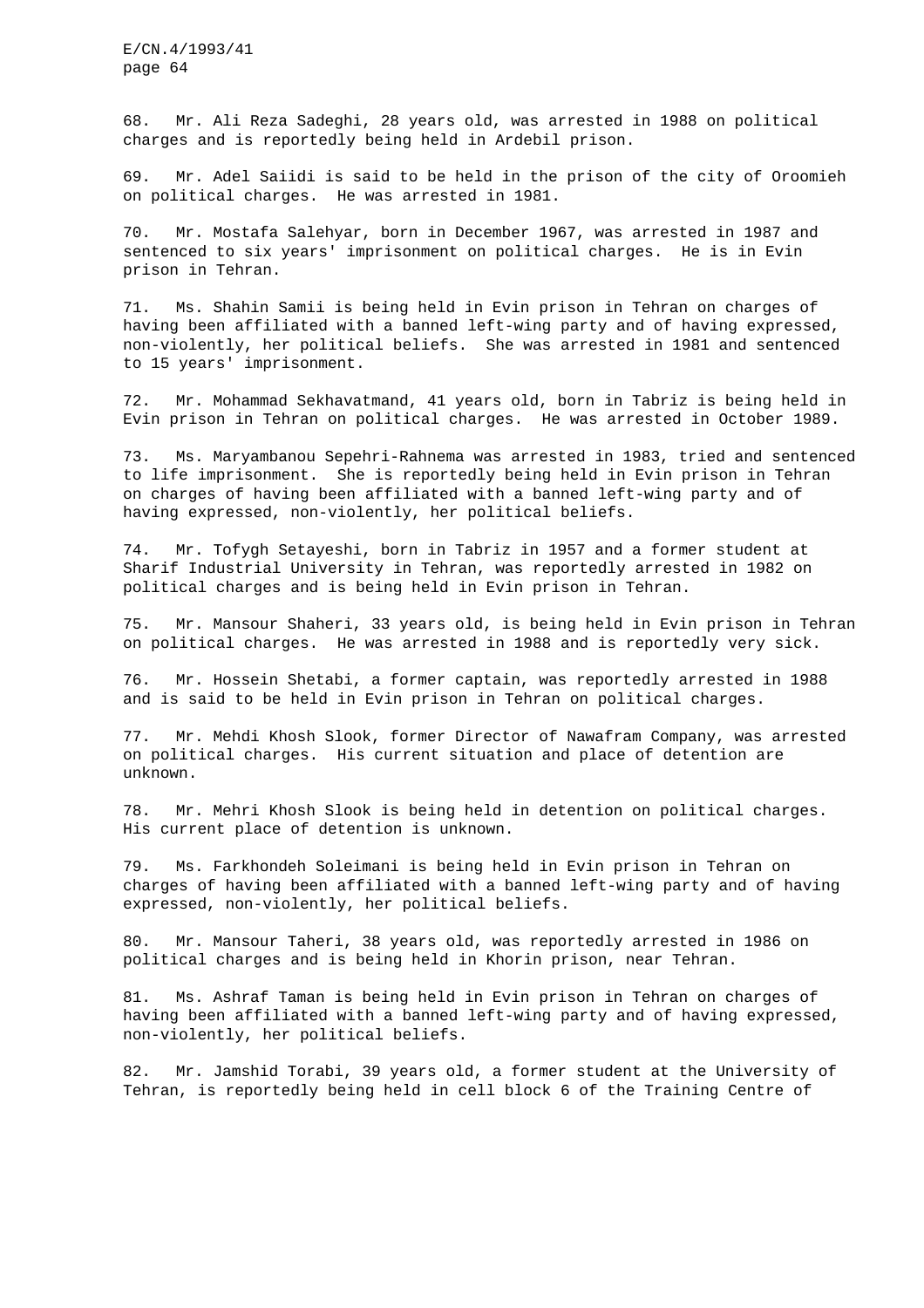68. Mr. Ali Reza Sadeghi, 28 years old, was arrested in 1988 on political charges and is reportedly being held in Ardebil prison.

69. Mr. Adel Saiidi is said to be held in the prison of the city of Oroomieh on political charges. He was arrested in 1981.

70. Mr. Mostafa Salehyar, born in December 1967, was arrested in 1987 and sentenced to six years' imprisonment on political charges. He is in Evin prison in Tehran.

71. Ms. Shahin Samii is being held in Evin prison in Tehran on charges of having been affiliated with a banned left-wing party and of having expressed, non-violently, her political beliefs. She was arrested in 1981 and sentenced to 15 years' imprisonment.

72. Mr. Mohammad Sekhavatmand, 41 years old, born in Tabriz is being held in Evin prison in Tehran on political charges. He was arrested in October 1989.

73. Ms. Maryambanou Sepehri-Rahnema was arrested in 1983, tried and sentenced to life imprisonment. She is reportedly being held in Evin prison in Tehran on charges of having been affiliated with a banned left-wing party and of having expressed, non-violently, her political beliefs.

74. Mr. Tofygh Setayeshi, born in Tabriz in 1957 and a former student at Sharif Industrial University in Tehran, was reportedly arrested in 1982 on political charges and is being held in Evin prison in Tehran.

75. Mr. Mansour Shaheri, 33 years old, is being held in Evin prison in Tehran on political charges. He was arrested in 1988 and is reportedly very sick.

76. Mr. Hossein Shetabi, a former captain, was reportedly arrested in 1988 and is said to be held in Evin prison in Tehran on political charges.

77. Mr. Mehdi Khosh Slook, former Director of Nawafram Company, was arrested on political charges. His current situation and place of detention are unknown.

78. Mr. Mehri Khosh Slook is being held in detention on political charges. His current place of detention is unknown.

79. Ms. Farkhondeh Soleimani is being held in Evin prison in Tehran on charges of having been affiliated with a banned left-wing party and of having expressed, non-violently, her political beliefs.

80. Mr. Mansour Taheri, 38 years old, was reportedly arrested in 1986 on political charges and is being held in Khorin prison, near Tehran.

81. Ms. Ashraf Taman is being held in Evin prison in Tehran on charges of having been affiliated with a banned left-wing party and of having expressed, non-violently, her political beliefs.

82. Mr. Jamshid Torabi, 39 years old, a former student at the University of Tehran, is reportedly being held in cell block 6 of the Training Centre of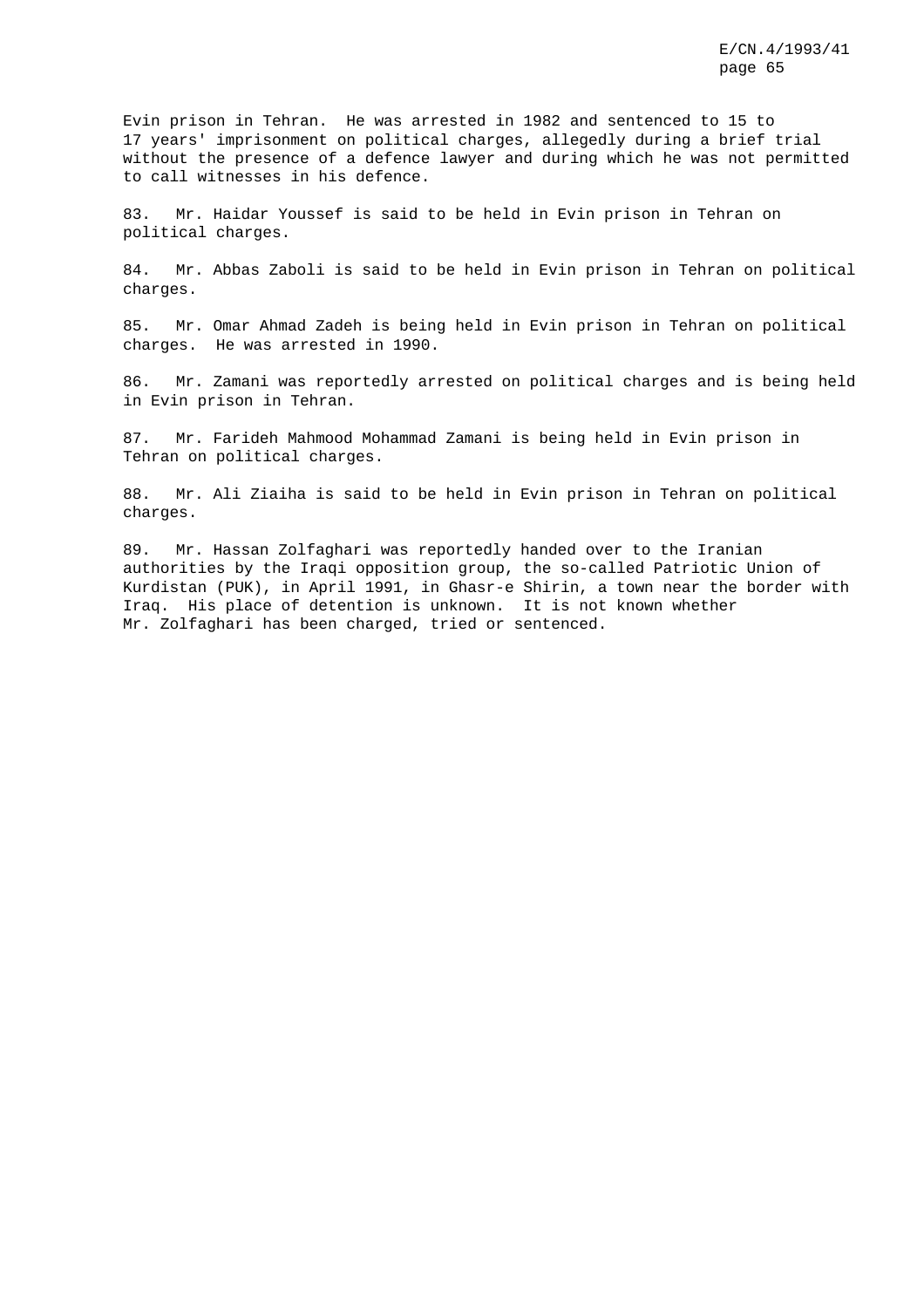Evin prison in Tehran. He was arrested in 1982 and sentenced to 15 to 17 years' imprisonment on political charges, allegedly during a brief trial without the presence of a defence lawyer and during which he was not permitted to call witnesses in his defence.

83. Mr. Haidar Youssef is said to be held in Evin prison in Tehran on political charges.

84. Mr. Abbas Zaboli is said to be held in Evin prison in Tehran on political charges.

85. Mr. Omar Ahmad Zadeh is being held in Evin prison in Tehran on political charges. He was arrested in 1990.

86. Mr. Zamani was reportedly arrested on political charges and is being held in Evin prison in Tehran.

87. Mr. Farideh Mahmood Mohammad Zamani is being held in Evin prison in Tehran on political charges.

88. Mr. Ali Ziaiha is said to be held in Evin prison in Tehran on political charges.

89. Mr. Hassan Zolfaghari was reportedly handed over to the Iranian authorities by the Iraqi opposition group, the so-called Patriotic Union of Kurdistan (PUK), in April 1991, in Ghasr-e Shirin, a town near the border with Iraq. His place of detention is unknown. It is not known whether Mr. Zolfaghari has been charged, tried or sentenced.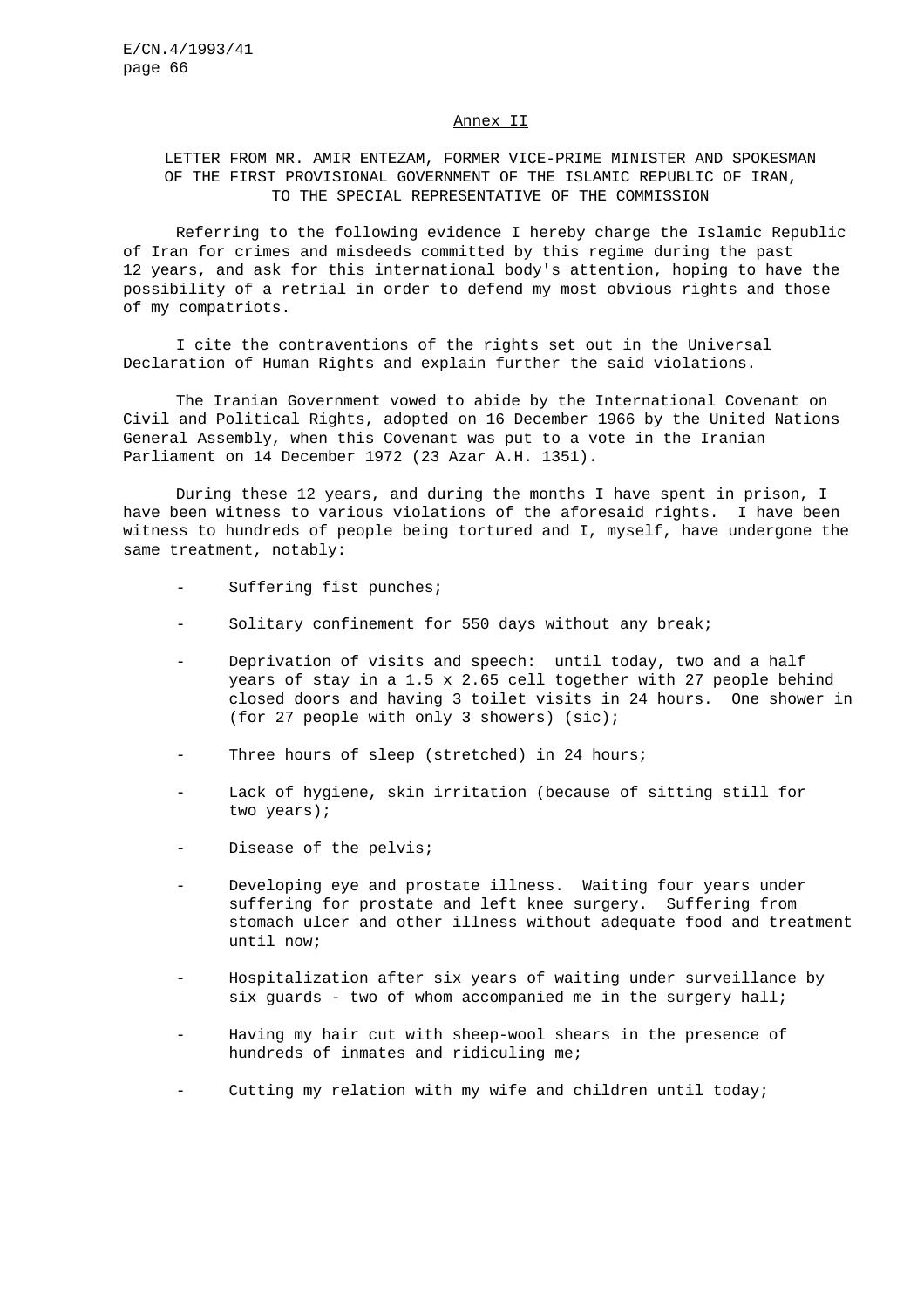#### Annex II

## LETTER FROM MR. AMIR ENTEZAM, FORMER VICE-PRIME MINISTER AND SPOKESMAN OF THE FIRST PROVISIONAL GOVERNMENT OF THE ISLAMIC REPUBLIC OF IRAN, TO THE SPECIAL REPRESENTATIVE OF THE COMMISSION

Referring to the following evidence I hereby charge the Islamic Republic of Iran for crimes and misdeeds committed by this regime during the past 12 years, and ask for this international body's attention, hoping to have the possibility of a retrial in order to defend my most obvious rights and those of my compatriots.

I cite the contraventions of the rights set out in the Universal Declaration of Human Rights and explain further the said violations.

The Iranian Government vowed to abide by the International Covenant on Civil and Political Rights, adopted on 16 December 1966 by the United Nations General Assembly, when this Covenant was put to a vote in the Iranian Parliament on 14 December 1972 (23 Azar A.H. 1351).

During these 12 years, and during the months I have spent in prison, I have been witness to various violations of the aforesaid rights. I have been witness to hundreds of people being tortured and I, myself, have undergone the same treatment, notably:

- Suffering fist punches;
- Solitary confinement for 550 days without any break;
- Deprivation of visits and speech: until today, two and a half years of stay in a 1.5 x 2.65 cell together with 27 people behind closed doors and having 3 toilet visits in 24 hours. One shower in (for 27 people with only 3 showers) (sic);
- Three hours of sleep (stretched) in 24 hours;
- Lack of hygiene, skin irritation (because of sitting still for two years);
- Disease of the pelvis;
- Developing eye and prostate illness. Waiting four years under suffering for prostate and left knee surgery. Suffering from stomach ulcer and other illness without adequate food and treatment until now;
- Hospitalization after six years of waiting under surveillance by six quards - two of whom accompanied me in the surgery hall;
- Having my hair cut with sheep-wool shears in the presence of hundreds of inmates and ridiculing me;
- Cutting my relation with my wife and children until today;